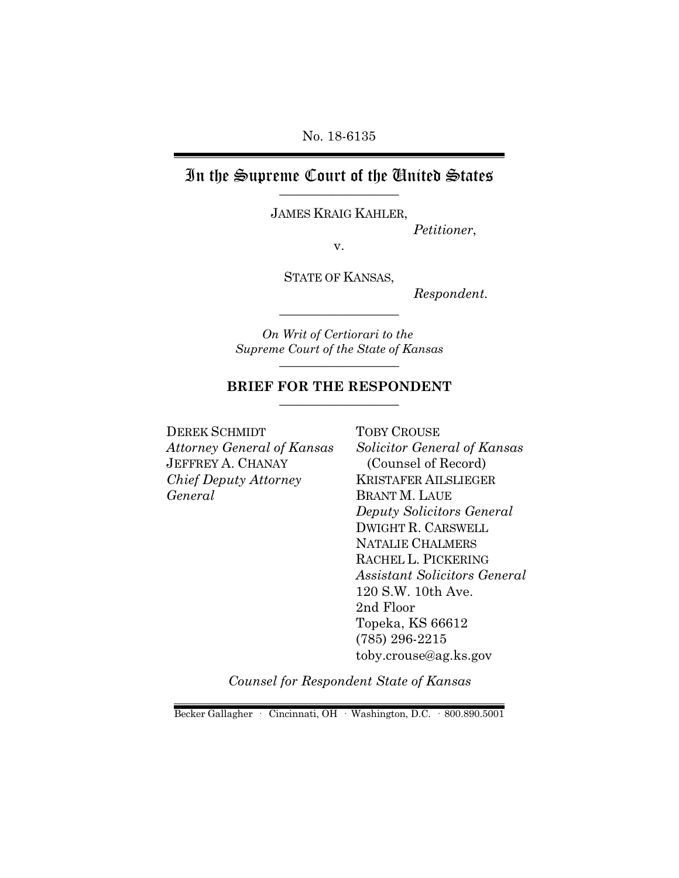No. 18-6135

## In the Supreme Court of the United States \_\_\_\_\_\_\_\_\_\_\_\_\_\_\_\_\_\_

JAMES KRAIG KAHLER,

*Petitioner*,

v.

STATE OF KANSAS,

*Respondent.*

*On Writ of Certiorari to the Supreme Court of the State of Kansas* \_\_\_\_\_\_\_\_\_\_\_\_\_\_\_\_\_\_

\_\_\_\_\_\_\_\_\_\_\_\_\_\_\_\_\_\_

#### **BRIEF FOR THE RESPONDENT** \_\_\_\_\_\_\_\_\_\_\_\_\_\_\_\_\_\_

DEREK SCHMIDT *Attorney General of Kansas* JEFFREY A. CHANAY *Chief Deputy Attorney General*

TOBY CROUSE *Solicitor General of Kansas* (Counsel of Record) KRISTAFER AILSLIEGER BRANT M. LAUE *Deputy Solicitors General* DWIGHT R. CARSWELL NATALIE CHALMERS RACHEL L. PICKERING *Assistant Solicitors General*  120 S.W. 10th Ave. 2nd Floor Topeka, KS 66612 (785) 296-2215 toby.crouse@ag.ks.gov

*Counsel for Respondent State of Kansas*

Becker Gallagher · Cincinnati, OH · Washington, D.C. · 800.890.5001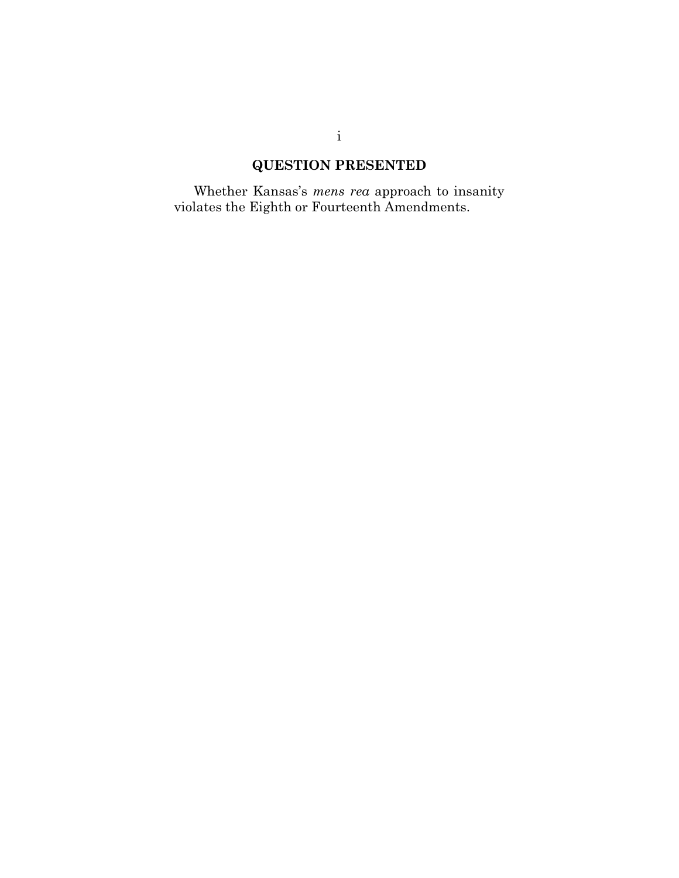## **QUESTION PRESENTED**

Whether Kansas's *mens rea* approach to insanity violates the Eighth or Fourteenth Amendments.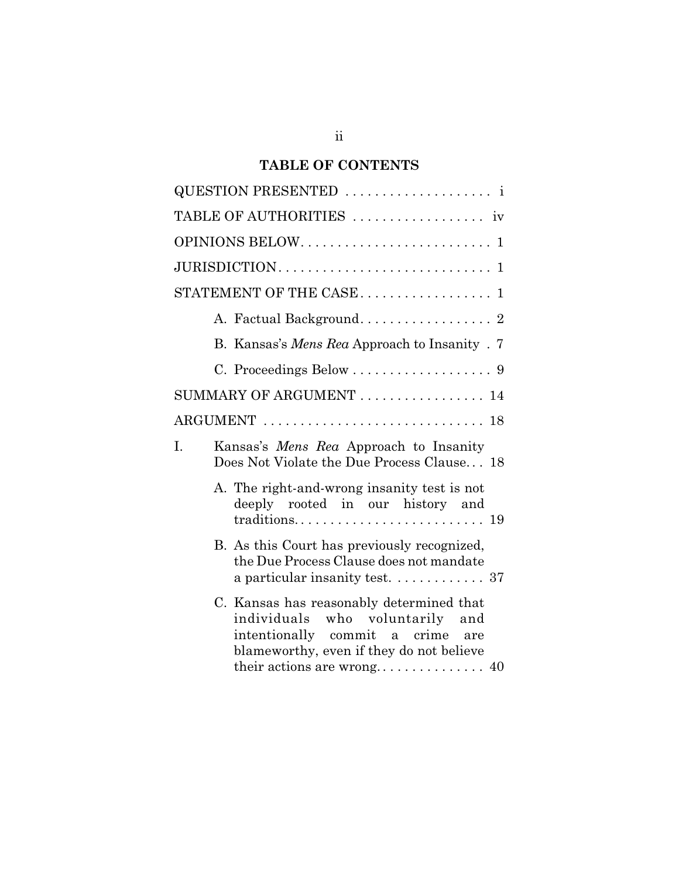## **TABLE OF CONTENTS**

| TABLE OF AUTHORITIES  iv                                                                                                                                    |
|-------------------------------------------------------------------------------------------------------------------------------------------------------------|
|                                                                                                                                                             |
|                                                                                                                                                             |
| STATEMENT OF THE CASE 1                                                                                                                                     |
| A. Factual Background 2                                                                                                                                     |
| B. Kansas's Mens Rea Approach to Insanity . 7                                                                                                               |
|                                                                                                                                                             |
| SUMMARY OF ARGUMENT  14                                                                                                                                     |
|                                                                                                                                                             |
| I.<br>Kansas's Mens Rea Approach to Insanity<br>Does Not Violate the Due Process Clause 18                                                                  |
| A. The right-and-wrong insanity test is not<br>deeply rooted in our history and                                                                             |
| B. As this Court has previously recognized,<br>the Due Process Clause does not mandate<br>a particular insanity test. $\ldots \ldots \ldots \ldots$ 37      |
| C. Kansas has reasonably determined that<br>individuals who voluntarily and<br>intentionally commit a crime are<br>blameworthy, even if they do not believe |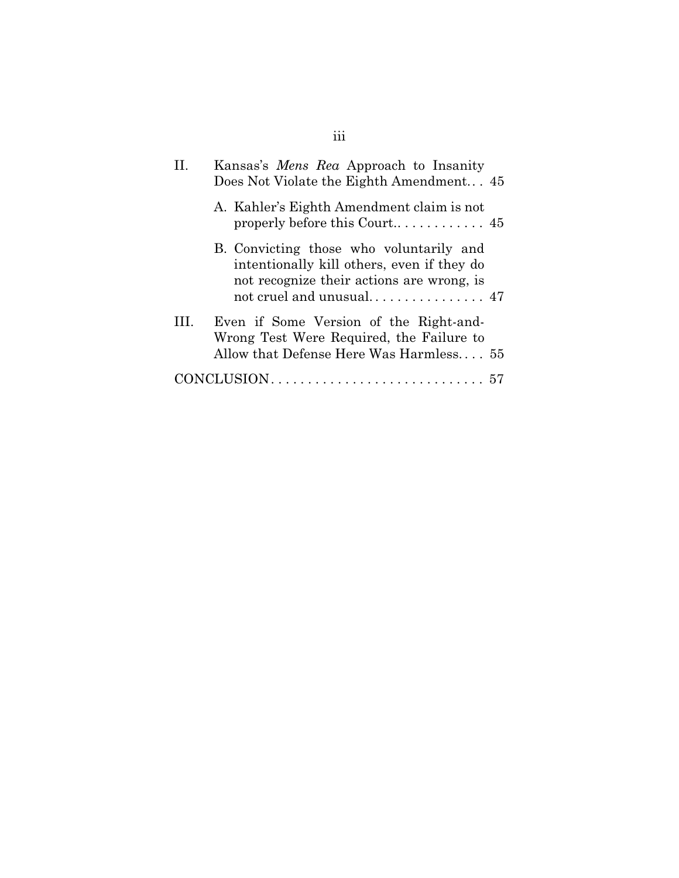| П   | Kansas's <i>Mens Rea</i> Approach to Insanity<br>Does Not Violate the Eighth Amendment 45                                          |
|-----|------------------------------------------------------------------------------------------------------------------------------------|
|     | A. Kahler's Eighth Amendment claim is not                                                                                          |
|     | B. Convicting those who voluntarily and<br>intentionally kill others, even if they do<br>not recognize their actions are wrong, is |
| HL. | Even if Some Version of the Right-and-<br>Wrong Test Were Required, the Failure to<br>Allow that Defense Here Was Harmless 55      |
|     |                                                                                                                                    |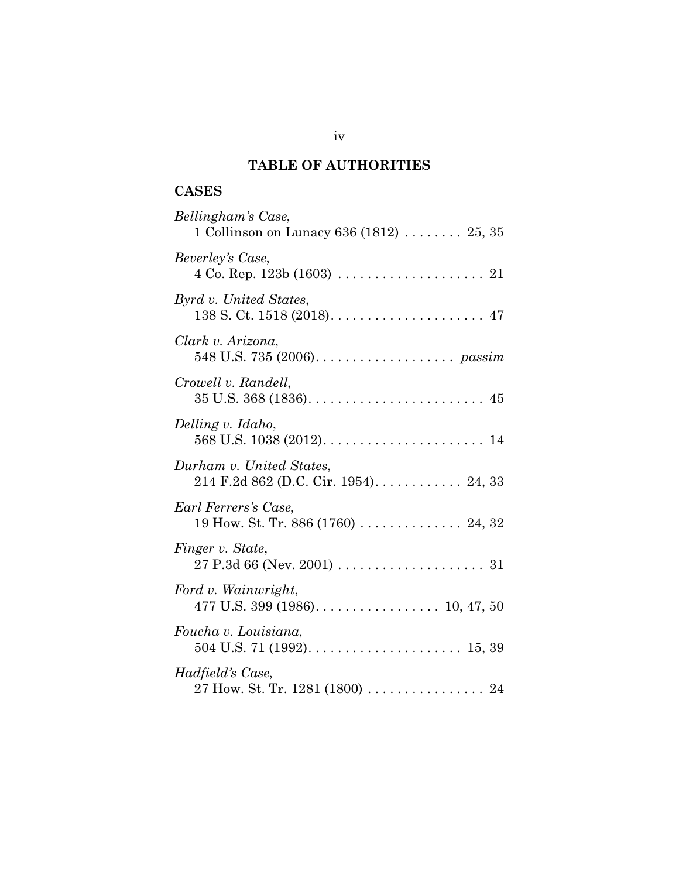## **TABLE OF AUTHORITIES**

## **CASES**

| Bellingham's Case,<br>1 Collinson on Lunacy 636 (1812) $\ldots \ldots \ldots$ 25, 35  |
|---------------------------------------------------------------------------------------|
| Beverley's Case,                                                                      |
| Byrd v. United States,                                                                |
| Clark v. Arizona,<br>548 U.S. 735 (2006). $\ldots \ldots \ldots \ldots \ldots$ passim |
| Crowell v. Randell,                                                                   |
| Delling v. Idaho,                                                                     |
| Durham v. United States,                                                              |
| Earl Ferrers's Case,<br>19 How. St. Tr. 886 (1760)  24, 32                            |
| Finger v. State,                                                                      |
| Ford v. Wainwright,<br>477 U.S. 399 (1986). $\ldots$ . 10, 47, 50                     |
| Foucha v. Louisiana,                                                                  |
| Hadfield's Case,<br>27 How. St. Tr. 1281 (1800) 24                                    |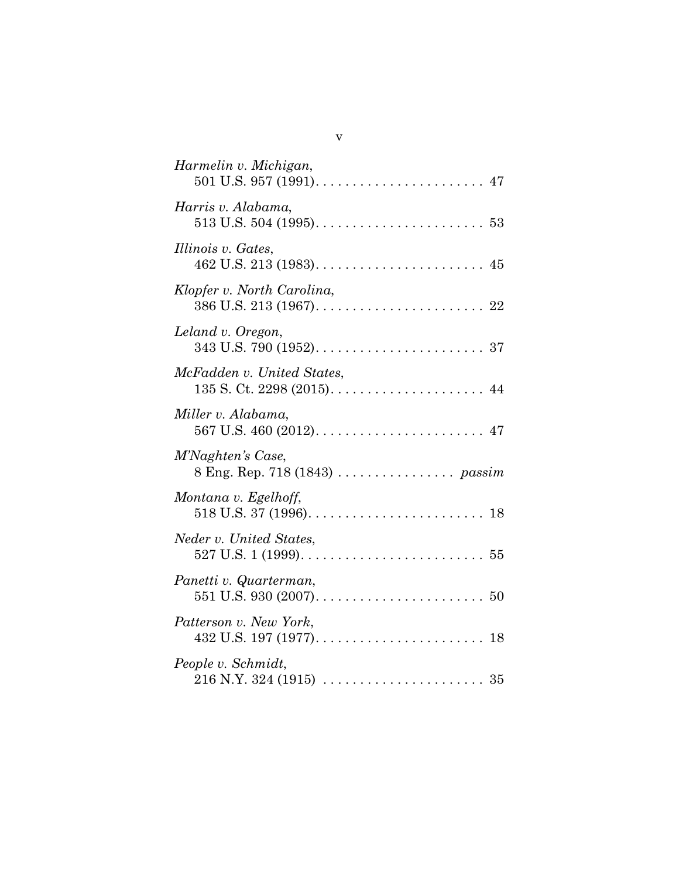| Harmelin v. Michigan,      |
|----------------------------|
| Harris v. Alabama,         |
| Illinois v. Gates,         |
| Klopfer v. North Carolina, |
| Leland v. Oregon,          |
| McFadden v. United States, |
| Miller v. Alabama,         |
| M'Naghten's Case,          |
| Montana v. Egelhoff,       |
| Neder v. United States,    |
| Panetti v. Quarterman,     |
| Patterson v. New York,     |
| People v. Schmidt,         |

v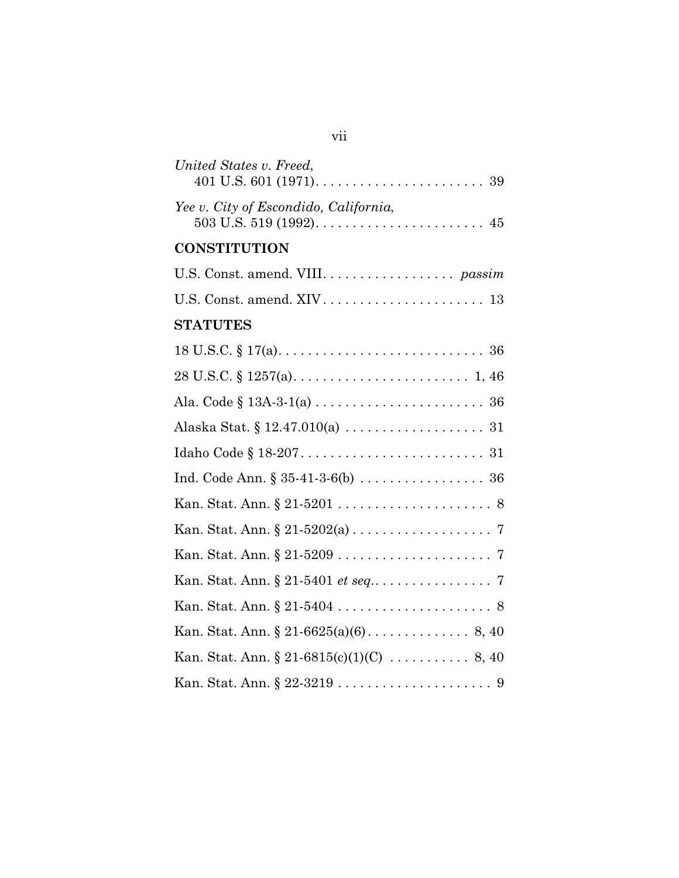| United States v. Freed,               |
|---------------------------------------|
| Yee v. City of Escondido, California, |
| <b>CONSTITUTION</b>                   |
|                                       |
|                                       |
| <b>STATUTES</b>                       |
|                                       |
|                                       |
|                                       |
|                                       |
|                                       |
|                                       |
|                                       |
|                                       |
|                                       |
|                                       |
|                                       |
|                                       |
|                                       |
|                                       |

vii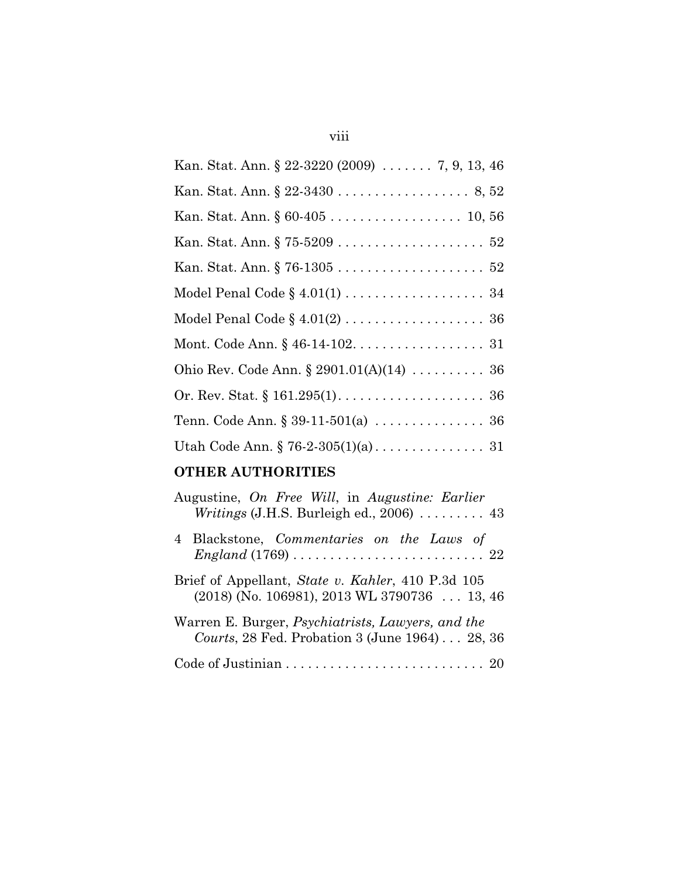# Kan. Stat. Ann. § 22-3220 (2009) . . . . . . . 7, 9, 13, 46 Kan. Stat. Ann. § 22-3430 . . . . . . . . . . . . . . . . . . 8, 52 Kan. Stat. Ann. § 60-405 . . . . . . . . . . . . . . . . . . 10, 56 Kan. Stat. Ann. § 75-5209 . . . . . . . . . . . . . . . . . . . . 52 Kan. Stat. Ann. § 76-1305 . . . . . . . . . . . . . . . . . . . . 52 Model Penal Code § 4.01(1) . . . . . . . . . . . . . . . . . . 34 Model Penal Code § 4.01(2) . . . . . . . . . . . . . . . . . . . 36 Mont. Code Ann. § 46-14-102. . . . . . . . . . . . . . . . . . 31 Ohio Rev. Code Ann. § 2901.01(A)(14) . . . . . . . . . . 36 Or. Rev. Stat. § 161.295(1). . . . . . . . . . . . . . . . . . . . 36 Tenn. Code Ann. § 39-11-501(a) . . . . . . . . . . . . . . . 36 Utah Code Ann. § 76-2-305(1)(a) . . . . . . . . . . . . . . . 31

## **OTHER AUTHORITIES**

| Augustine, On Free Will, in Augustine: Earlier<br>Writings (J.H.S. Burleigh ed., 2006)  43                               |
|--------------------------------------------------------------------------------------------------------------------------|
| 4 Blackstone, Commentaries on the Laws of<br>$England (1769) \ldots \ldots \ldots \ldots \ldots \ldots \ldots \ldots 22$ |
| Brief of Appellant, State v. Kahler, 410 P.3d 105<br>$(2018)$ (No. 106981), 2013 WL 3790736  13, 46                      |
| Warren E. Burger, <i>Psychiatrists</i> , <i>Lawyers</i> , and the<br>Courts, 28 Fed. Probation 3 (June 1964) 28, 36      |
|                                                                                                                          |

## viii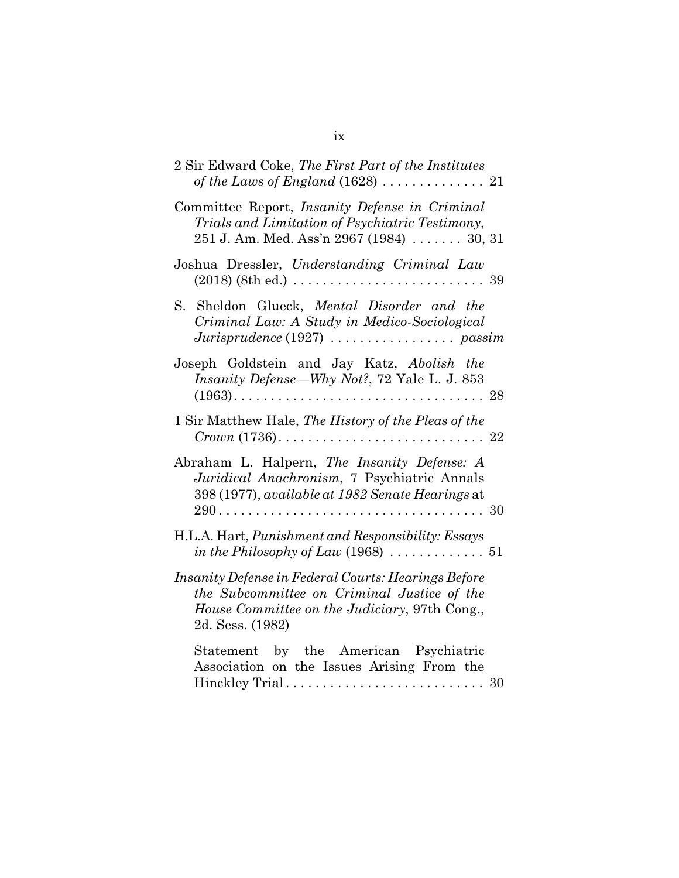| 2 Sir Edward Coke, The First Part of the Institutes                                                                                                                             |
|---------------------------------------------------------------------------------------------------------------------------------------------------------------------------------|
| Committee Report, Insanity Defense in Criminal<br>Trials and Limitation of Psychiatric Testimony,<br>$251$ J. Am. Med. Ass'n $2967$ (1984)  30, 31                              |
| Joshua Dressler, Understanding Criminal Law                                                                                                                                     |
| S. Sheldon Glueck, Mental Disorder and the<br>Criminal Law: A Study in Medico-Sociological<br>$Juris prudence (1927) \ldots \ldots \ldots \ldots \ldots \text{ passim}$         |
| Joseph Goldstein and Jay Katz, Abolish the<br><i>Insanity Defense—Why Not?</i> , 72 Yale L. J. 853                                                                              |
| 1 Sir Matthew Hale, The History of the Pleas of the                                                                                                                             |
| Abraham L. Halpern, The Insanity Defense: A<br>Juridical Anachronism, 7 Psychiatric Annals<br>398 (1977), available at 1982 Senate Hearings at                                  |
| H.L.A. Hart, <i>Punishment and Responsibility: Essays</i>                                                                                                                       |
| Insanity Defense in Federal Courts: Hearings Before<br>the Subcommittee on Criminal Justice of the<br><i>House Committee on the Judiciary</i> , 97th Cong.,<br>2d. Sess. (1982) |
| Statement by the American Psychiatric<br>Association on the Issues Arising From the                                                                                             |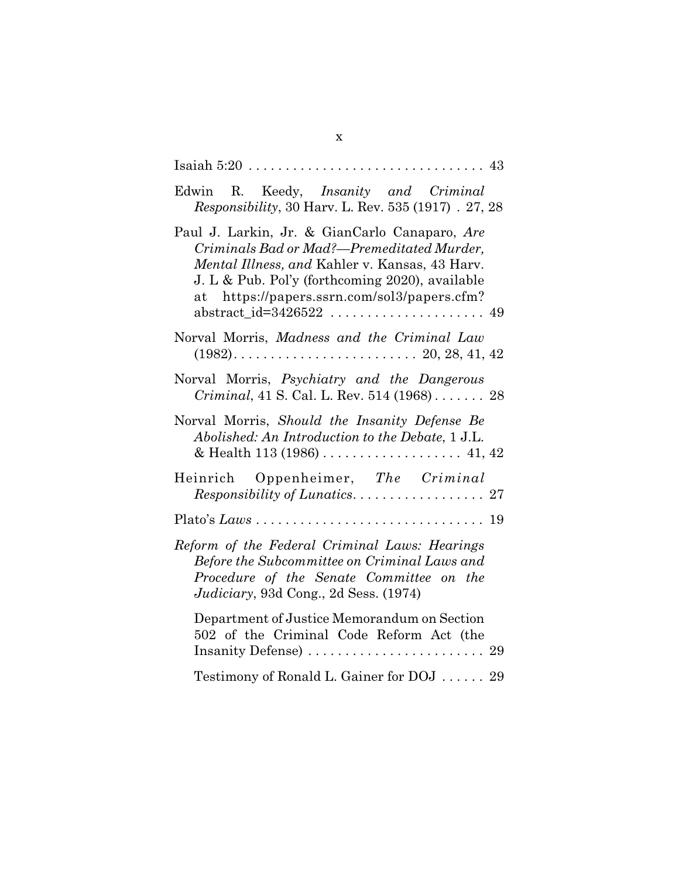| Edwin R. Keedy, Insanity and Criminal<br>Responsibility, 30 Harv. L. Rev. 535 (1917) . 27, 28                                                                                                                                                          |
|--------------------------------------------------------------------------------------------------------------------------------------------------------------------------------------------------------------------------------------------------------|
| Paul J. Larkin, Jr. & GianCarlo Canaparo, Are<br>Criminals Bad or Mad?-Premeditated Murder,<br><i>Mental Illness, and Kahler v. Kansas, 43 Harv.</i><br>J. L & Pub. Pol'y (forthcoming 2020), available<br>at https://papers.ssrn.com/sol3/papers.cfm? |
| Norval Morris, Madness and the Criminal Law                                                                                                                                                                                                            |
| Norval Morris, Psychiatry and the Dangerous<br>Criminal, 41 S. Cal. L. Rev. 514 (1968) 28                                                                                                                                                              |
| Norval Morris, Should the Insanity Defense Be<br>Abolished: An Introduction to the Debate, 1 J.L.                                                                                                                                                      |
| Heinrich Oppenheimer, The Criminal                                                                                                                                                                                                                     |
|                                                                                                                                                                                                                                                        |
| Reform of the Federal Criminal Laws: Hearings<br>Before the Subcommittee on Criminal Laws and<br>Procedure of the Senate Committee on the<br>Judiciary, 93d Cong., 2d Sess. (1974)                                                                     |
| Department of Justice Memorandum on Section<br>502 of the Criminal Code Reform Act (the                                                                                                                                                                |
| Testimony of Ronald L. Gainer for DOJ  29                                                                                                                                                                                                              |

x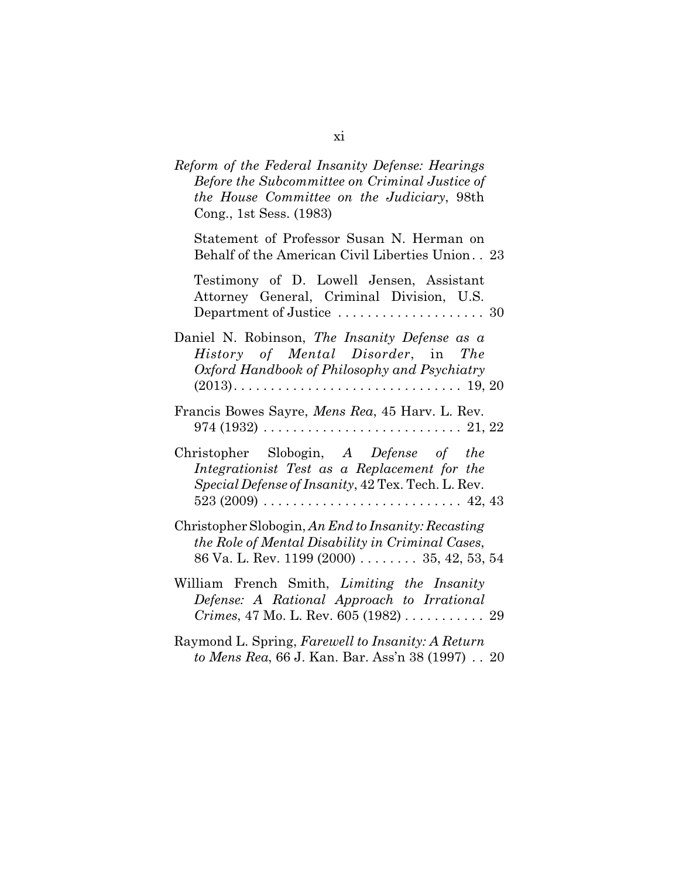| Reform of the Federal Insanity Defense: Hearings<br>Before the Subcommittee on Criminal Justice of<br>the House Committee on the Judiciary, 98th<br>Cong., 1st Sess. (1983) |  |
|-----------------------------------------------------------------------------------------------------------------------------------------------------------------------------|--|
| Statement of Professor Susan N. Herman on<br>Behalf of the American Civil Liberties Union. . 23                                                                             |  |
| Testimony of D. Lowell Jensen, Assistant<br>Attorney General, Criminal Division, U.S.                                                                                       |  |
| Daniel N. Robinson, The Insanity Defense as a<br>History of Mental Disorder, in The<br>Oxford Handbook of Philosophy and Psychiatry                                         |  |
| Francis Bowes Sayre, Mens Rea, 45 Harv. L. Rev.<br>$974(1932)\ldots \ldots \ldots \ldots \ldots \ldots \ldots \ldots \ldots \ldots \ldots 21, 22$                           |  |
| Christopher Slobogin, A Defense of the<br>Integrationist Test as a Replacement for the<br>Special Defense of Insanity, 42 Tex. Tech. L. Rev.                                |  |
| Christopher Slobogin, An End to Insanity: Recasting<br>the Role of Mental Disability in Criminal Cases,<br>86 Va. L. Rev. 1199 (2000) $\ldots$ 35, 42, 53, 54               |  |
| William French Smith, Limiting the Insanity<br>Defense: A Rational Approach to Irrational<br><i>Crimes</i> , 47 Mo. L. Rev. 605 (1982) 29                                   |  |
| Raymond L. Spring, Farewell to Insanity: A Return<br>to Mens Rea, 66 J. Kan. Bar. Ass'n 38 (1997) 20                                                                        |  |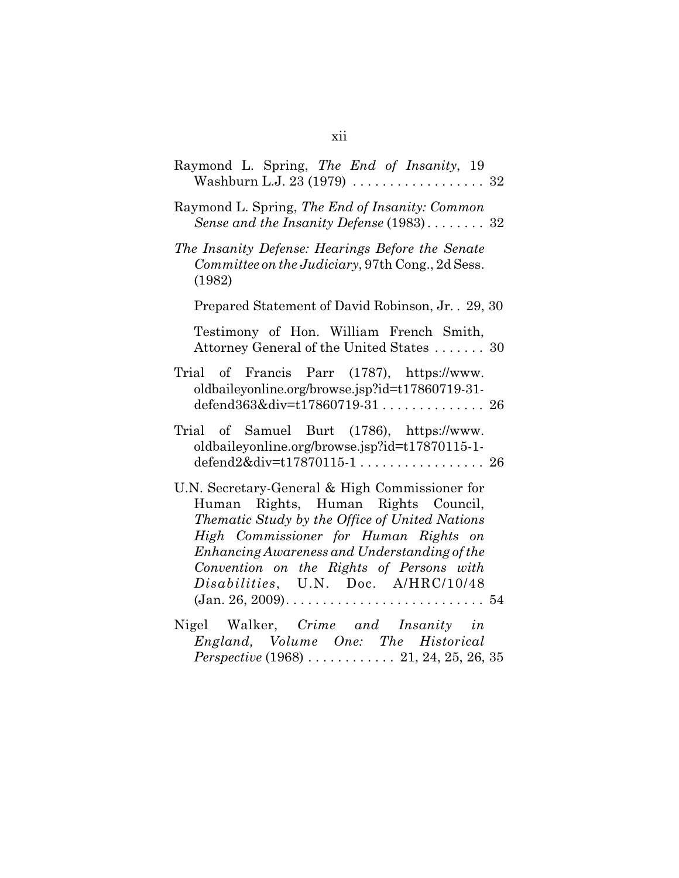| Raymond L. Spring, The End of Insanity, 19<br>Washburn L.J. 23 (1979) $\ldots \ldots \ldots \ldots \ldots \ldots$ 32                                                                                                                                                                                                |
|---------------------------------------------------------------------------------------------------------------------------------------------------------------------------------------------------------------------------------------------------------------------------------------------------------------------|
| Raymond L. Spring, The End of Insanity: Common<br>Sense and the Insanity Defense (1983) 32                                                                                                                                                                                                                          |
| The Insanity Defense: Hearings Before the Senate<br>Committee on the Judiciary, 97th Cong., 2d Sess.<br>(1982)                                                                                                                                                                                                      |
| Prepared Statement of David Robinson, Jr. . 29, 30                                                                                                                                                                                                                                                                  |
| Testimony of Hon. William French Smith,<br>Attorney General of the United States  30                                                                                                                                                                                                                                |
| Trial of Francis Parr (1787), https://www.<br>oldbaileyonline.org/browse.jsp?id=t17860719-31-<br>defend363÷=t17860719-31 26                                                                                                                                                                                         |
| Trial of Samuel Burt (1786), https://www.<br>oldbaileyonline.org/browse.jsp?id=t17870115-1-                                                                                                                                                                                                                         |
| U.N. Secretary-General & High Commissioner for<br>Human Rights, Human Rights Council,<br>Thematic Study by the Office of United Nations<br>High Commissioner for Human Rights on<br>Enhancing Awareness and Understanding of the<br>Convention on the Rights of Persons with<br>Disabilities, U.N. Doc. A/HRC/10/48 |
| Nigel Walker, Crime and Insanity in<br>England, Volume One: The Historical                                                                                                                                                                                                                                          |

*Perspective* (1968) . . . . . . . . . . . . 21, 24, 25, 26, 35

xii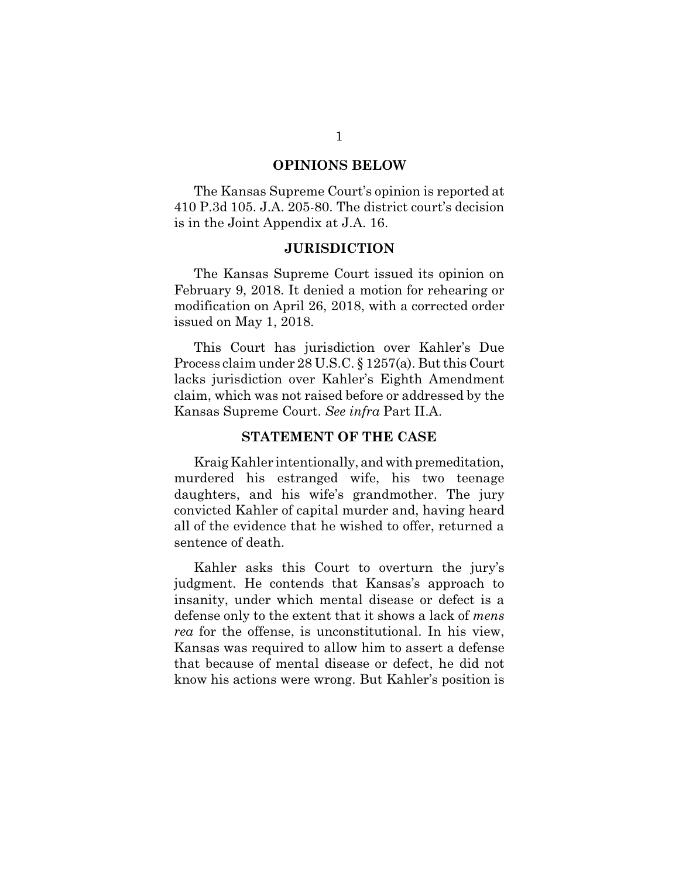#### **OPINIONS BELOW**

The Kansas Supreme Court's opinion is reported at 410 P.3d 105. J.A. 205-80. The district court's decision is in the Joint Appendix at J.A. 16.

#### **JURISDICTION**

The Kansas Supreme Court issued its opinion on February 9, 2018. It denied a motion for rehearing or modification on April 26, 2018, with a corrected order issued on May 1, 2018.

This Court has jurisdiction over Kahler's Due Process claim under 28 U.S.C. § 1257(a). But this Court lacks jurisdiction over Kahler's Eighth Amendment claim, which was not raised before or addressed by the Kansas Supreme Court. *See infra* Part II.A.

#### **STATEMENT OF THE CASE**

Kraig Kahler intentionally, and with premeditation, murdered his estranged wife, his two teenage daughters, and his wife's grandmother. The jury convicted Kahler of capital murder and, having heard all of the evidence that he wished to offer, returned a sentence of death.

Kahler asks this Court to overturn the jury's judgment. He contends that Kansas's approach to insanity, under which mental disease or defect is a defense only to the extent that it shows a lack of *mens rea* for the offense, is unconstitutional. In his view, Kansas was required to allow him to assert a defense that because of mental disease or defect, he did not know his actions were wrong. But Kahler's position is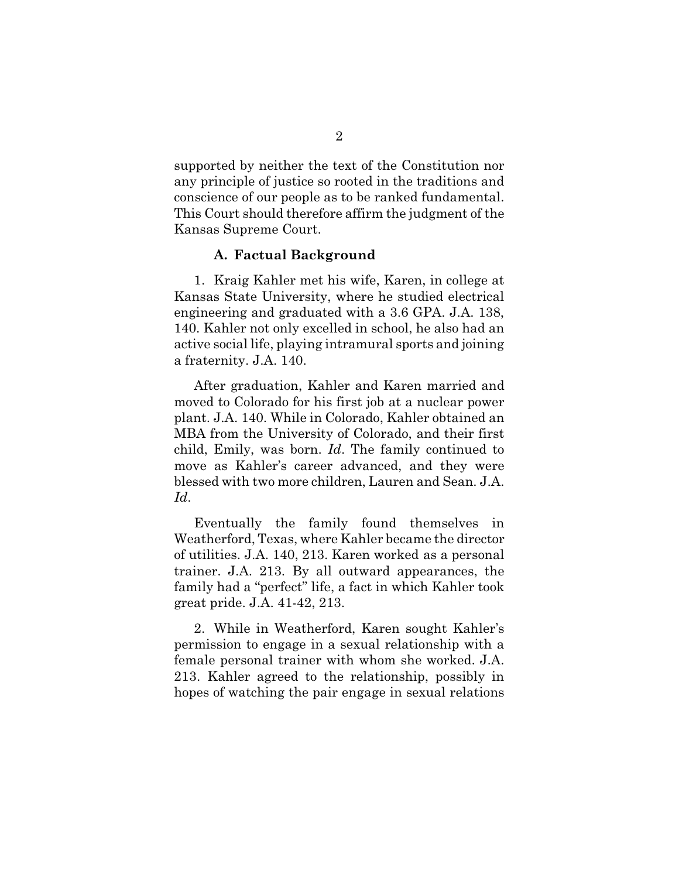supported by neither the text of the Constitution nor any principle of justice so rooted in the traditions and conscience of our people as to be ranked fundamental. This Court should therefore affirm the judgment of the Kansas Supreme Court.

#### **A. Factual Background**

1. Kraig Kahler met his wife, Karen, in college at Kansas State University, where he studied electrical engineering and graduated with a 3.6 GPA. J.A. 138, 140. Kahler not only excelled in school, he also had an active social life, playing intramural sports and joining a fraternity. J.A. 140.

After graduation, Kahler and Karen married and moved to Colorado for his first job at a nuclear power plant. J.A. 140. While in Colorado, Kahler obtained an MBA from the University of Colorado, and their first child, Emily, was born. *Id*. The family continued to move as Kahler's career advanced, and they were blessed with two more children, Lauren and Sean. J.A. *Id*.

Eventually the family found themselves in Weatherford, Texas, where Kahler became the director of utilities. J.A. 140, 213. Karen worked as a personal trainer. J.A. 213. By all outward appearances, the family had a "perfect" life, a fact in which Kahler took great pride. J.A. 41-42, 213.

2. While in Weatherford, Karen sought Kahler's permission to engage in a sexual relationship with a female personal trainer with whom she worked. J.A. 213. Kahler agreed to the relationship, possibly in hopes of watching the pair engage in sexual relations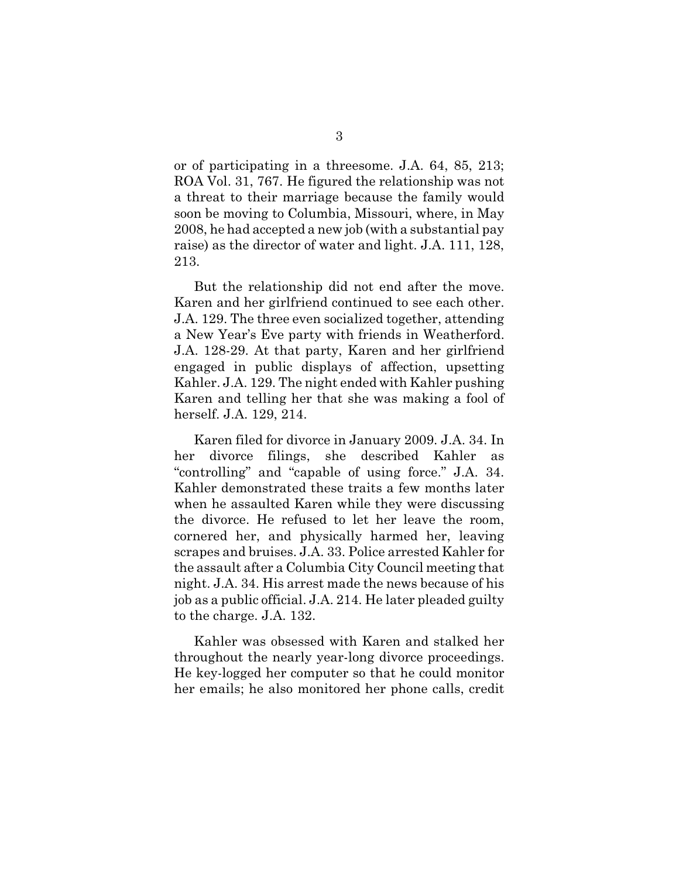or of participating in a threesome. J.A. 64, 85, 213; ROA Vol. 31, 767. He figured the relationship was not a threat to their marriage because the family would soon be moving to Columbia, Missouri, where, in May 2008, he had accepted a new job (with a substantial pay raise) as the director of water and light. J.A. 111, 128, 213.

But the relationship did not end after the move. Karen and her girlfriend continued to see each other. J.A. 129. The three even socialized together, attending a New Year's Eve party with friends in Weatherford. J.A. 128-29. At that party, Karen and her girlfriend engaged in public displays of affection, upsetting Kahler. J.A. 129. The night ended with Kahler pushing Karen and telling her that she was making a fool of herself. J.A. 129, 214.

Karen filed for divorce in January 2009. J.A. 34. In her divorce filings, she described Kahler as "controlling" and "capable of using force." J.A. 34. Kahler demonstrated these traits a few months later when he assaulted Karen while they were discussing the divorce. He refused to let her leave the room, cornered her, and physically harmed her, leaving scrapes and bruises. J.A. 33. Police arrested Kahler for the assault after a Columbia City Council meeting that night. J.A. 34. His arrest made the news because of his job as a public official. J.A. 214. He later pleaded guilty to the charge. J.A. 132.

Kahler was obsessed with Karen and stalked her throughout the nearly year-long divorce proceedings. He key-logged her computer so that he could monitor her emails; he also monitored her phone calls, credit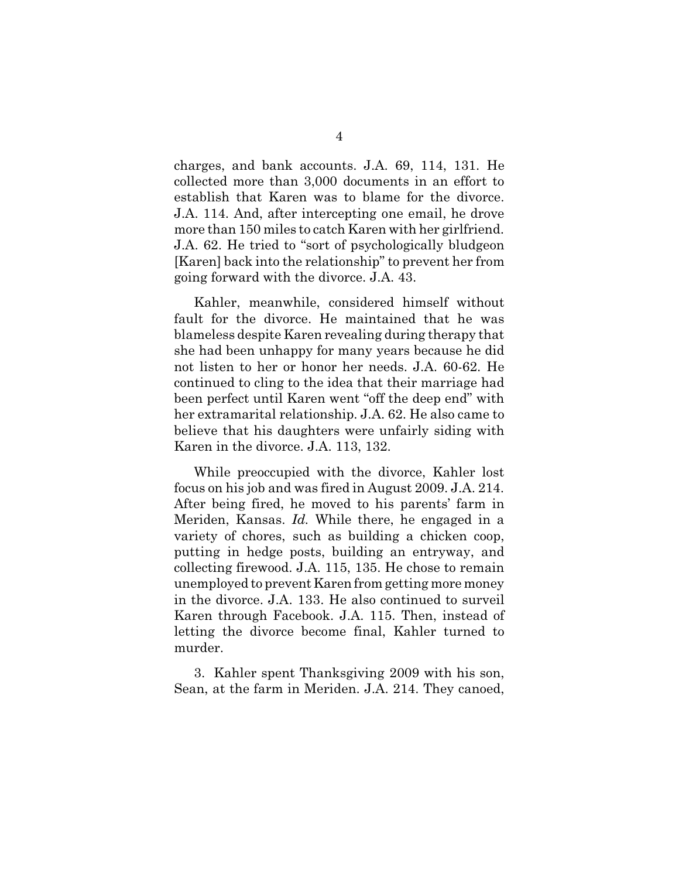charges, and bank accounts. J.A. 69, 114, 131. He collected more than 3,000 documents in an effort to establish that Karen was to blame for the divorce. J.A. 114. And, after intercepting one email, he drove more than 150 miles to catch Karen with her girlfriend. J.A. 62. He tried to "sort of psychologically bludgeon [Karen] back into the relationship" to prevent her from going forward with the divorce. J.A. 43.

Kahler, meanwhile, considered himself without fault for the divorce. He maintained that he was blameless despite Karen revealing during therapy that she had been unhappy for many years because he did not listen to her or honor her needs. J.A. 60-62. He continued to cling to the idea that their marriage had been perfect until Karen went "off the deep end" with her extramarital relationship. J.A. 62. He also came to believe that his daughters were unfairly siding with Karen in the divorce. J.A. 113, 132.

While preoccupied with the divorce, Kahler lost focus on his job and was fired in August 2009. J.A. 214. After being fired, he moved to his parents' farm in Meriden, Kansas. *Id.* While there, he engaged in a variety of chores, such as building a chicken coop, putting in hedge posts, building an entryway, and collecting firewood. J.A. 115, 135. He chose to remain unemployed to prevent Karen from getting more money in the divorce. J.A. 133. He also continued to surveil Karen through Facebook. J.A. 115. Then, instead of letting the divorce become final, Kahler turned to murder.

3. Kahler spent Thanksgiving 2009 with his son, Sean, at the farm in Meriden. J.A. 214. They canoed,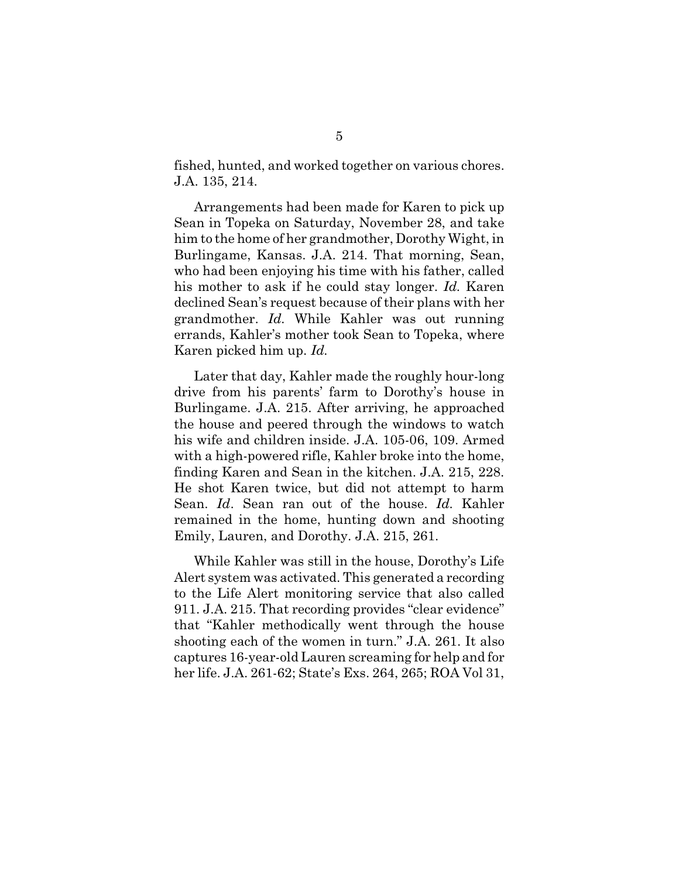fished, hunted, and worked together on various chores. J.A. 135, 214.

Arrangements had been made for Karen to pick up Sean in Topeka on Saturday, November 28, and take him to the home of her grandmother, Dorothy Wight, in Burlingame, Kansas. J.A. 214. That morning, Sean, who had been enjoying his time with his father, called his mother to ask if he could stay longer. *Id.* Karen declined Sean's request because of their plans with her grandmother. *Id.* While Kahler was out running errands, Kahler's mother took Sean to Topeka, where Karen picked him up. *Id.*

Later that day, Kahler made the roughly hour-long drive from his parents' farm to Dorothy's house in Burlingame. J.A. 215. After arriving, he approached the house and peered through the windows to watch his wife and children inside. J.A. 105-06, 109. Armed with a high-powered rifle, Kahler broke into the home, finding Karen and Sean in the kitchen. J.A. 215, 228. He shot Karen twice, but did not attempt to harm Sean. *Id*. Sean ran out of the house. *Id.* Kahler remained in the home, hunting down and shooting Emily, Lauren, and Dorothy. J.A. 215, 261.

While Kahler was still in the house, Dorothy's Life Alert system was activated. This generated a recording to the Life Alert monitoring service that also called 911. J.A. 215. That recording provides "clear evidence" that "Kahler methodically went through the house shooting each of the women in turn." J.A. 261. It also captures 16-year-old Lauren screaming for help and for her life. J.A. 261-62; State's Exs. 264, 265; ROA Vol 31,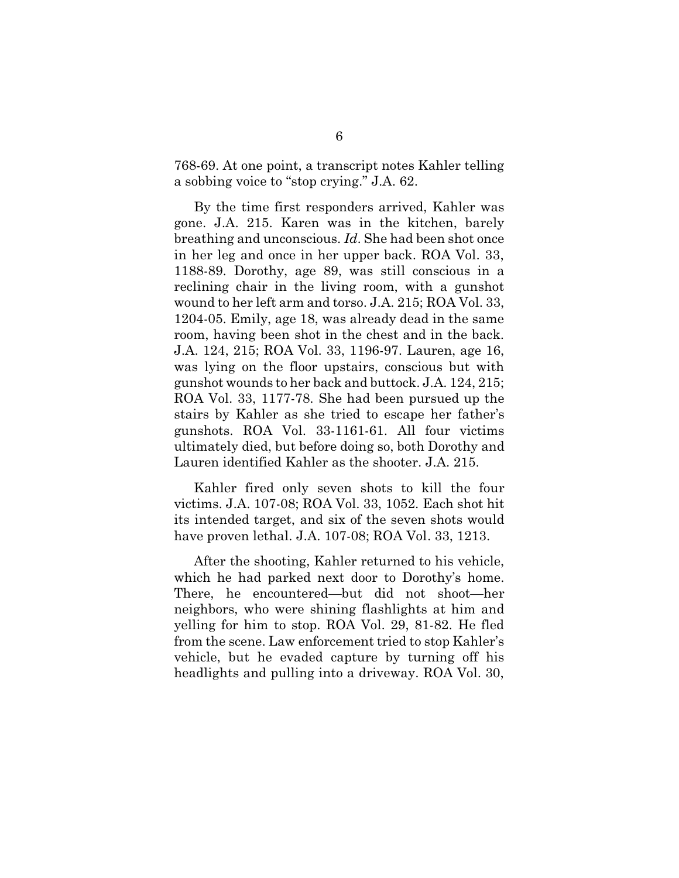768-69. At one point, a transcript notes Kahler telling a sobbing voice to "stop crying." J.A. 62.

By the time first responders arrived, Kahler was gone. J.A. 215. Karen was in the kitchen, barely breathing and unconscious. *Id*. She had been shot once in her leg and once in her upper back. ROA Vol. 33, 1188-89. Dorothy, age 89, was still conscious in a reclining chair in the living room, with a gunshot wound to her left arm and torso. J.A. 215; ROA Vol. 33, 1204-05. Emily, age 18, was already dead in the same room, having been shot in the chest and in the back. J.A. 124, 215; ROA Vol. 33, 1196-97. Lauren, age 16, was lying on the floor upstairs, conscious but with gunshot wounds to her back and buttock. J.A. 124, 215; ROA Vol. 33, 1177-78. She had been pursued up the stairs by Kahler as she tried to escape her father's gunshots. ROA Vol. 33-1161-61. All four victims ultimately died, but before doing so, both Dorothy and Lauren identified Kahler as the shooter. J.A. 215.

Kahler fired only seven shots to kill the four victims. J.A. 107-08; ROA Vol. 33, 1052. Each shot hit its intended target, and six of the seven shots would have proven lethal. J.A. 107-08; ROA Vol. 33, 1213.

After the shooting, Kahler returned to his vehicle, which he had parked next door to Dorothy's home. There, he encountered—but did not shoot—her neighbors, who were shining flashlights at him and yelling for him to stop. ROA Vol. 29, 81-82. He fled from the scene. Law enforcement tried to stop Kahler's vehicle, but he evaded capture by turning off his headlights and pulling into a driveway. ROA Vol. 30,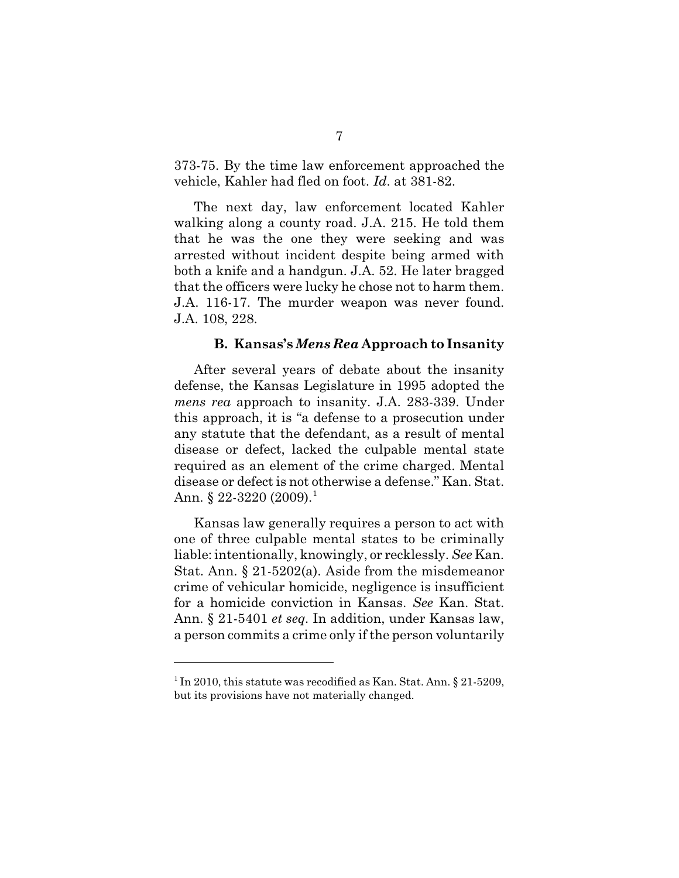373-75. By the time law enforcement approached the vehicle, Kahler had fled on foot. *Id*. at 381-82.

The next day, law enforcement located Kahler walking along a county road. J.A. 215. He told them that he was the one they were seeking and was arrested without incident despite being armed with both a knife and a handgun. J.A. 52. He later bragged that the officers were lucky he chose not to harm them. J.A. 116-17. The murder weapon was never found. J.A. 108, 228.

#### **B. Kansas's** *Mens Rea* **Approach to Insanity**

After several years of debate about the insanity defense, the Kansas Legislature in 1995 adopted the *mens rea* approach to insanity. J.A. 283-339. Under this approach, it is "a defense to a prosecution under any statute that the defendant, as a result of mental disease or defect, lacked the culpable mental state required as an element of the crime charged. Mental disease or defect is not otherwise a defense." Kan. Stat. Ann. § 22-3220 (2009).<sup>1</sup>

Kansas law generally requires a person to act with one of three culpable mental states to be criminally liable: intentionally, knowingly, or recklessly. *See* Kan. Stat. Ann. § 21-5202(a). Aside from the misdemeanor crime of vehicular homicide, negligence is insufficient for a homicide conviction in Kansas. *See* Kan. Stat. Ann. § 21-5401 *et seq.* In addition, under Kansas law, a person commits a crime only if the person voluntarily

<sup>&</sup>lt;sup>1</sup> In 2010, this statute was recodified as Kan. Stat. Ann. § 21-5209, but its provisions have not materially changed.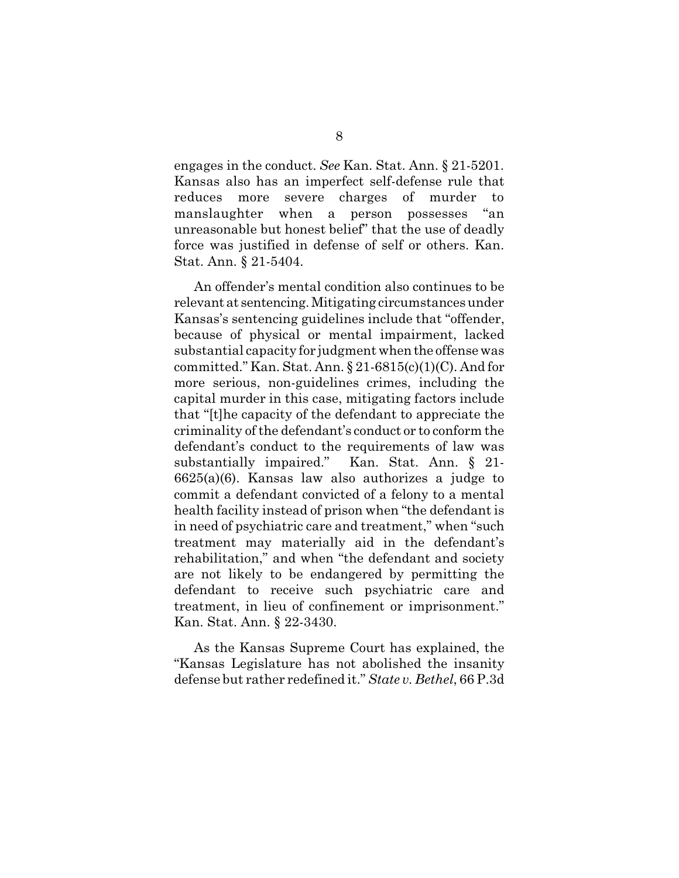engages in the conduct. *See* Kan. Stat. Ann. § 21-5201. Kansas also has an imperfect self-defense rule that reduces more severe charges of murder to manslaughter when a person possesses "an unreasonable but honest belief" that the use of deadly force was justified in defense of self or others. Kan. Stat. Ann. § 21-5404.

An offender's mental condition also continues to be relevant at sentencing. Mitigating circumstances under Kansas's sentencing guidelines include that "offender, because of physical or mental impairment, lacked substantial capacity for judgment when the offense was committed." Kan. Stat. Ann.  $\S 21-6815(c)(1)(C)$ . And for more serious, non-guidelines crimes, including the capital murder in this case, mitigating factors include that "[t]he capacity of the defendant to appreciate the criminality of the defendant's conduct or to conform the defendant's conduct to the requirements of law was substantially impaired." Kan. Stat. Ann. § 21- 6625(a)(6). Kansas law also authorizes a judge to commit a defendant convicted of a felony to a mental health facility instead of prison when "the defendant is in need of psychiatric care and treatment," when "such treatment may materially aid in the defendant's rehabilitation," and when "the defendant and society are not likely to be endangered by permitting the defendant to receive such psychiatric care and treatment, in lieu of confinement or imprisonment." Kan. Stat. Ann. § 22-3430.

As the Kansas Supreme Court has explained, the "Kansas Legislature has not abolished the insanity defense but rather redefined it." *State v. Bethel*, 66 P.3d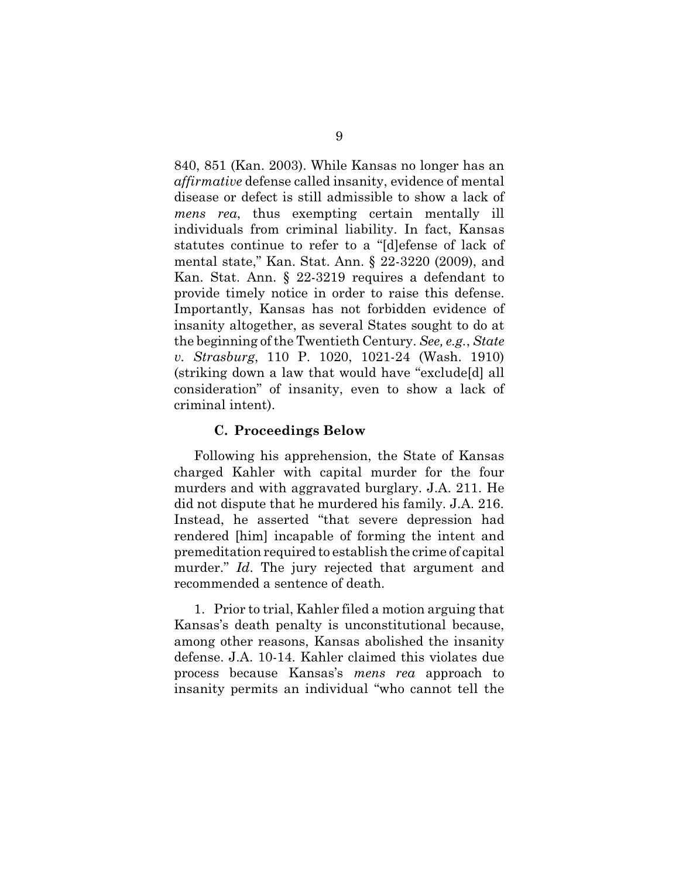840, 851 (Kan. 2003). While Kansas no longer has an *affirmative* defense called insanity, evidence of mental disease or defect is still admissible to show a lack of *mens rea*, thus exempting certain mentally ill individuals from criminal liability. In fact, Kansas statutes continue to refer to a "[d]efense of lack of mental state," Kan. Stat. Ann. § 22-3220 (2009), and Kan. Stat. Ann. § 22-3219 requires a defendant to provide timely notice in order to raise this defense. Importantly, Kansas has not forbidden evidence of insanity altogether, as several States sought to do at the beginning of the Twentieth Century. *See, e.g.*, *State v. Strasburg*, 110 P. 1020, 1021-24 (Wash. 1910) (striking down a law that would have "exclude[d] all consideration" of insanity, even to show a lack of criminal intent).

#### **C. Proceedings Below**

Following his apprehension, the State of Kansas charged Kahler with capital murder for the four murders and with aggravated burglary. J.A. 211. He did not dispute that he murdered his family. J.A. 216. Instead, he asserted "that severe depression had rendered [him] incapable of forming the intent and premeditation required to establish the crime of capital murder." *Id*. The jury rejected that argument and recommended a sentence of death.

1. Prior to trial, Kahler filed a motion arguing that Kansas's death penalty is unconstitutional because, among other reasons, Kansas abolished the insanity defense. J.A. 10-14. Kahler claimed this violates due process because Kansas's *mens rea* approach to insanity permits an individual "who cannot tell the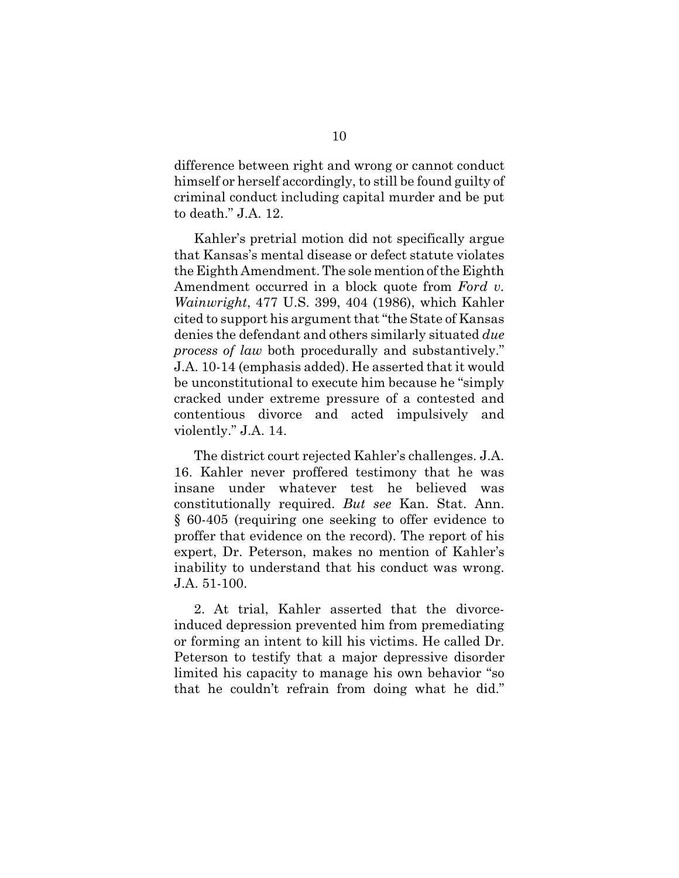difference between right and wrong or cannot conduct himself or herself accordingly, to still be found guilty of criminal conduct including capital murder and be put to death." J.A. 12.

Kahler's pretrial motion did not specifically argue that Kansas's mental disease or defect statute violates the Eighth Amendment. The sole mention of the Eighth Amendment occurred in a block quote from *Ford v. Wainwright*, 477 U.S. 399, 404 (1986), which Kahler cited to support his argument that "the State of Kansas denies the defendant and others similarly situated *due process of law* both procedurally and substantively." J.A. 10-14 (emphasis added). He asserted that it would be unconstitutional to execute him because he "simply cracked under extreme pressure of a contested and contentious divorce and acted impulsively and violently." J.A. 14.

The district court rejected Kahler's challenges. J.A. 16. Kahler never proffered testimony that he was insane under whatever test he believed was constitutionally required. *But see* Kan. Stat. Ann. § 60-405 (requiring one seeking to offer evidence to proffer that evidence on the record). The report of his expert, Dr. Peterson, makes no mention of Kahler's inability to understand that his conduct was wrong. J.A. 51-100.

2. At trial, Kahler asserted that the divorceinduced depression prevented him from premediating or forming an intent to kill his victims. He called Dr. Peterson to testify that a major depressive disorder limited his capacity to manage his own behavior "so that he couldn't refrain from doing what he did."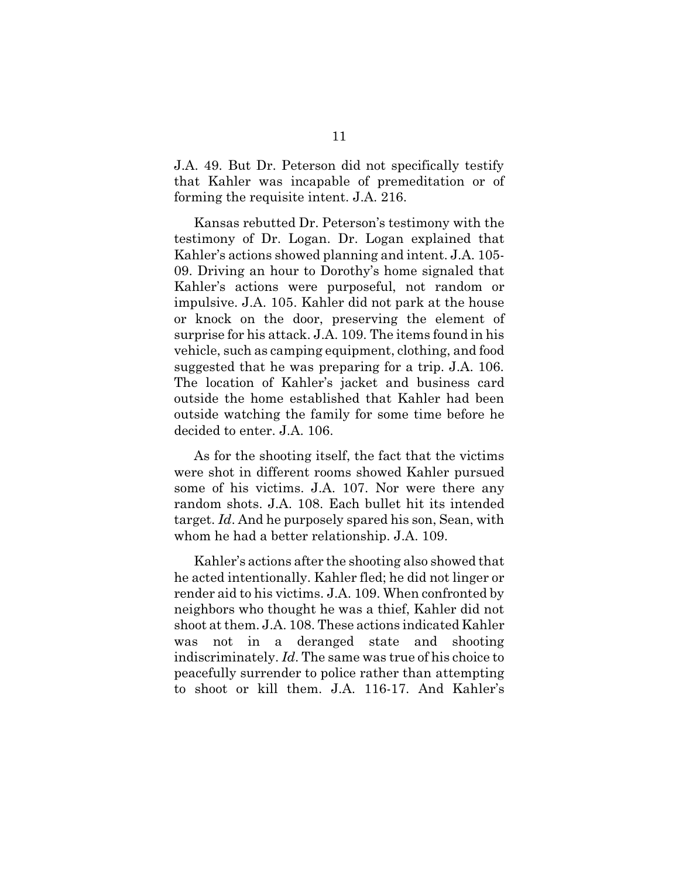J.A. 49. But Dr. Peterson did not specifically testify that Kahler was incapable of premeditation or of forming the requisite intent. J.A. 216.

Kansas rebutted Dr. Peterson's testimony with the testimony of Dr. Logan. Dr. Logan explained that Kahler's actions showed planning and intent. J.A. 105- 09. Driving an hour to Dorothy's home signaled that Kahler's actions were purposeful, not random or impulsive. J.A. 105. Kahler did not park at the house or knock on the door, preserving the element of surprise for his attack. J.A. 109. The items found in his vehicle, such as camping equipment, clothing, and food suggested that he was preparing for a trip. J.A. 106. The location of Kahler's jacket and business card outside the home established that Kahler had been outside watching the family for some time before he decided to enter. J.A. 106.

As for the shooting itself, the fact that the victims were shot in different rooms showed Kahler pursued some of his victims. J.A. 107. Nor were there any random shots. J.A. 108. Each bullet hit its intended target. *Id*. And he purposely spared his son, Sean, with whom he had a better relationship. J.A. 109.

Kahler's actions after the shooting also showed that he acted intentionally. Kahler fled; he did not linger or render aid to his victims. J.A. 109. When confronted by neighbors who thought he was a thief, Kahler did not shoot at them. J.A. 108. These actions indicated Kahler was not in a deranged state and shooting indiscriminately. *Id*. The same was true of his choice to peacefully surrender to police rather than attempting to shoot or kill them. J.A. 116-17. And Kahler's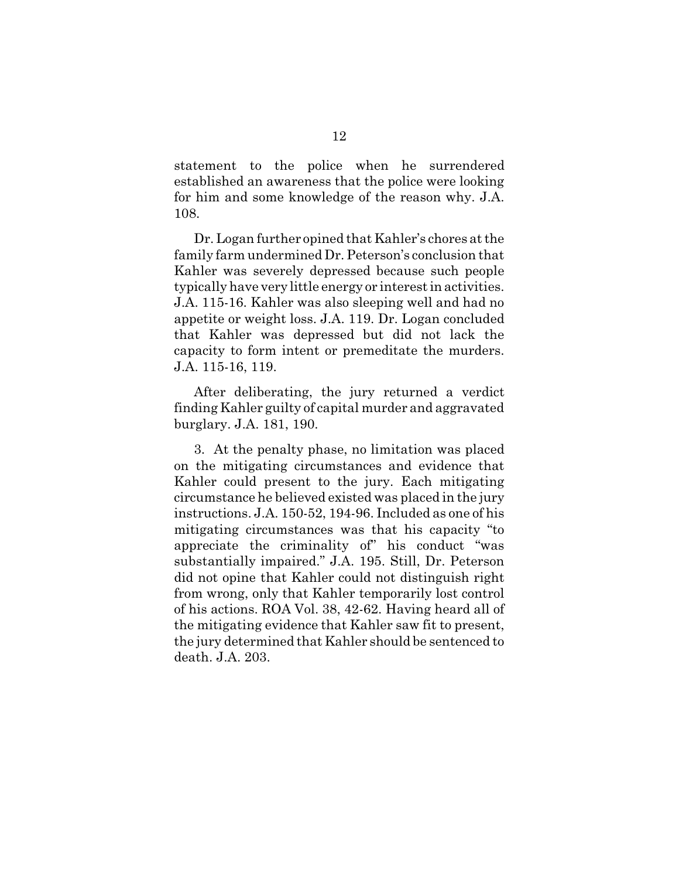statement to the police when he surrendered established an awareness that the police were looking for him and some knowledge of the reason why. J.A. 108.

Dr. Logan further opined that Kahler's chores at the family farm undermined Dr. Peterson's conclusion that Kahler was severely depressed because such people typically have very little energy or interest in activities. J.A. 115-16. Kahler was also sleeping well and had no appetite or weight loss. J.A. 119. Dr. Logan concluded that Kahler was depressed but did not lack the capacity to form intent or premeditate the murders. J.A. 115-16, 119.

After deliberating, the jury returned a verdict finding Kahler guilty of capital murder and aggravated burglary. J.A. 181, 190.

3. At the penalty phase, no limitation was placed on the mitigating circumstances and evidence that Kahler could present to the jury. Each mitigating circumstance he believed existed was placed in the jury instructions. J.A. 150-52, 194-96. Included as one of his mitigating circumstances was that his capacity "to appreciate the criminality of" his conduct "was substantially impaired." J.A. 195. Still, Dr. Peterson did not opine that Kahler could not distinguish right from wrong, only that Kahler temporarily lost control of his actions. ROA Vol. 38, 42-62. Having heard all of the mitigating evidence that Kahler saw fit to present, the jury determined that Kahler should be sentenced to death. J.A. 203.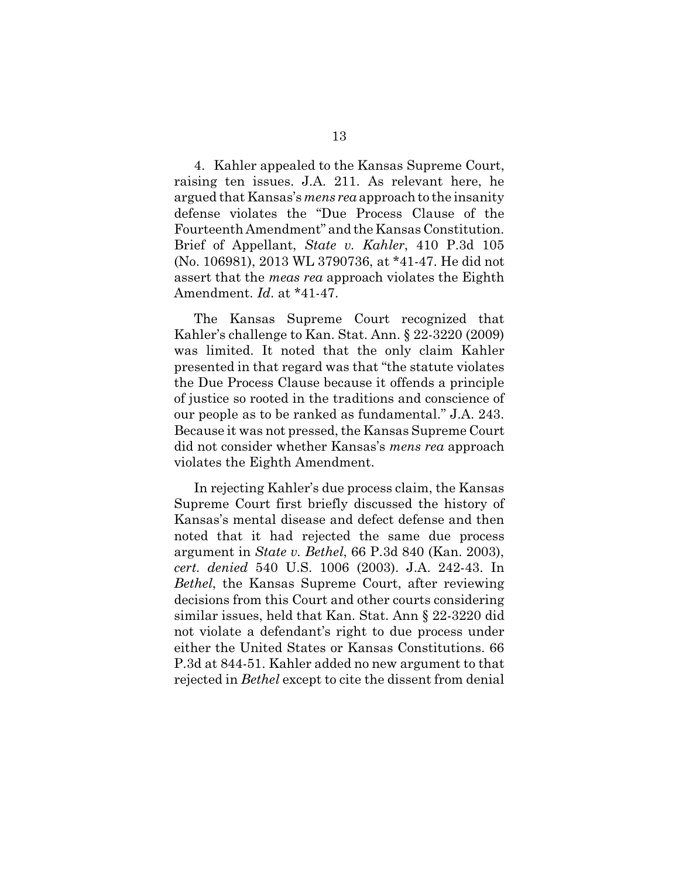4. Kahler appealed to the Kansas Supreme Court, raising ten issues. J.A. 211. As relevant here, he argued that Kansas's *mens rea* approach to the insanity defense violates the "Due Process Clause of the Fourteenth Amendment" and the Kansas Constitution. Brief of Appellant, *State v. Kahler*, 410 P.3d 105 (No. 106981), 2013 WL 3790736, at \*41-47. He did not assert that the *meas rea* approach violates the Eighth Amendment. *Id*. at \*41-47.

The Kansas Supreme Court recognized that Kahler's challenge to Kan. Stat. Ann. § 22-3220 (2009) was limited. It noted that the only claim Kahler presented in that regard was that "the statute violates the Due Process Clause because it offends a principle of justice so rooted in the traditions and conscience of our people as to be ranked as fundamental." J.A. 243. Because it was not pressed, the Kansas Supreme Court did not consider whether Kansas's *mens rea* approach violates the Eighth Amendment.

In rejecting Kahler's due process claim, the Kansas Supreme Court first briefly discussed the history of Kansas's mental disease and defect defense and then noted that it had rejected the same due process argument in *State v. Bethel*, 66 P.3d 840 (Kan. 2003), *cert. denied* 540 U.S. 1006 (2003). J.A. 242-43. In *Bethel*, the Kansas Supreme Court, after reviewing decisions from this Court and other courts considering similar issues, held that Kan. Stat. Ann § 22-3220 did not violate a defendant's right to due process under either the United States or Kansas Constitutions. 66 P.3d at 844-51. Kahler added no new argument to that rejected in *Bethel* except to cite the dissent from denial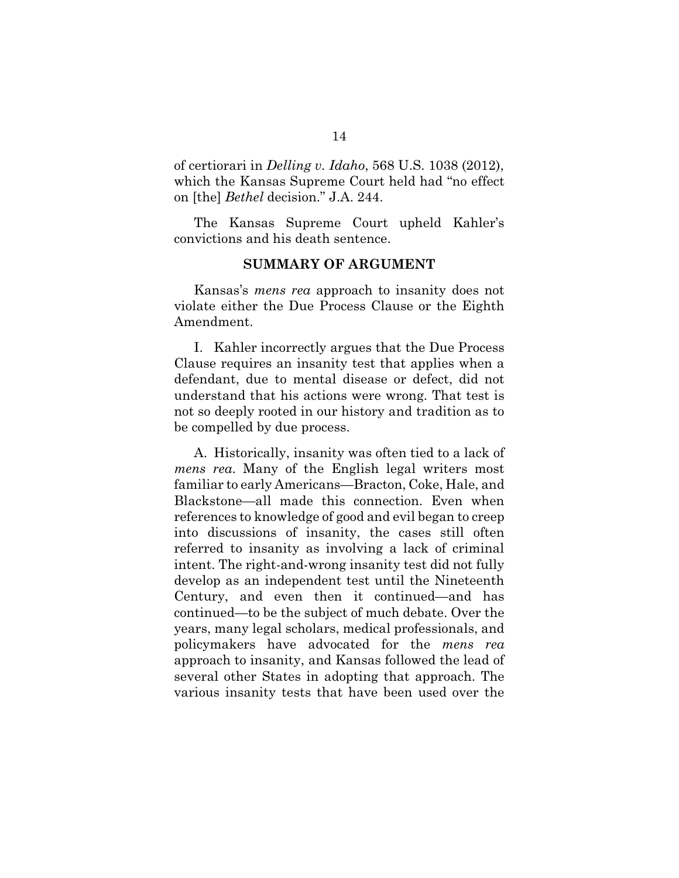of certiorari in *Delling v. Idaho*, 568 U.S. 1038 (2012), which the Kansas Supreme Court held had "no effect on [the] *Bethel* decision." J.A. 244.

The Kansas Supreme Court upheld Kahler's convictions and his death sentence.

#### **SUMMARY OF ARGUMENT**

Kansas's *mens rea* approach to insanity does not violate either the Due Process Clause or the Eighth Amendment.

I. Kahler incorrectly argues that the Due Process Clause requires an insanity test that applies when a defendant, due to mental disease or defect, did not understand that his actions were wrong. That test is not so deeply rooted in our history and tradition as to be compelled by due process.

A. Historically, insanity was often tied to a lack of *mens rea*. Many of the English legal writers most familiar to early Americans—Bracton, Coke, Hale, and Blackstone—all made this connection. Even when references to knowledge of good and evil began to creep into discussions of insanity, the cases still often referred to insanity as involving a lack of criminal intent. The right-and-wrong insanity test did not fully develop as an independent test until the Nineteenth Century, and even then it continued—and has continued—to be the subject of much debate. Over the years, many legal scholars, medical professionals, and policymakers have advocated for the *mens rea* approach to insanity, and Kansas followed the lead of several other States in adopting that approach. The various insanity tests that have been used over the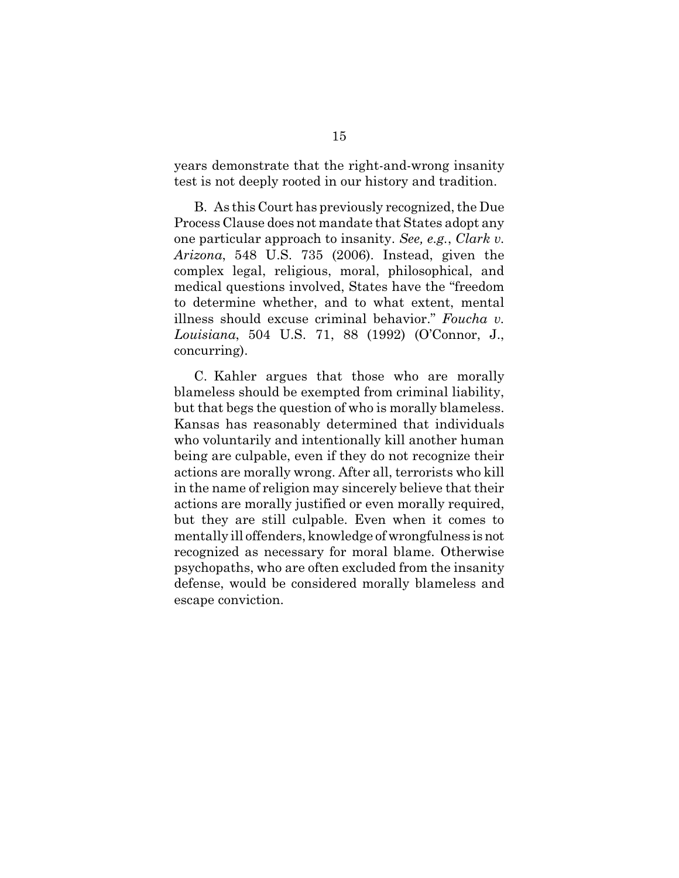years demonstrate that the right-and-wrong insanity test is not deeply rooted in our history and tradition.

B. As this Court has previously recognized, the Due Process Clause does not mandate that States adopt any one particular approach to insanity. *See, e.g.*, *Clark v. Arizona*, 548 U.S. 735 (2006). Instead, given the complex legal, religious, moral, philosophical, and medical questions involved, States have the "freedom to determine whether, and to what extent, mental illness should excuse criminal behavior." *Foucha v. Louisiana*, 504 U.S. 71, 88 (1992) (O'Connor, J., concurring).

C. Kahler argues that those who are morally blameless should be exempted from criminal liability, but that begs the question of who is morally blameless. Kansas has reasonably determined that individuals who voluntarily and intentionally kill another human being are culpable, even if they do not recognize their actions are morally wrong. After all, terrorists who kill in the name of religion may sincerely believe that their actions are morally justified or even morally required, but they are still culpable. Even when it comes to mentally ill offenders, knowledge of wrongfulness is not recognized as necessary for moral blame. Otherwise psychopaths, who are often excluded from the insanity defense, would be considered morally blameless and escape conviction.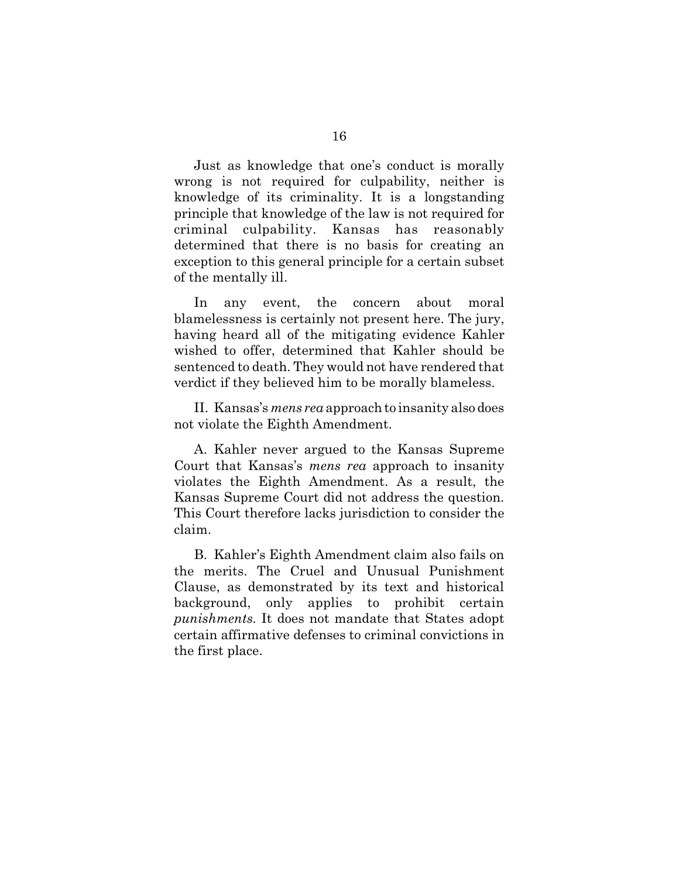Just as knowledge that one's conduct is morally wrong is not required for culpability, neither is knowledge of its criminality. It is a longstanding principle that knowledge of the law is not required for criminal culpability. Kansas has reasonably determined that there is no basis for creating an exception to this general principle for a certain subset of the mentally ill.

In any event, the concern about moral blamelessness is certainly not present here. The jury, having heard all of the mitigating evidence Kahler wished to offer, determined that Kahler should be sentenced to death. They would not have rendered that verdict if they believed him to be morally blameless.

II. Kansas's *mens rea* approach to insanity also does not violate the Eighth Amendment.

A. Kahler never argued to the Kansas Supreme Court that Kansas's *mens rea* approach to insanity violates the Eighth Amendment. As a result, the Kansas Supreme Court did not address the question. This Court therefore lacks jurisdiction to consider the claim.

B. Kahler's Eighth Amendment claim also fails on the merits. The Cruel and Unusual Punishment Clause, as demonstrated by its text and historical background, only applies to prohibit certain *punishments*. It does not mandate that States adopt certain affirmative defenses to criminal convictions in the first place.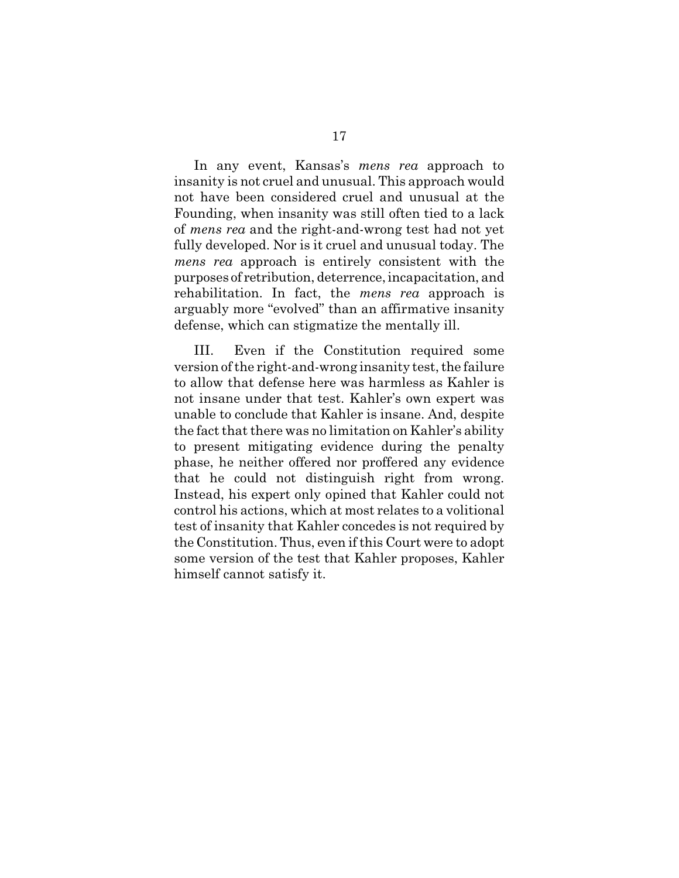In any event, Kansas's *mens rea* approach to insanity is not cruel and unusual. This approach would not have been considered cruel and unusual at the Founding, when insanity was still often tied to a lack of *mens rea* and the right-and-wrong test had not yet fully developed. Nor is it cruel and unusual today. The *mens rea* approach is entirely consistent with the purposes of retribution, deterrence, incapacitation, and rehabilitation. In fact, the *mens rea* approach is arguably more "evolved" than an affirmative insanity defense, which can stigmatize the mentally ill.

III. Even if the Constitution required some version of the right-and-wrong insanity test, the failure to allow that defense here was harmless as Kahler is not insane under that test. Kahler's own expert was unable to conclude that Kahler is insane. And, despite the fact that there was no limitation on Kahler's ability to present mitigating evidence during the penalty phase, he neither offered nor proffered any evidence that he could not distinguish right from wrong. Instead, his expert only opined that Kahler could not control his actions, which at most relates to a volitional test of insanity that Kahler concedes is not required by the Constitution. Thus, even if this Court were to adopt some version of the test that Kahler proposes, Kahler himself cannot satisfy it.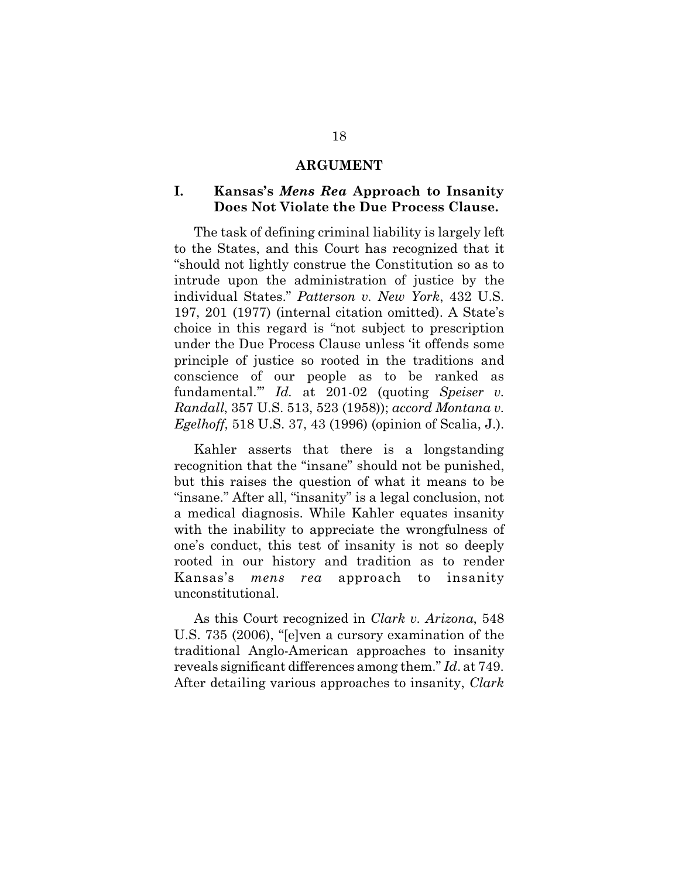#### **ARGUMENT**

## **I. Kansas's** *Mens Rea* **Approach to Insanity Does Not Violate the Due Process Clause.**

The task of defining criminal liability is largely left to the States, and this Court has recognized that it "should not lightly construe the Constitution so as to intrude upon the administration of justice by the individual States." *Patterson v. New York*, 432 U.S. 197, 201 (1977) (internal citation omitted). A State's choice in this regard is "not subject to prescription under the Due Process Clause unless 'it offends some principle of justice so rooted in the traditions and conscience of our people as to be ranked as fundamental.'" *Id.* at 201-02 (quoting *Speiser v. Randall*, 357 U.S. 513, 523 (1958)); *accord Montana v. Egelhoff*, 518 U.S. 37, 43 (1996) (opinion of Scalia, J.).

Kahler asserts that there is a longstanding recognition that the "insane" should not be punished, but this raises the question of what it means to be "insane." After all, "insanity" is a legal conclusion, not a medical diagnosis. While Kahler equates insanity with the inability to appreciate the wrongfulness of one's conduct, this test of insanity is not so deeply rooted in our history and tradition as to render Kansas's *mens rea* approach to insanity unconstitutional.

As this Court recognized in *Clark v. Arizona*, 548 U.S. 735 (2006), "[e]ven a cursory examination of the traditional Anglo-American approaches to insanity reveals significant differences among them." *Id*. at 749. After detailing various approaches to insanity, *Clark*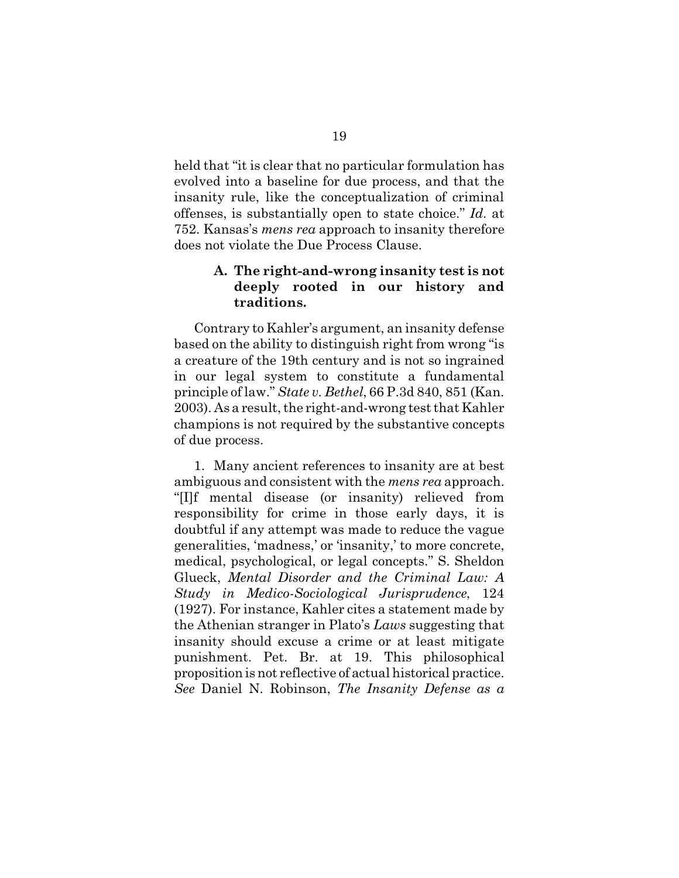held that "it is clear that no particular formulation has evolved into a baseline for due process, and that the insanity rule, like the conceptualization of criminal offenses, is substantially open to state choice." *Id.* at 752. Kansas's *mens rea* approach to insanity therefore does not violate the Due Process Clause.

## **A. The right-and-wrong insanity test is not deeply rooted in our history and traditions.**

Contrary to Kahler's argument, an insanity defense based on the ability to distinguish right from wrong "is a creature of the 19th century and is not so ingrained in our legal system to constitute a fundamental principle of law." *State v. Bethel*, 66 P.3d 840, 851 (Kan. 2003). As a result, the right-and-wrong test that Kahler champions is not required by the substantive concepts of due process.

1. Many ancient references to insanity are at best ambiguous and consistent with the *mens rea* approach. "[I]f mental disease (or insanity) relieved from responsibility for crime in those early days, it is doubtful if any attempt was made to reduce the vague generalities, 'madness,' or 'insanity,' to more concrete, medical, psychological, or legal concepts." S. Sheldon Glueck, *Mental Disorder and the Criminal Law: A Study in Medico-Sociological Jurisprudence*, 124 (1927). For instance, Kahler cites a statement made by the Athenian stranger in Plato's *Laws* suggesting that insanity should excuse a crime or at least mitigate punishment. Pet. Br. at 19. This philosophical proposition is not reflective of actual historical practice. *See* Daniel N. Robinson, *The Insanity Defense as a*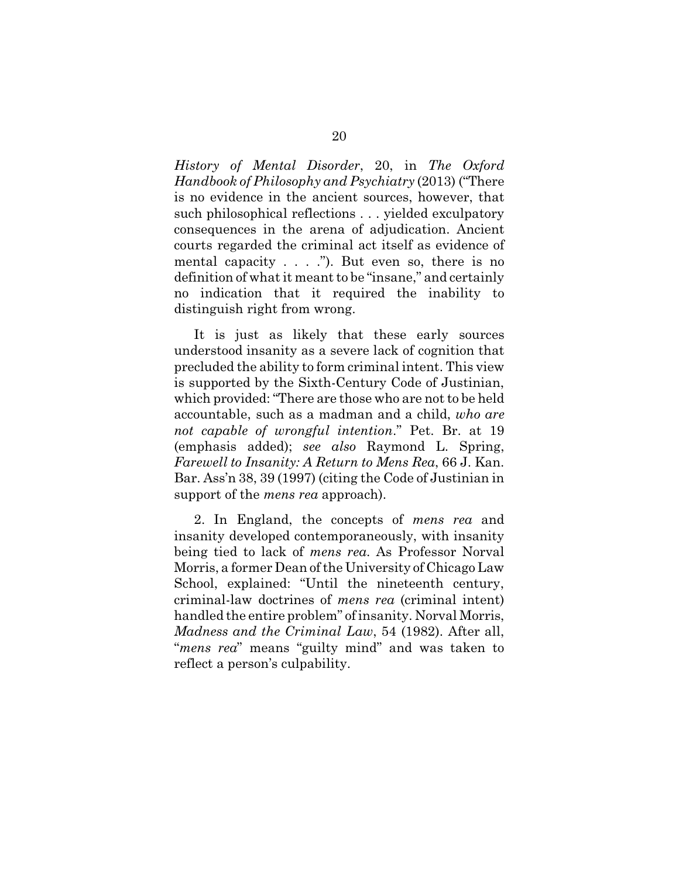*History of Mental Disorder*, 20, in *The Oxford Handbook of Philosophy and Psychiatry* (2013) ("There is no evidence in the ancient sources, however, that such philosophical reflections . . . yielded exculpatory consequences in the arena of adjudication. Ancient courts regarded the criminal act itself as evidence of mental capacity  $\dots$  ."). But even so, there is no definition of what it meant to be "insane," and certainly no indication that it required the inability to distinguish right from wrong.

It is just as likely that these early sources understood insanity as a severe lack of cognition that precluded the ability to form criminal intent. This view is supported by the Sixth-Century Code of Justinian, which provided: "There are those who are not to be held accountable, such as a madman and a child, *who are not capable of wrongful intention*." Pet. Br. at 19 (emphasis added); *see also* Raymond L. Spring, *Farewell to Insanity: A Return to Mens Rea*, 66 J. Kan. Bar. Ass'n 38, 39 (1997) (citing the Code of Justinian in support of the *mens rea* approach).

2. In England, the concepts of *mens rea* and insanity developed contemporaneously, with insanity being tied to lack of *mens rea*. As Professor Norval Morris, a former Dean of the University of Chicago Law School, explained: "Until the nineteenth century, criminal-law doctrines of *mens rea* (criminal intent) handled the entire problem" of insanity. Norval Morris, *Madness and the Criminal Law*, 54 (1982). After all, "*mens rea*" means "guilty mind" and was taken to reflect a person's culpability.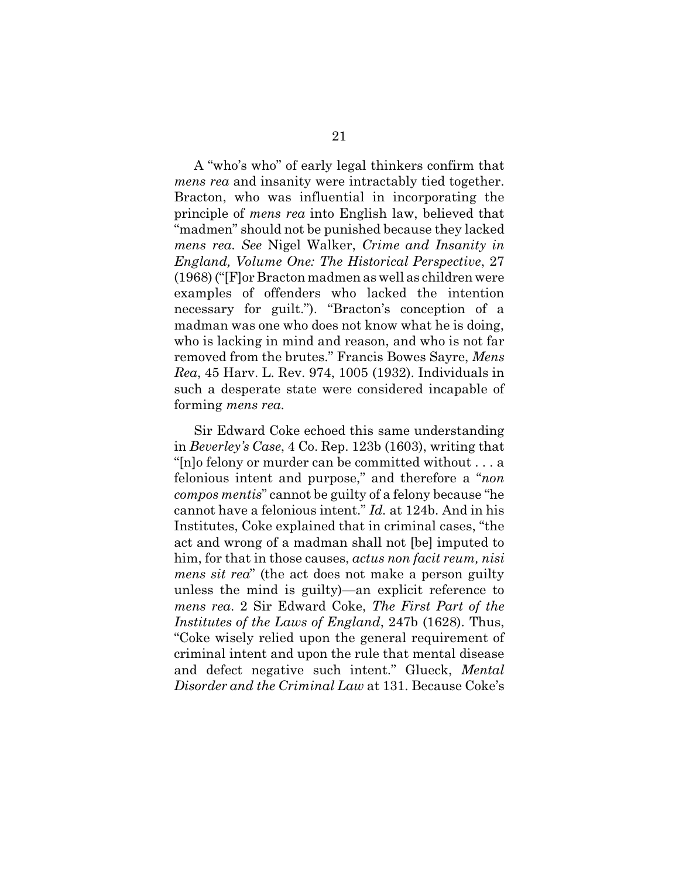A "who's who" of early legal thinkers confirm that *mens rea* and insanity were intractably tied together. Bracton, who was influential in incorporating the principle of *mens rea* into English law, believed that "madmen" should not be punished because they lacked *mens rea*. *See* Nigel Walker, *Crime and Insanity in England, Volume One: The Historical Perspective*, 27 (1968) ("[F]or Bracton madmen as well as children were examples of offenders who lacked the intention necessary for guilt."). "Bracton's conception of a madman was one who does not know what he is doing, who is lacking in mind and reason, and who is not far removed from the brutes." Francis Bowes Sayre, *Mens Rea*, 45 Harv. L. Rev. 974, 1005 (1932). Individuals in such a desperate state were considered incapable of forming *mens rea*.

Sir Edward Coke echoed this same understanding in *Beverley's Case*, 4 Co. Rep. 123b (1603), writing that "[n]o felony or murder can be committed without . . . a felonious intent and purpose," and therefore a "*non compos mentis*" cannot be guilty of a felony because "he cannot have a felonious intent." *Id.* at 124b. And in his Institutes, Coke explained that in criminal cases, "the act and wrong of a madman shall not [be] imputed to him, for that in those causes, *actus non facit reum, nisi mens sit rea*" (the act does not make a person guilty unless the mind is guilty)—an explicit reference to *mens rea*. 2 Sir Edward Coke, *The First Part of the Institutes of the Laws of England*, 247b (1628). Thus, "Coke wisely relied upon the general requirement of criminal intent and upon the rule that mental disease and defect negative such intent." Glueck, *Mental Disorder and the Criminal Law* at 131. Because Coke's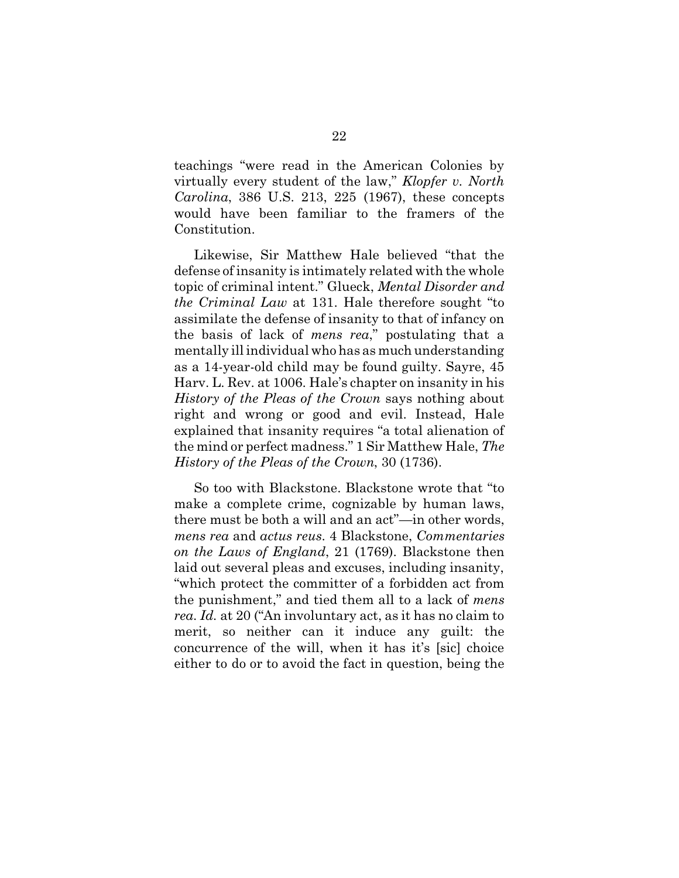teachings "were read in the American Colonies by virtually every student of the law," *Klopfer v. North Carolina*, 386 U.S. 213, 225 (1967), these concepts would have been familiar to the framers of the Constitution.

Likewise, Sir Matthew Hale believed "that the defense of insanity is intimately related with the whole topic of criminal intent." Glueck, *Mental Disorder and the Criminal Law* at 131. Hale therefore sought "to assimilate the defense of insanity to that of infancy on the basis of lack of *mens rea*," postulating that a mentally ill individual who has as much understanding as a 14-year-old child may be found guilty. Sayre, 45 Harv. L. Rev. at 1006. Hale's chapter on insanity in his *History of the Pleas of the Crown* says nothing about right and wrong or good and evil. Instead, Hale explained that insanity requires "a total alienation of the mind or perfect madness." 1 Sir Matthew Hale, *The History of the Pleas of the Crown*, 30 (1736).

So too with Blackstone. Blackstone wrote that "to make a complete crime, cognizable by human laws, there must be both a will and an act"—in other words, *mens rea* and *actus reus*. 4 Blackstone, *Commentaries on the Laws of England*, 21 (1769). Blackstone then laid out several pleas and excuses, including insanity, "which protect the committer of a forbidden act from the punishment," and tied them all to a lack of *mens rea*. *Id.* at 20 ("An involuntary act, as it has no claim to merit, so neither can it induce any guilt: the concurrence of the will, when it has it's [sic] choice either to do or to avoid the fact in question, being the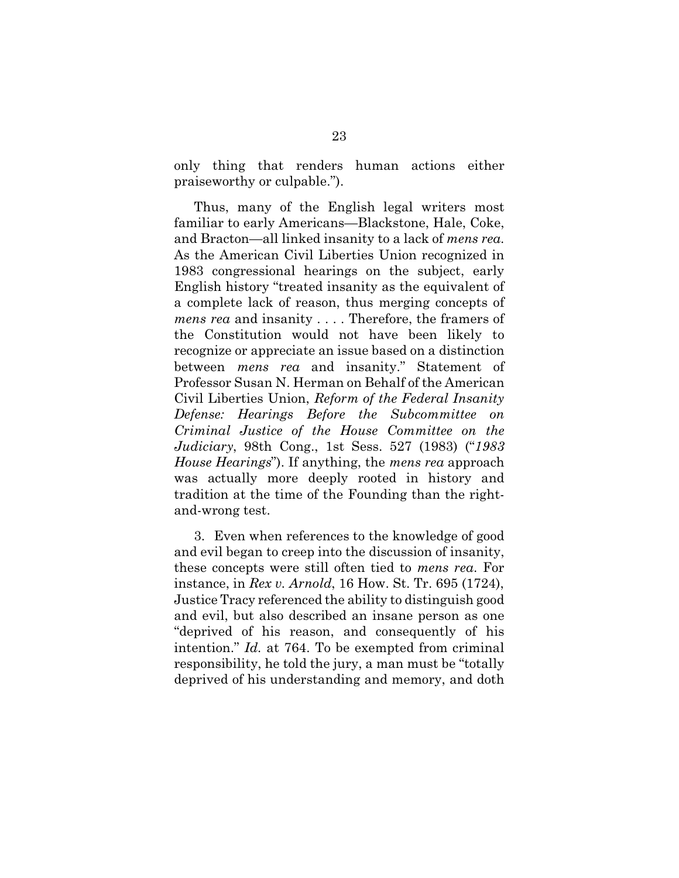only thing that renders human actions either praiseworthy or culpable.").

Thus, many of the English legal writers most familiar to early Americans—Blackstone, Hale, Coke, and Bracton—all linked insanity to a lack of *mens rea*. As the American Civil Liberties Union recognized in 1983 congressional hearings on the subject, early English history "treated insanity as the equivalent of a complete lack of reason, thus merging concepts of *mens rea* and insanity . . . . Therefore, the framers of the Constitution would not have been likely to recognize or appreciate an issue based on a distinction between *mens rea* and insanity." Statement of Professor Susan N. Herman on Behalf of the American Civil Liberties Union, *Reform of the Federal Insanity Defense: Hearings Before the Subcommittee on Criminal Justice of the House Committee on the Judiciary*, 98th Cong., 1st Sess. 527 (1983) ("*1983 House Hearings*"). If anything, the *mens rea* approach was actually more deeply rooted in history and tradition at the time of the Founding than the rightand-wrong test.

3. Even when references to the knowledge of good and evil began to creep into the discussion of insanity, these concepts were still often tied to *mens rea*. For instance, in *Rex v. Arnold*, 16 How. St. Tr. 695 (1724), Justice Tracy referenced the ability to distinguish good and evil, but also described an insane person as one "deprived of his reason, and consequently of his intention." *Id.* at 764. To be exempted from criminal responsibility, he told the jury, a man must be "totally deprived of his understanding and memory, and doth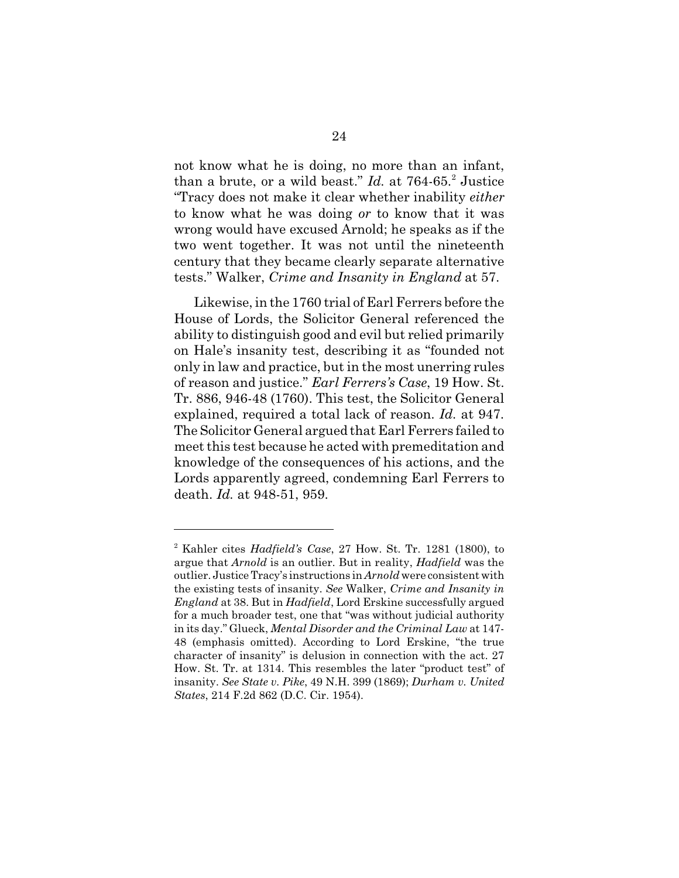not know what he is doing, no more than an infant, than a brute, or a wild beast." *Id.* at 764-65.<sup>2</sup> Justice "Tracy does not make it clear whether inability *either* to know what he was doing *or* to know that it was wrong would have excused Arnold; he speaks as if the two went together. It was not until the nineteenth century that they became clearly separate alternative tests." Walker, *Crime and Insanity in England* at 57.

Likewise, in the 1760 trial of Earl Ferrers before the House of Lords, the Solicitor General referenced the ability to distinguish good and evil but relied primarily on Hale's insanity test, describing it as "founded not only in law and practice, but in the most unerring rules of reason and justice." *Earl Ferrers's Case*, 19 How. St. Tr. 886, 946-48 (1760). This test, the Solicitor General explained, required a total lack of reason. *Id.* at 947. The Solicitor General argued that Earl Ferrers failed to meet this test because he acted with premeditation and knowledge of the consequences of his actions, and the Lords apparently agreed, condemning Earl Ferrers to death. *Id.* at 948-51, 959.

<sup>2</sup> Kahler cites *Hadfield's Case*, 27 How. St. Tr. 1281 (1800), to argue that *Arnold* is an outlier. But in reality, *Hadfield* was the outlier. Justice Tracy's instructions in *Arnold* were consistent with the existing tests of insanity. *See* Walker, *Crime and Insanity in England* at 38. But in *Hadfield*, Lord Erskine successfully argued for a much broader test, one that "was without judicial authority in its day." Glueck, *Mental Disorder and the Criminal Law* at 147- 48 (emphasis omitted). According to Lord Erskine, "the true character of insanity" is delusion in connection with the act. 27 How. St. Tr. at 1314. This resembles the later "product test" of insanity. *See State v. Pike*, 49 N.H. 399 (1869); *Durham v. United States*, 214 F.2d 862 (D.C. Cir. 1954).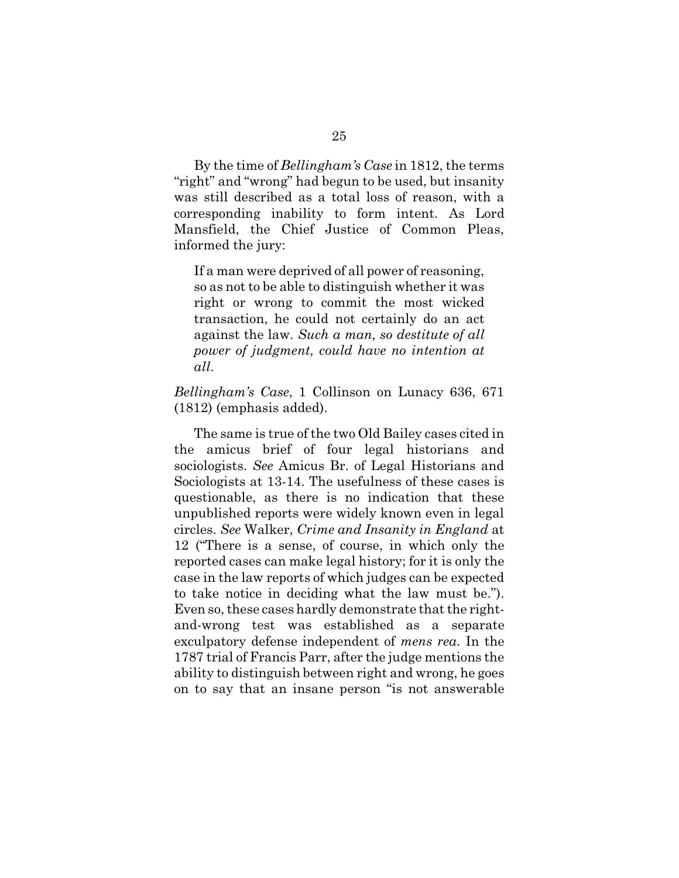By the time of *Bellingham's Case* in 1812, the terms "right" and "wrong" had begun to be used, but insanity was still described as a total loss of reason, with a corresponding inability to form intent. As Lord Mansfield, the Chief Justice of Common Pleas, informed the jury:

If a man were deprived of all power of reasoning, so as not to be able to distinguish whether it was right or wrong to commit the most wicked transaction, he could not certainly do an act against the law. *Such a man, so destitute of all power of judgment, could have no intention at all*.

*Bellingham's Case*, 1 Collinson on Lunacy 636, 671 (1812) (emphasis added).

The same is true of the two Old Bailey cases cited in the amicus brief of four legal historians and sociologists. *See* Amicus Br. of Legal Historians and Sociologists at 13-14. The usefulness of these cases is questionable, as there is no indication that these unpublished reports were widely known even in legal circles. *See* Walker, *Crime and Insanity in England* at 12 ("There is a sense, of course, in which only the reported cases can make legal history; for it is only the case in the law reports of which judges can be expected to take notice in deciding what the law must be."). Even so, these cases hardly demonstrate that the rightand-wrong test was established as a separate exculpatory defense independent of *mens rea*. In the 1787 trial of Francis Parr, after the judge mentions the ability to distinguish between right and wrong, he goes on to say that an insane person "is not answerable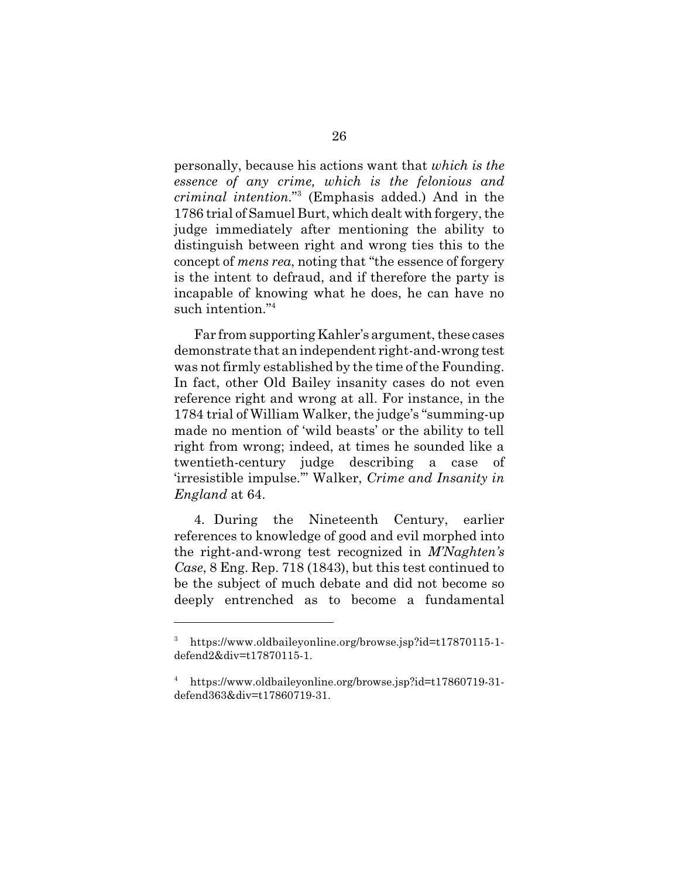personally, because his actions want that *which is the essence of any crime, which is the felonious and criminal intention*."<sup>3</sup> (Emphasis added.) And in the 1786 trial of Samuel Burt, which dealt with forgery, the judge immediately after mentioning the ability to distinguish between right and wrong ties this to the concept of *mens rea*, noting that "the essence of forgery is the intent to defraud, and if therefore the party is incapable of knowing what he does, he can have no such intention."<sup>4</sup>

Far from supporting Kahler's argument, these cases demonstrate that an independent right-and-wrong test was not firmly established by the time of the Founding. In fact, other Old Bailey insanity cases do not even reference right and wrong at all. For instance, in the 1784 trial of William Walker, the judge's "summing-up made no mention of 'wild beasts' or the ability to tell right from wrong; indeed, at times he sounded like a twentieth-century judge describing a case of 'irresistible impulse.'" Walker, *Crime and Insanity in England* at 64.

4. During the Nineteenth Century, earlier references to knowledge of good and evil morphed into the right-and-wrong test recognized in *M'Naghten's Case*, 8 Eng. Rep. 718 (1843), but this test continued to be the subject of much debate and did not become so deeply entrenched as to become a fundamental

<sup>3</sup> https://www.oldbaileyonline.org/browse.jsp?id=t17870115-1 defend2&div=t17870115-1.

<sup>4</sup> https://www.oldbaileyonline.org/browse.jsp?id=t17860719-31 defend363&div=t17860719-31.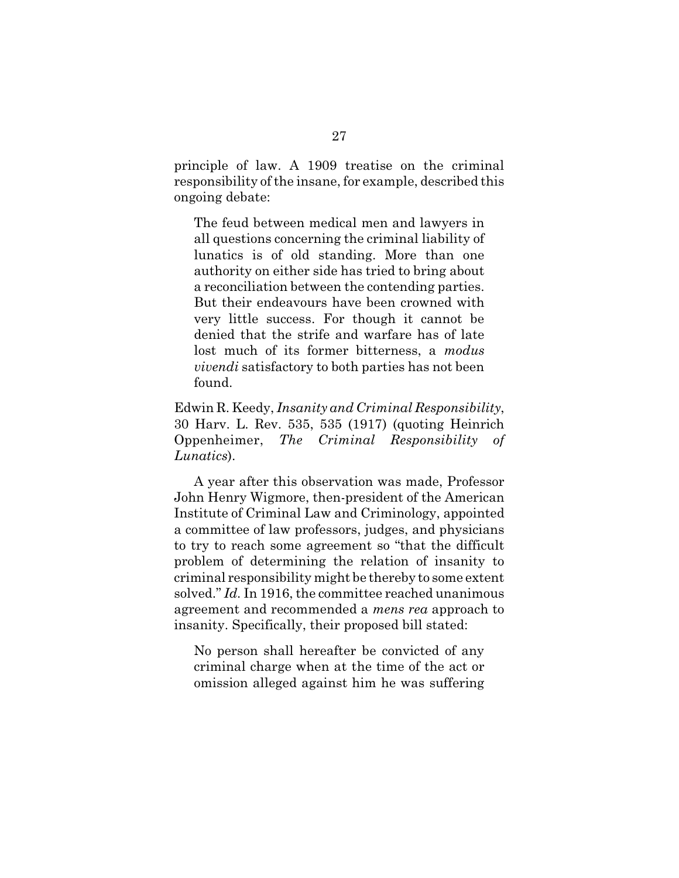principle of law. A 1909 treatise on the criminal responsibility of the insane, for example, described this ongoing debate:

The feud between medical men and lawyers in all questions concerning the criminal liability of lunatics is of old standing. More than one authority on either side has tried to bring about a reconciliation between the contending parties. But their endeavours have been crowned with very little success. For though it cannot be denied that the strife and warfare has of late lost much of its former bitterness, a *modus vivendi* satisfactory to both parties has not been found.

Edwin R. Keedy, *Insanity and Criminal Responsibility*, 30 Harv. L. Rev. 535, 535 (1917) (quoting Heinrich Oppenheimer, *The Criminal Responsibility of Lunatics*).

A year after this observation was made, Professor John Henry Wigmore, then-president of the American Institute of Criminal Law and Criminology, appointed a committee of law professors, judges, and physicians to try to reach some agreement so "that the difficult problem of determining the relation of insanity to criminal responsibility might be thereby to some extent solved." *Id.* In 1916, the committee reached unanimous agreement and recommended a *mens rea* approach to insanity. Specifically, their proposed bill stated:

No person shall hereafter be convicted of any criminal charge when at the time of the act or omission alleged against him he was suffering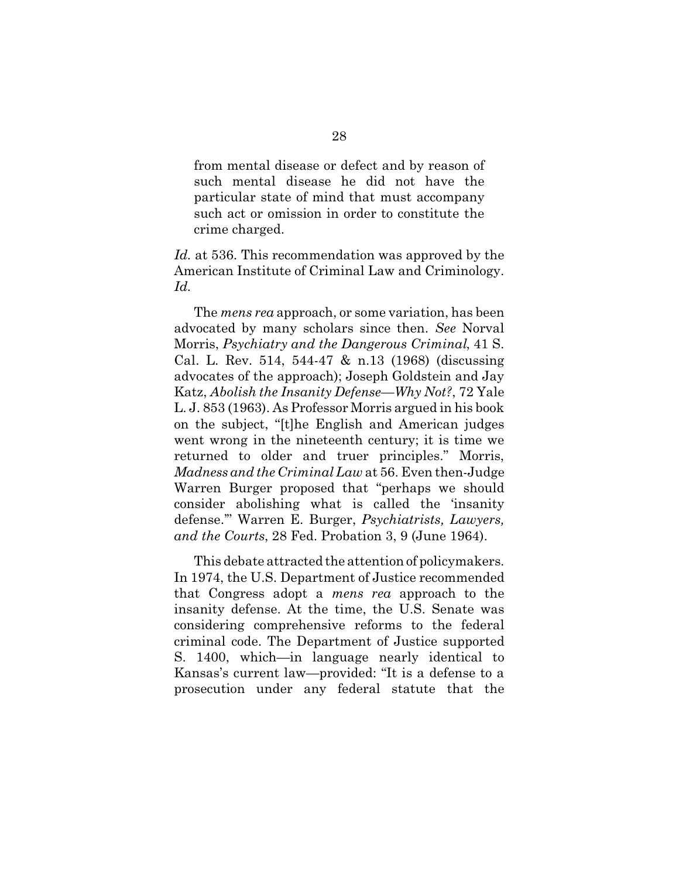from mental disease or defect and by reason of such mental disease he did not have the particular state of mind that must accompany such act or omission in order to constitute the crime charged.

*Id.* at 536. This recommendation was approved by the American Institute of Criminal Law and Criminology. *Id.*

The *mens rea* approach, or some variation, has been advocated by many scholars since then. *See* Norval Morris, *Psychiatry and the Dangerous Criminal*, 41 S. Cal. L. Rev. 514, 544-47 & n.13 (1968) (discussing advocates of the approach); Joseph Goldstein and Jay Katz, *Abolish the Insanity Defense—Why Not?*, 72 Yale L. J. 853 (1963). As Professor Morris argued in his book on the subject, "[t]he English and American judges went wrong in the nineteenth century; it is time we returned to older and truer principles." Morris, *Madness and the Criminal Law* at 56. Even then-Judge Warren Burger proposed that "perhaps we should consider abolishing what is called the 'insanity defense.'" Warren E. Burger, *Psychiatrists, Lawyers, and the Courts*, 28 Fed. Probation 3, 9 (June 1964).

This debate attracted the attention of policymakers. In 1974, the U.S. Department of Justice recommended that Congress adopt a *mens rea* approach to the insanity defense. At the time, the U.S. Senate was considering comprehensive reforms to the federal criminal code. The Department of Justice supported S. 1400, which—in language nearly identical to Kansas's current law—provided: "It is a defense to a prosecution under any federal statute that the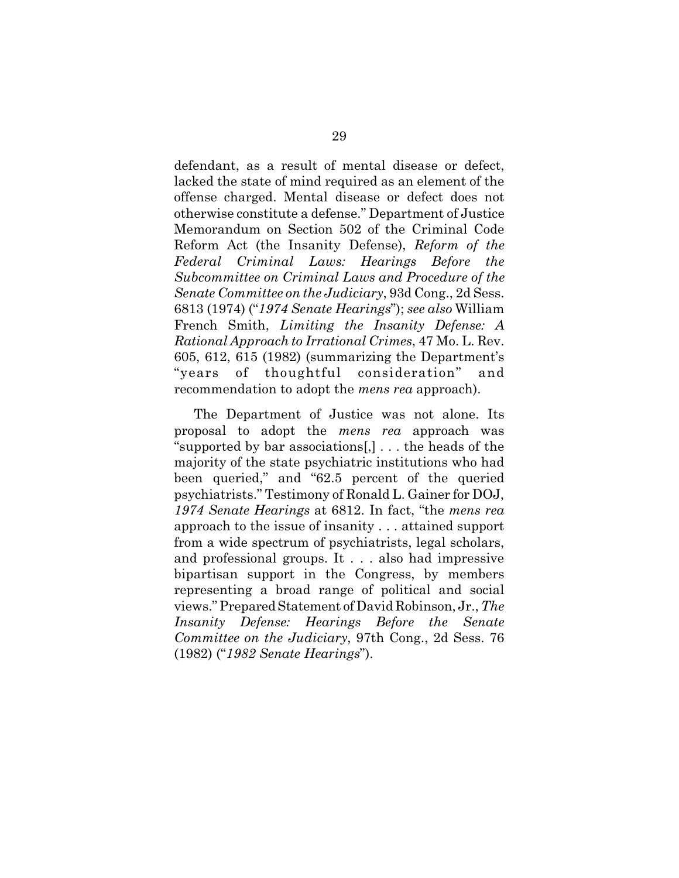defendant, as a result of mental disease or defect, lacked the state of mind required as an element of the offense charged. Mental disease or defect does not otherwise constitute a defense." Department of Justice Memorandum on Section 502 of the Criminal Code Reform Act (the Insanity Defense), *Reform of the Federal Criminal Laws: Hearings Before the Subcommittee on Criminal Laws and Procedure of the Senate Committee on the Judiciary*, 93d Cong., 2d Sess. 6813 (1974) ("*1974 Senate Hearings*"); *see also* William French Smith, *Limiting the Insanity Defense: A Rational Approach to Irrational Crimes*, 47 Mo. L. Rev. 605, 612, 615 (1982) (summarizing the Department's "years of thoughtful consideration" and recommendation to adopt the *mens rea* approach).

The Department of Justice was not alone. Its proposal to adopt the *mens rea* approach was "supported by bar associations[,] . . . the heads of the majority of the state psychiatric institutions who had been queried," and "62.5 percent of the queried psychiatrists." Testimony of Ronald L. Gainer for DOJ, *1974 Senate Hearings* at 6812. In fact, "the *mens rea* approach to the issue of insanity . . . attained support from a wide spectrum of psychiatrists, legal scholars, and professional groups. It . . . also had impressive bipartisan support in the Congress, by members representing a broad range of political and social views." Prepared Statement of David Robinson, Jr., *The Insanity Defense: Hearings Before the Senate Committee on the Judiciary*, 97th Cong., 2d Sess. 76 (1982) ("*1982 Senate Hearings*").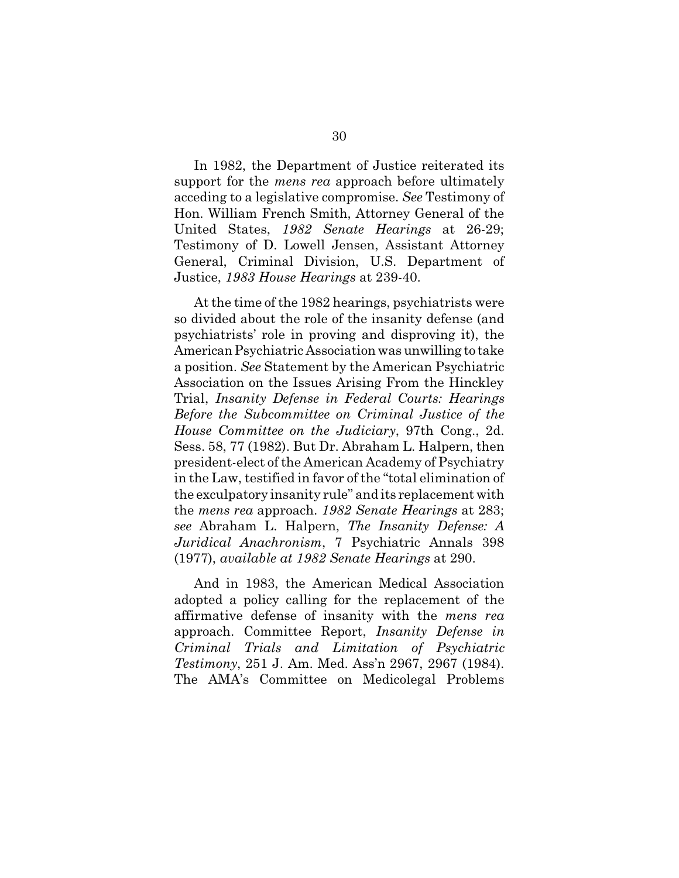In 1982, the Department of Justice reiterated its support for the *mens rea* approach before ultimately acceding to a legislative compromise. *See* Testimony of Hon. William French Smith, Attorney General of the United States, *1982 Senate Hearings* at 26-29; Testimony of D. Lowell Jensen, Assistant Attorney General, Criminal Division, U.S. Department of Justice, *1983 House Hearings* at 239-40.

At the time of the 1982 hearings, psychiatrists were so divided about the role of the insanity defense (and psychiatrists' role in proving and disproving it), the American Psychiatric Association was unwilling to take a position. *See* Statement by the American Psychiatric Association on the Issues Arising From the Hinckley Trial, *Insanity Defense in Federal Courts: Hearings Before the Subcommittee on Criminal Justice of the House Committee on the Judiciary*, 97th Cong., 2d. Sess. 58, 77 (1982). But Dr. Abraham L. Halpern, then president-elect of the American Academy of Psychiatry in the Law, testified in favor of the "total elimination of the exculpatory insanity rule" and its replacement with the *mens rea* approach. *1982 Senate Hearings* at 283; *see* Abraham L. Halpern, *The Insanity Defense: A Juridical Anachronism*, 7 Psychiatric Annals 398 (1977), *available at 1982 Senate Hearings* at 290.

And in 1983, the American Medical Association adopted a policy calling for the replacement of the affirmative defense of insanity with the *mens rea* approach. Committee Report, *Insanity Defense in Criminal Trials and Limitation of Psychiatric Testimony*, 251 J. Am. Med. Ass'n 2967, 2967 (1984). The AMA's Committee on Medicolegal Problems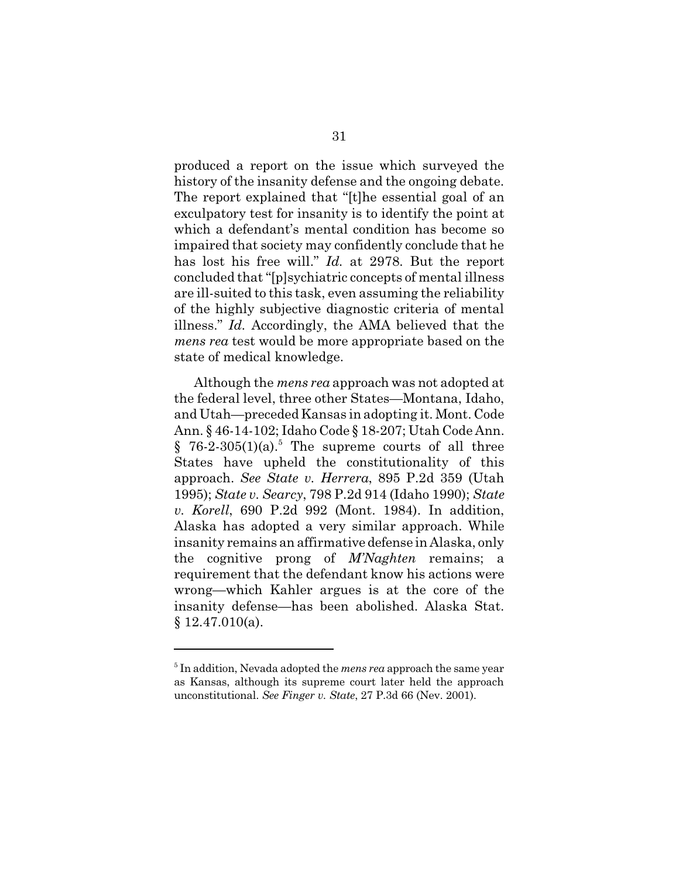produced a report on the issue which surveyed the history of the insanity defense and the ongoing debate. The report explained that "[t]he essential goal of an exculpatory test for insanity is to identify the point at which a defendant's mental condition has become so impaired that society may confidently conclude that he has lost his free will." *Id.* at 2978. But the report concluded that "[p]sychiatric concepts of mental illness are ill-suited to this task, even assuming the reliability of the highly subjective diagnostic criteria of mental illness." *Id.* Accordingly, the AMA believed that the *mens rea* test would be more appropriate based on the state of medical knowledge.

Although the *mens rea* approach was not adopted at the federal level, three other States—Montana, Idaho, and Utah—preceded Kansas in adopting it. Mont. Code Ann. § 46-14-102; Idaho Code § 18-207; Utah Code Ann.  $§$  76-2-305(1)(a).<sup>5</sup> The supreme courts of all three States have upheld the constitutionality of this approach. *See State v. Herrera*, 895 P.2d 359 (Utah 1995); *State v. Searcy*, 798 P.2d 914 (Idaho 1990); *State v. Korell*, 690 P.2d 992 (Mont. 1984). In addition, Alaska has adopted a very similar approach. While insanity remains an affirmative defense in Alaska, only the cognitive prong of *M'Naghten* remains; a requirement that the defendant know his actions were wrong—which Kahler argues is at the core of the insanity defense—has been abolished. Alaska Stat. § 12.47.010(a).

<sup>5</sup> In addition, Nevada adopted the *mens rea* approach the same year as Kansas, although its supreme court later held the approach unconstitutional. *See Finger v. State*, 27 P.3d 66 (Nev. 2001).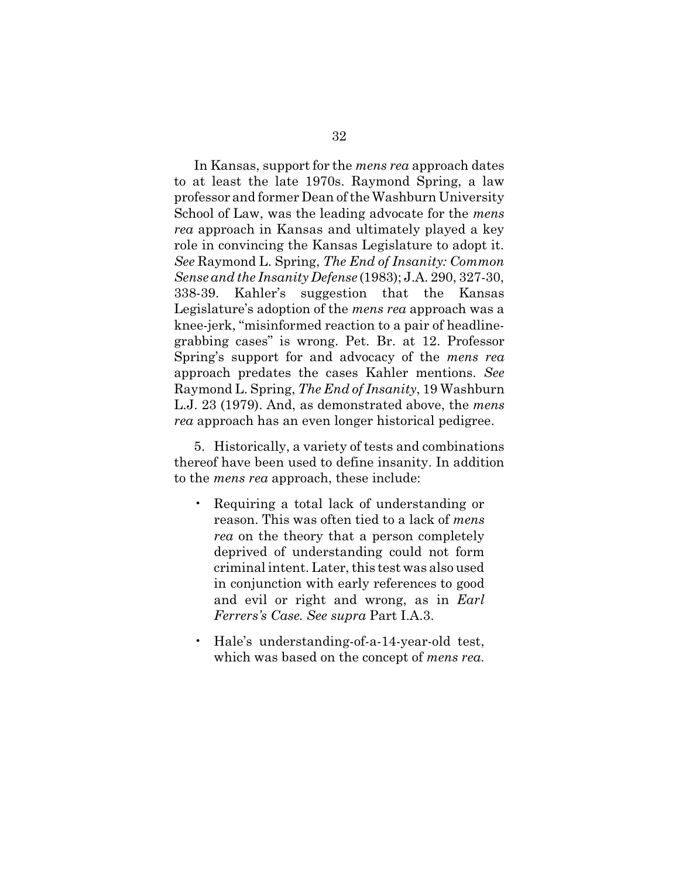In Kansas, support for the *mens rea* approach dates to at least the late 1970s. Raymond Spring, a law professor and former Dean of the Washburn University School of Law, was the leading advocate for the *mens rea* approach in Kansas and ultimately played a key role in convincing the Kansas Legislature to adopt it. *See* Raymond L. Spring, *The End of Insanity: Common Sense and the Insanity Defense* (1983); J.A. 290, 327-30, 338-39. Kahler's suggestion that the Kansas Legislature's adoption of the *mens rea* approach was a knee-jerk, "misinformed reaction to a pair of headlinegrabbing cases" is wrong. Pet. Br. at 12. Professor Spring's support for and advocacy of the *mens rea* approach predates the cases Kahler mentions. *See* Raymond L. Spring, *The End of Insanity*, 19 Washburn L.J. 23 (1979). And, as demonstrated above, the *mens rea* approach has an even longer historical pedigree.

5. Historically, a variety of tests and combinations thereof have been used to define insanity. In addition to the *mens rea* approach, these include:

- Requiring a total lack of understanding or reason. This was often tied to a lack of *mens rea* on the theory that a person completely deprived of understanding could not form criminal intent. Later, this test was also used in conjunction with early references to good and evil or right and wrong, as in *Earl Ferrers's Case*. *See supra* Part I.A.3.
- Hale's understanding-of-a-14-year-old test, which was based on the concept of *mens rea*.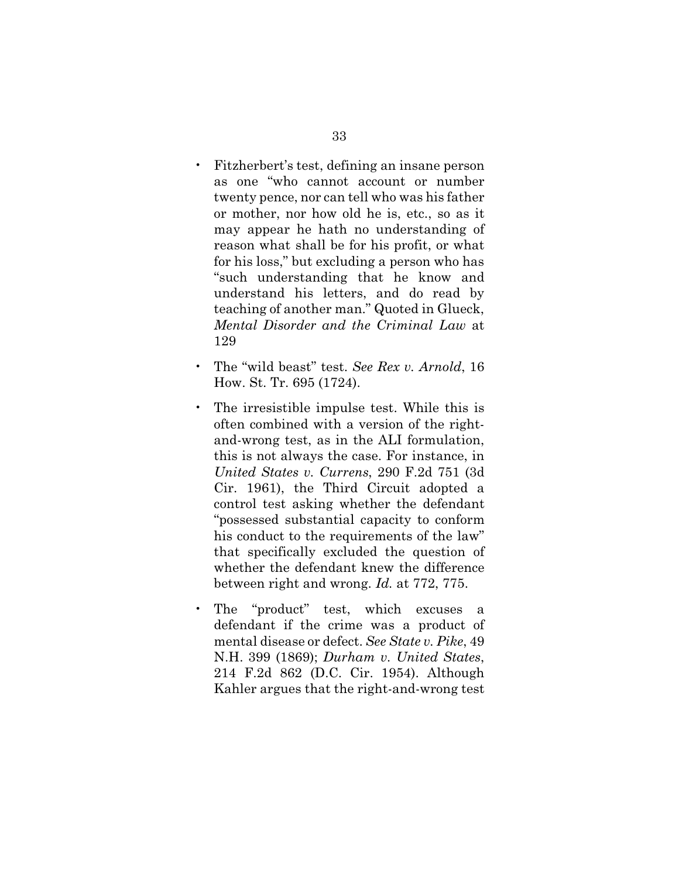- Fitzherbert's test, defining an insane person as one "who cannot account or number twenty pence, nor can tell who was his father or mother, nor how old he is, etc., so as it may appear he hath no understanding of reason what shall be for his profit, or what for his loss," but excluding a person who has "such understanding that he know and understand his letters, and do read by teaching of another man." Quoted in Glueck, *Mental Disorder and the Criminal Law* at 129
- The "wild beast" test. *See Rex v. Arnold*, 16 How. St. Tr. 695 (1724).
- The irresistible impulse test. While this is often combined with a version of the rightand-wrong test, as in the ALI formulation, this is not always the case. For instance, in *United States v. Currens*, 290 F.2d 751 (3d Cir. 1961), the Third Circuit adopted a control test asking whether the defendant "possessed substantial capacity to conform his conduct to the requirements of the law" that specifically excluded the question of whether the defendant knew the difference between right and wrong. *Id.* at 772, 775.
- The "product" test, which excuses a defendant if the crime was a product of mental disease or defect. *See State v. Pike*, 49 N.H. 399 (1869); *Durham v. United States*, 214 F.2d 862 (D.C. Cir. 1954). Although Kahler argues that the right-and-wrong test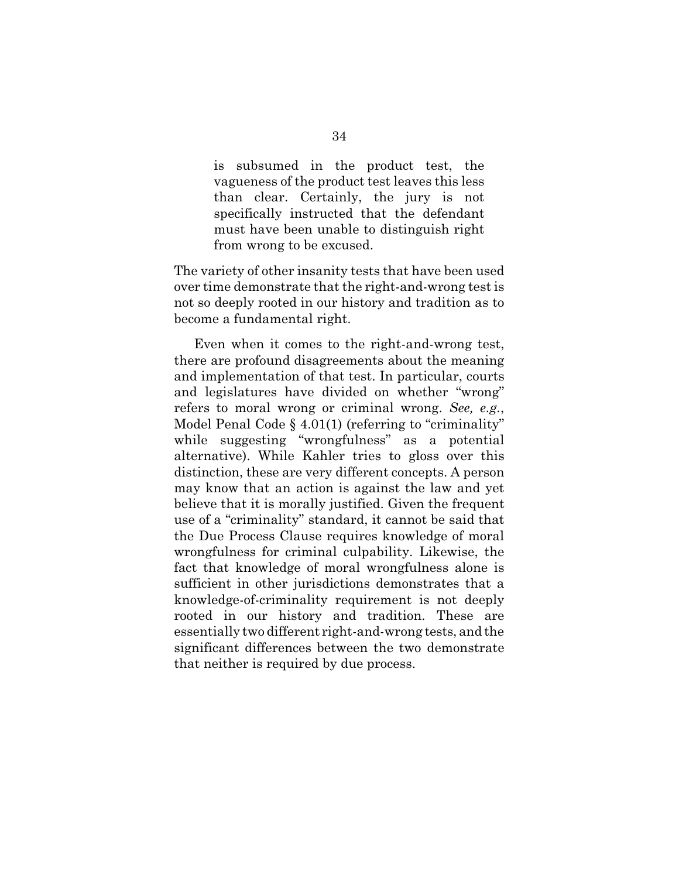is subsumed in the product test, the vagueness of the product test leaves this less than clear. Certainly, the jury is not specifically instructed that the defendant must have been unable to distinguish right from wrong to be excused.

The variety of other insanity tests that have been used over time demonstrate that the right-and-wrong test is not so deeply rooted in our history and tradition as to become a fundamental right.

Even when it comes to the right-and-wrong test, there are profound disagreements about the meaning and implementation of that test. In particular, courts and legislatures have divided on whether "wrong" refers to moral wrong or criminal wrong. *See, e.g.*, Model Penal Code § 4.01(1) (referring to "criminality" while suggesting "wrongfulness" as a potential alternative). While Kahler tries to gloss over this distinction, these are very different concepts. A person may know that an action is against the law and yet believe that it is morally justified. Given the frequent use of a "criminality" standard, it cannot be said that the Due Process Clause requires knowledge of moral wrongfulness for criminal culpability. Likewise, the fact that knowledge of moral wrongfulness alone is sufficient in other jurisdictions demonstrates that a knowledge-of-criminality requirement is not deeply rooted in our history and tradition. These are essentially two different right-and-wrong tests, and the significant differences between the two demonstrate that neither is required by due process.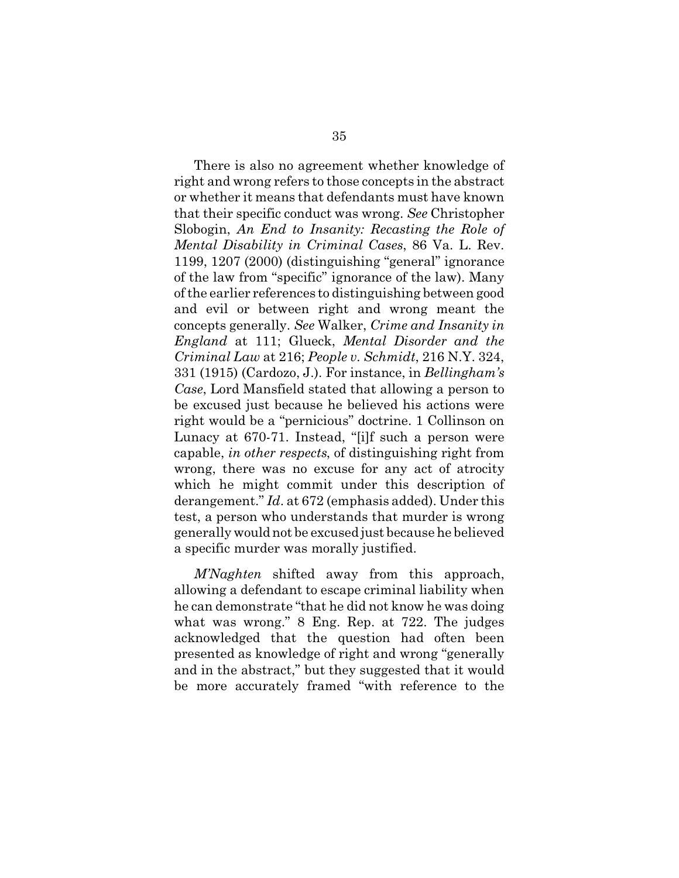There is also no agreement whether knowledge of right and wrong refers to those concepts in the abstract or whether it means that defendants must have known that their specific conduct was wrong. *See* Christopher Slobogin, *An End to Insanity: Recasting the Role of Mental Disability in Criminal Cases*, 86 Va. L. Rev. 1199, 1207 (2000) (distinguishing "general" ignorance of the law from "specific" ignorance of the law). Many of the earlier references to distinguishing between good and evil or between right and wrong meant the concepts generally. *See* Walker, *Crime and Insanity in England* at 111; Glueck, *Mental Disorder and the Criminal Law* at 216; *People v. Schmidt*, 216 N.Y. 324, 331 (1915) (Cardozo, J.). For instance, in *Bellingham's Case*, Lord Mansfield stated that allowing a person to be excused just because he believed his actions were right would be a "pernicious" doctrine. 1 Collinson on Lunacy at 670-71. Instead, "[i]f such a person were capable, *in other respects*, of distinguishing right from wrong, there was no excuse for any act of atrocity which he might commit under this description of derangement." *Id*. at 672 (emphasis added). Under this test, a person who understands that murder is wrong generally would not be excused just because he believed a specific murder was morally justified.

*M'Naghten* shifted away from this approach, allowing a defendant to escape criminal liability when he can demonstrate "that he did not know he was doing what was wrong." 8 Eng. Rep. at 722. The judges acknowledged that the question had often been presented as knowledge of right and wrong "generally and in the abstract," but they suggested that it would be more accurately framed "with reference to the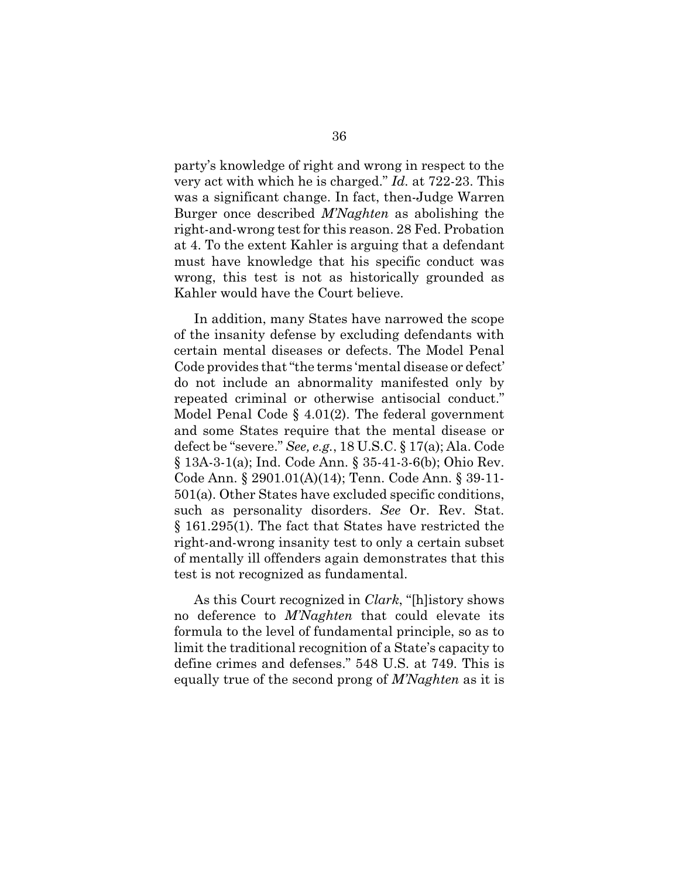party's knowledge of right and wrong in respect to the very act with which he is charged." *Id.* at 722-23. This was a significant change. In fact, then-Judge Warren Burger once described *M'Naghten* as abolishing the right-and-wrong test for this reason. 28 Fed. Probation at 4. To the extent Kahler is arguing that a defendant must have knowledge that his specific conduct was wrong, this test is not as historically grounded as Kahler would have the Court believe.

In addition, many States have narrowed the scope of the insanity defense by excluding defendants with certain mental diseases or defects. The Model Penal Code provides that "the terms 'mental disease or defect' do not include an abnormality manifested only by repeated criminal or otherwise antisocial conduct." Model Penal Code § 4.01(2). The federal government and some States require that the mental disease or defect be "severe." *See, e.g.*, 18 U.S.C. § 17(a); Ala. Code § 13A-3-1(a); Ind. Code Ann. § 35-41-3-6(b); Ohio Rev. Code Ann. § 2901.01(A)(14); Tenn. Code Ann. § 39-11- 501(a). Other States have excluded specific conditions, such as personality disorders. *See* Or. Rev. Stat. § 161.295(1). The fact that States have restricted the right-and-wrong insanity test to only a certain subset of mentally ill offenders again demonstrates that this test is not recognized as fundamental.

As this Court recognized in *Clark*, "[h]istory shows no deference to *M'Naghten* that could elevate its formula to the level of fundamental principle, so as to limit the traditional recognition of a State's capacity to define crimes and defenses." 548 U.S. at 749. This is equally true of the second prong of *M'Naghten* as it is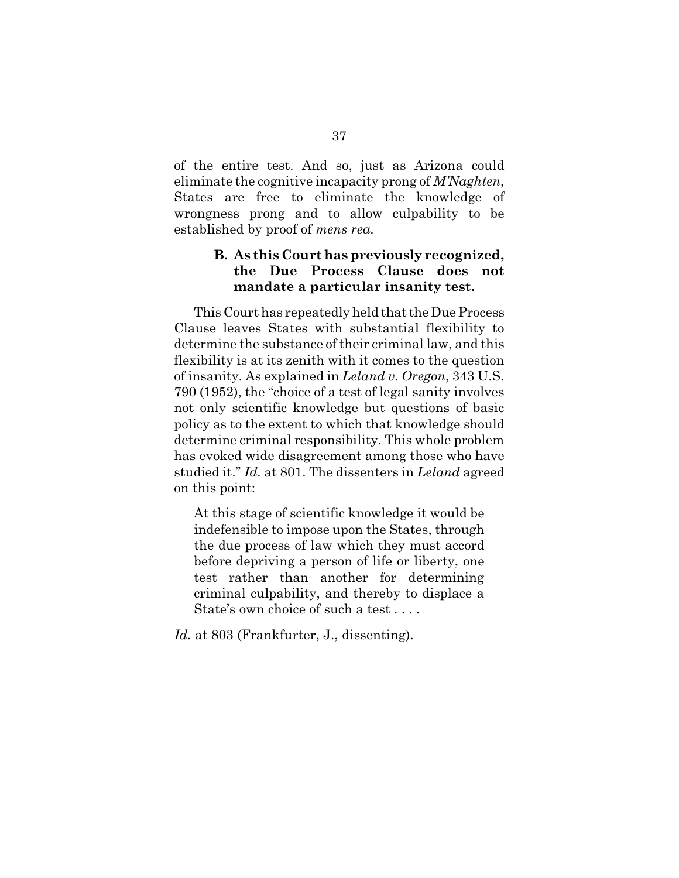of the entire test. And so, just as Arizona could eliminate the cognitive incapacity prong of *M'Naghten*, States are free to eliminate the knowledge of wrongness prong and to allow culpability to be established by proof of *mens rea*.

## **B. As this Court has previously recognized, the Due Process Clause does not mandate a particular insanity test.**

This Court has repeatedly held that the Due Process Clause leaves States with substantial flexibility to determine the substance of their criminal law, and this flexibility is at its zenith with it comes to the question of insanity. As explained in *Leland v. Oregon*, 343 U.S. 790 (1952), the "choice of a test of legal sanity involves not only scientific knowledge but questions of basic policy as to the extent to which that knowledge should determine criminal responsibility. This whole problem has evoked wide disagreement among those who have studied it." *Id.* at 801. The dissenters in *Leland* agreed on this point:

At this stage of scientific knowledge it would be indefensible to impose upon the States, through the due process of law which they must accord before depriving a person of life or liberty, one test rather than another for determining criminal culpability, and thereby to displace a State's own choice of such a test . . . .

*Id.* at 803 (Frankfurter, J., dissenting).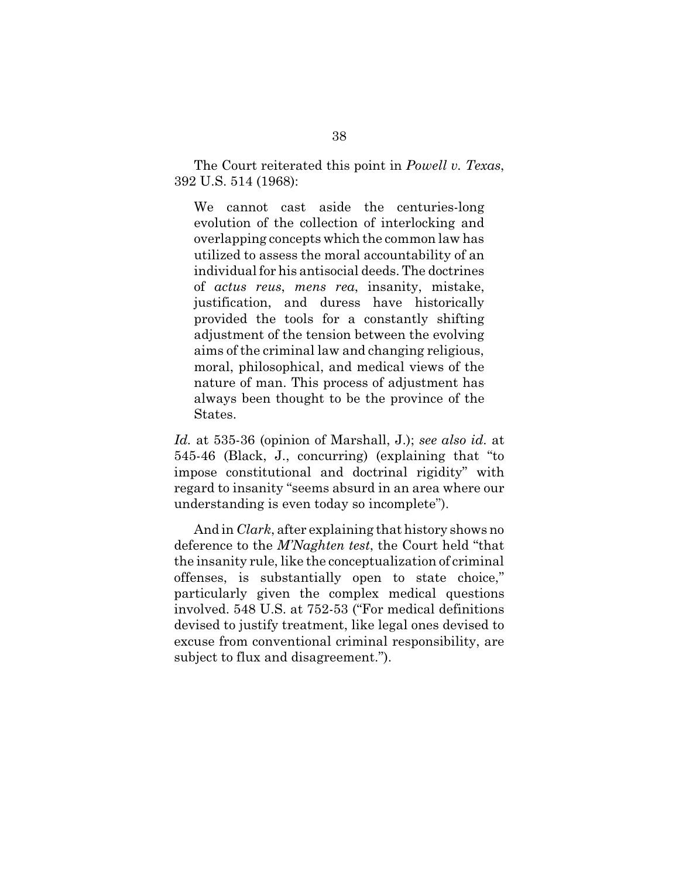The Court reiterated this point in *Powell v. Texas*, 392 U.S. 514 (1968):

We cannot cast aside the centuries-long evolution of the collection of interlocking and overlapping concepts which the common law has utilized to assess the moral accountability of an individual for his antisocial deeds. The doctrines of *actus reus*, *mens rea*, insanity, mistake, justification, and duress have historically provided the tools for a constantly shifting adjustment of the tension between the evolving aims of the criminal law and changing religious, moral, philosophical, and medical views of the nature of man. This process of adjustment has always been thought to be the province of the States.

*Id.* at 535-36 (opinion of Marshall, J.); *see also id.* at 545-46 (Black, J., concurring) (explaining that "to impose constitutional and doctrinal rigidity" with regard to insanity "seems absurd in an area where our understanding is even today so incomplete").

And in *Clark*, after explaining that history shows no deference to the *M'Naghten test*, the Court held "that the insanity rule, like the conceptualization of criminal offenses, is substantially open to state choice," particularly given the complex medical questions involved. 548 U.S. at 752-53 ("For medical definitions devised to justify treatment, like legal ones devised to excuse from conventional criminal responsibility, are subject to flux and disagreement.").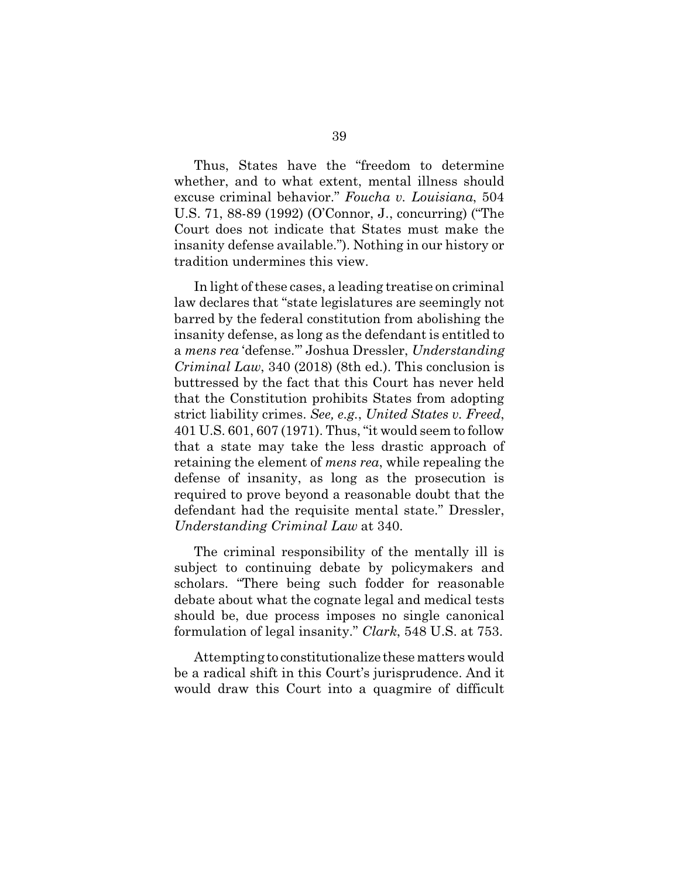Thus, States have the "freedom to determine whether, and to what extent, mental illness should excuse criminal behavior." *Foucha v. Louisiana*, 504 U.S. 71, 88-89 (1992) (O'Connor, J., concurring) ("The Court does not indicate that States must make the insanity defense available."). Nothing in our history or tradition undermines this view.

In light of these cases, a leading treatise on criminal law declares that "state legislatures are seemingly not barred by the federal constitution from abolishing the insanity defense, as long as the defendant is entitled to a *mens rea* 'defense.'" Joshua Dressler, *Understanding Criminal Law*, 340 (2018) (8th ed.). This conclusion is buttressed by the fact that this Court has never held that the Constitution prohibits States from adopting strict liability crimes. *See, e.g.*, *United States v. Freed*, 401 U.S. 601, 607 (1971). Thus, "it would seem to follow that a state may take the less drastic approach of retaining the element of *mens rea*, while repealing the defense of insanity, as long as the prosecution is required to prove beyond a reasonable doubt that the defendant had the requisite mental state." Dressler, *Understanding Criminal Law* at 340*.*

The criminal responsibility of the mentally ill is subject to continuing debate by policymakers and scholars. "There being such fodder for reasonable debate about what the cognate legal and medical tests should be, due process imposes no single canonical formulation of legal insanity." *Clark*, 548 U.S. at 753.

Attempting to constitutionalize these matters would be a radical shift in this Court's jurisprudence. And it would draw this Court into a quagmire of difficult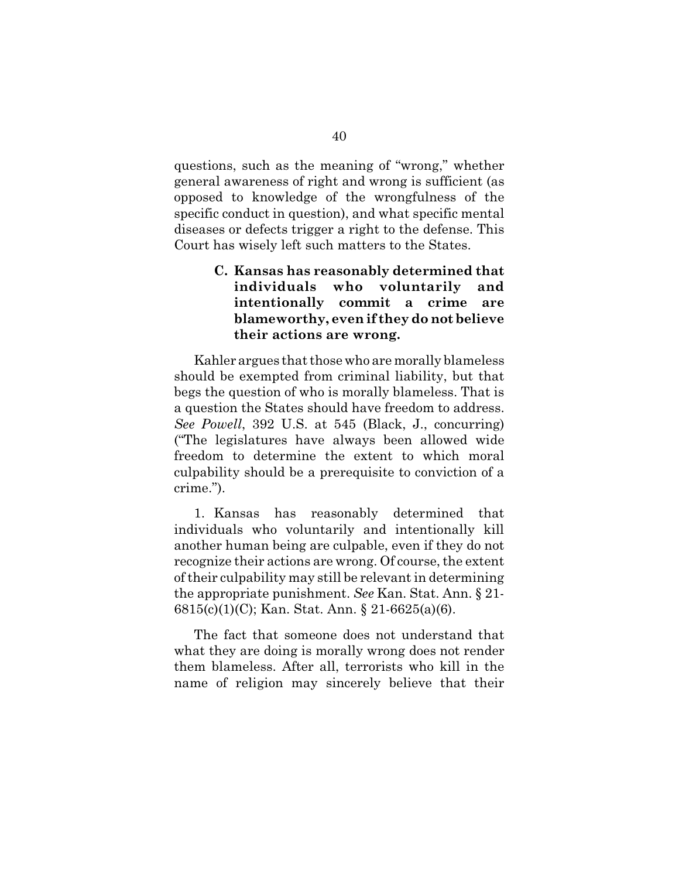questions, such as the meaning of "wrong," whether general awareness of right and wrong is sufficient (as opposed to knowledge of the wrongfulness of the specific conduct in question), and what specific mental diseases or defects trigger a right to the defense. This Court has wisely left such matters to the States.

## **C. Kansas has reasonably determined that individuals who voluntarily and intentionally commit a crime are blameworthy, even if they do not believe their actions are wrong.**

Kahler argues that those who are morally blameless should be exempted from criminal liability, but that begs the question of who is morally blameless. That is a question the States should have freedom to address. *See Powell*, 392 U.S. at 545 (Black, J., concurring) ("The legislatures have always been allowed wide freedom to determine the extent to which moral culpability should be a prerequisite to conviction of a crime.").

1. Kansas has reasonably determined that individuals who voluntarily and intentionally kill another human being are culpable, even if they do not recognize their actions are wrong. Of course, the extent of their culpability may still be relevant in determining the appropriate punishment. *See* Kan. Stat. Ann. § 21- 6815(c)(1)(C); Kan. Stat. Ann. § 21-6625(a)(6).

The fact that someone does not understand that what they are doing is morally wrong does not render them blameless. After all, terrorists who kill in the name of religion may sincerely believe that their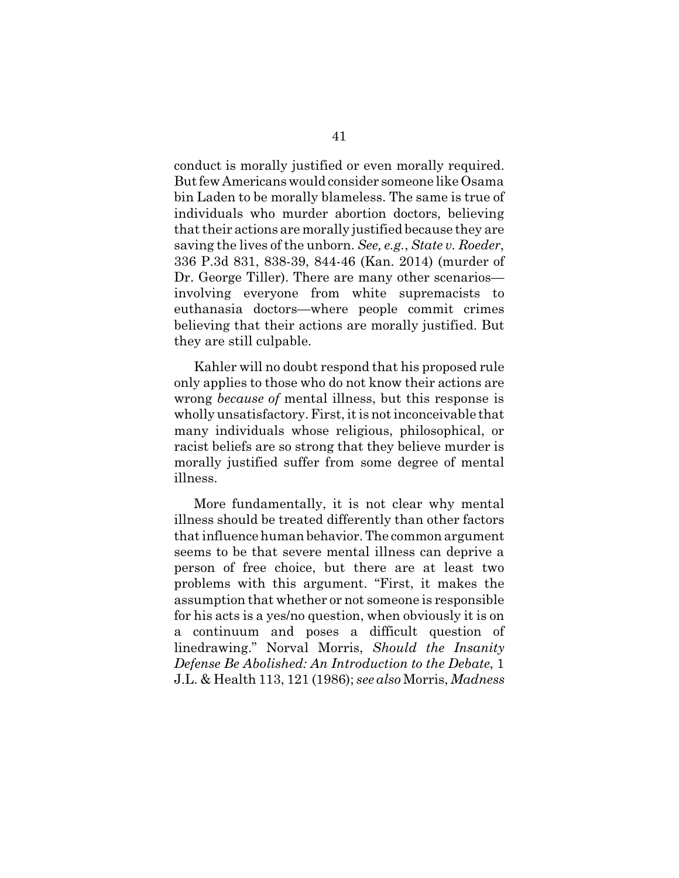conduct is morally justified or even morally required. But few Americans would consider someone like Osama bin Laden to be morally blameless. The same is true of individuals who murder abortion doctors, believing that their actions are morally justified because they are saving the lives of the unborn. *See, e.g.*, *State v. Roeder*, 336 P.3d 831, 838-39, 844-46 (Kan. 2014) (murder of Dr. George Tiller). There are many other scenarios involving everyone from white supremacists to euthanasia doctors—where people commit crimes believing that their actions are morally justified. But they are still culpable.

Kahler will no doubt respond that his proposed rule only applies to those who do not know their actions are wrong *because of* mental illness, but this response is wholly unsatisfactory. First, it is not inconceivable that many individuals whose religious, philosophical, or racist beliefs are so strong that they believe murder is morally justified suffer from some degree of mental illness.

More fundamentally, it is not clear why mental illness should be treated differently than other factors that influence human behavior. The common argument seems to be that severe mental illness can deprive a person of free choice, but there are at least two problems with this argument. "First, it makes the assumption that whether or not someone is responsible for his acts is a yes/no question, when obviously it is on a continuum and poses a difficult question of linedrawing." Norval Morris, *Should the Insanity Defense Be Abolished: An Introduction to the Debate*, 1 J.L. & Health 113, 121 (1986); *see also* Morris, *Madness*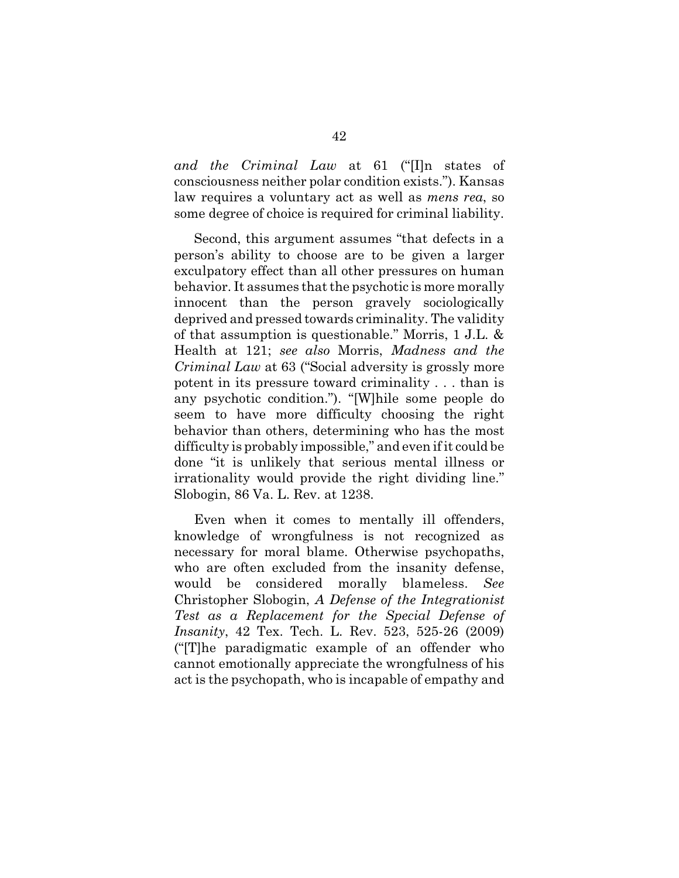*and the Criminal Law* at 61 ("[I]n states of consciousness neither polar condition exists."). Kansas law requires a voluntary act as well as *mens rea*, so some degree of choice is required for criminal liability.

Second, this argument assumes "that defects in a person's ability to choose are to be given a larger exculpatory effect than all other pressures on human behavior. It assumes that the psychotic is more morally innocent than the person gravely sociologically deprived and pressed towards criminality. The validity of that assumption is questionable." Morris, 1 J.L. & Health at 121; *see also* Morris, *Madness and the Criminal Law* at 63 ("Social adversity is grossly more potent in its pressure toward criminality . . . than is any psychotic condition."). "[W]hile some people do seem to have more difficulty choosing the right behavior than others, determining who has the most difficulty is probably impossible," and even if it could be done "it is unlikely that serious mental illness or irrationality would provide the right dividing line." Slobogin, 86 Va. L. Rev. at 1238.

Even when it comes to mentally ill offenders, knowledge of wrongfulness is not recognized as necessary for moral blame. Otherwise psychopaths, who are often excluded from the insanity defense, would be considered morally blameless. *See* Christopher Slobogin, *A Defense of the Integrationist Test as a Replacement for the Special Defense of Insanity*, 42 Tex. Tech. L. Rev. 523, 525-26 (2009) ("[T]he paradigmatic example of an offender who cannot emotionally appreciate the wrongfulness of his act is the psychopath, who is incapable of empathy and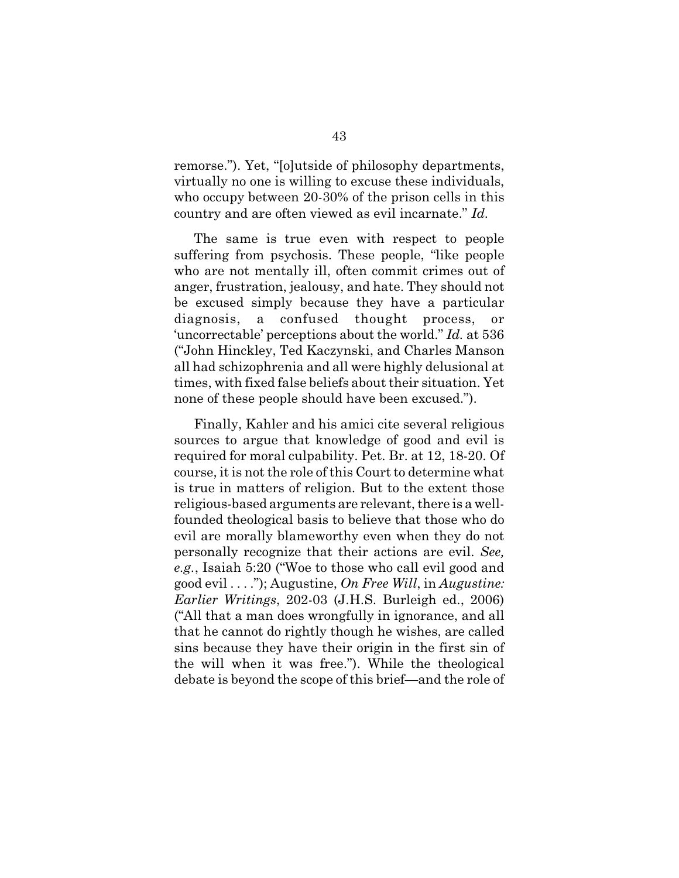remorse."). Yet, "[o]utside of philosophy departments, virtually no one is willing to excuse these individuals, who occupy between 20-30% of the prison cells in this country and are often viewed as evil incarnate." *Id.* 

The same is true even with respect to people suffering from psychosis. These people, "like people who are not mentally ill, often commit crimes out of anger, frustration, jealousy, and hate. They should not be excused simply because they have a particular diagnosis, a confused thought process, or 'uncorrectable' perceptions about the world." *Id.* at 536 ("John Hinckley, Ted Kaczynski, and Charles Manson all had schizophrenia and all were highly delusional at times, with fixed false beliefs about their situation. Yet none of these people should have been excused.").

Finally, Kahler and his amici cite several religious sources to argue that knowledge of good and evil is required for moral culpability. Pet. Br. at 12, 18-20. Of course, it is not the role of this Court to determine what is true in matters of religion. But to the extent those religious-based arguments are relevant, there is a wellfounded theological basis to believe that those who do evil are morally blameworthy even when they do not personally recognize that their actions are evil. *See, e.g.*, Isaiah 5:20 ("Woe to those who call evil good and good evil . . . ."); Augustine, *On Free Will*, in *Augustine: Earlier Writings*, 202-03 (J.H.S. Burleigh ed., 2006) ("All that a man does wrongfully in ignorance, and all that he cannot do rightly though he wishes, are called sins because they have their origin in the first sin of the will when it was free."). While the theological debate is beyond the scope of this brief—and the role of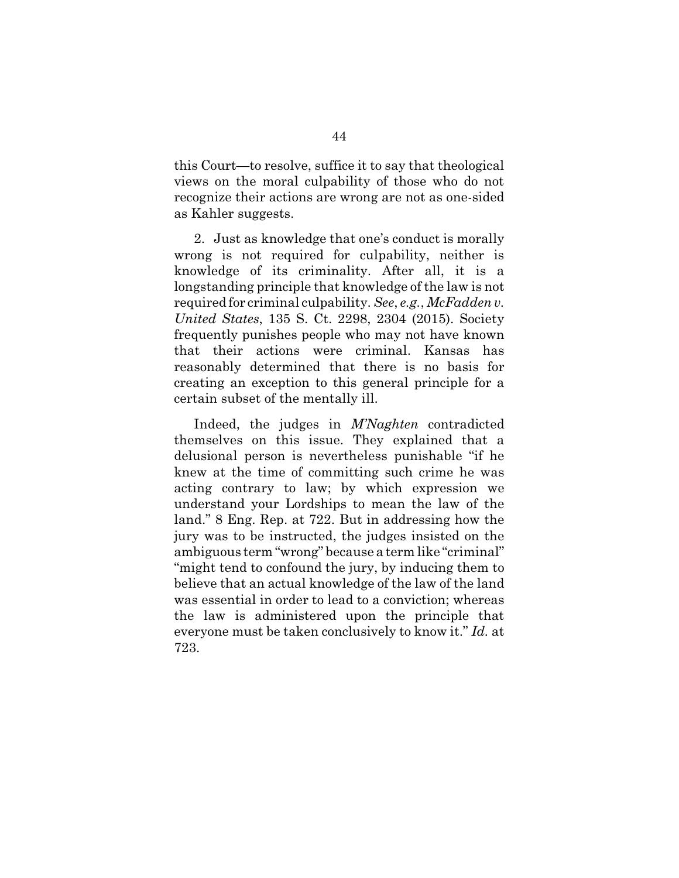this Court—to resolve, suffice it to say that theological views on the moral culpability of those who do not recognize their actions are wrong are not as one-sided as Kahler suggests.

2. Just as knowledge that one's conduct is morally wrong is not required for culpability, neither is knowledge of its criminality. After all, it is a longstanding principle that knowledge of the law is not required for criminal culpability. *See*, *e.g.*, *McFadden v. United States*, 135 S. Ct. 2298, 2304 (2015). Society frequently punishes people who may not have known that their actions were criminal. Kansas has reasonably determined that there is no basis for creating an exception to this general principle for a certain subset of the mentally ill.

Indeed, the judges in *M'Naghten* contradicted themselves on this issue. They explained that a delusional person is nevertheless punishable "if he knew at the time of committing such crime he was acting contrary to law; by which expression we understand your Lordships to mean the law of the land." 8 Eng. Rep. at 722. But in addressing how the jury was to be instructed, the judges insisted on the ambiguous term "wrong" because a term like "criminal" "might tend to confound the jury, by inducing them to believe that an actual knowledge of the law of the land was essential in order to lead to a conviction; whereas the law is administered upon the principle that everyone must be taken conclusively to know it." *Id.* at 723.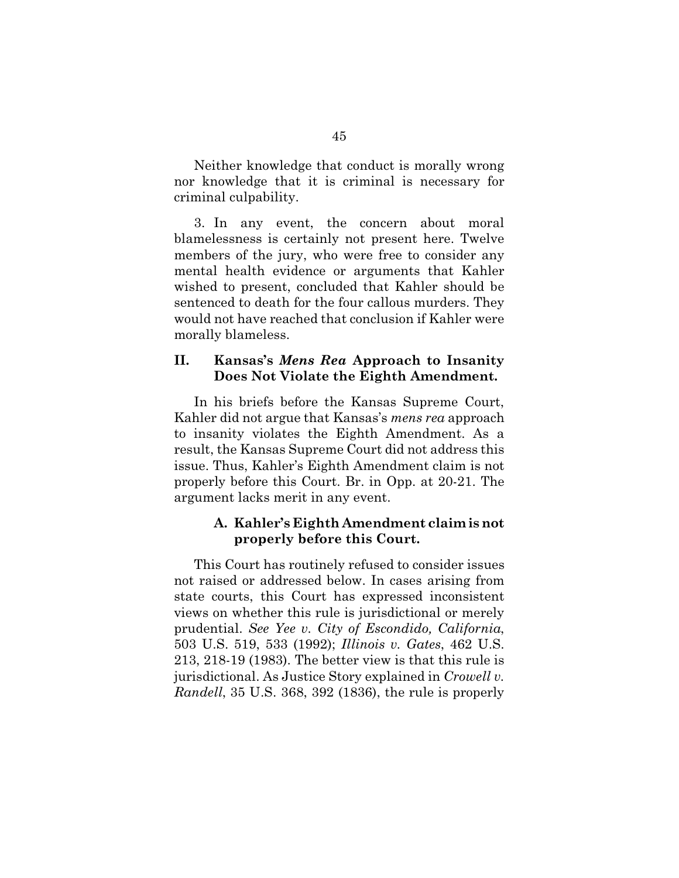Neither knowledge that conduct is morally wrong nor knowledge that it is criminal is necessary for criminal culpability.

3. In any event, the concern about moral blamelessness is certainly not present here. Twelve members of the jury, who were free to consider any mental health evidence or arguments that Kahler wished to present, concluded that Kahler should be sentenced to death for the four callous murders. They would not have reached that conclusion if Kahler were morally blameless.

## **II. Kansas's** *Mens Rea* **Approach to Insanity Does Not Violate the Eighth Amendment.**

In his briefs before the Kansas Supreme Court, Kahler did not argue that Kansas's *mens rea* approach to insanity violates the Eighth Amendment. As a result, the Kansas Supreme Court did not address this issue. Thus, Kahler's Eighth Amendment claim is not properly before this Court. Br. in Opp. at 20-21. The argument lacks merit in any event.

## **A. Kahler's Eighth Amendment claim is not properly before this Court.**

This Court has routinely refused to consider issues not raised or addressed below. In cases arising from state courts, this Court has expressed inconsistent views on whether this rule is jurisdictional or merely prudential. *See Yee v. City of Escondido, California*, 503 U.S. 519, 533 (1992); *Illinois v. Gates*, 462 U.S. 213, 218-19 (1983). The better view is that this rule is jurisdictional. As Justice Story explained in *Crowell v. Randell*, 35 U.S. 368, 392 (1836), the rule is properly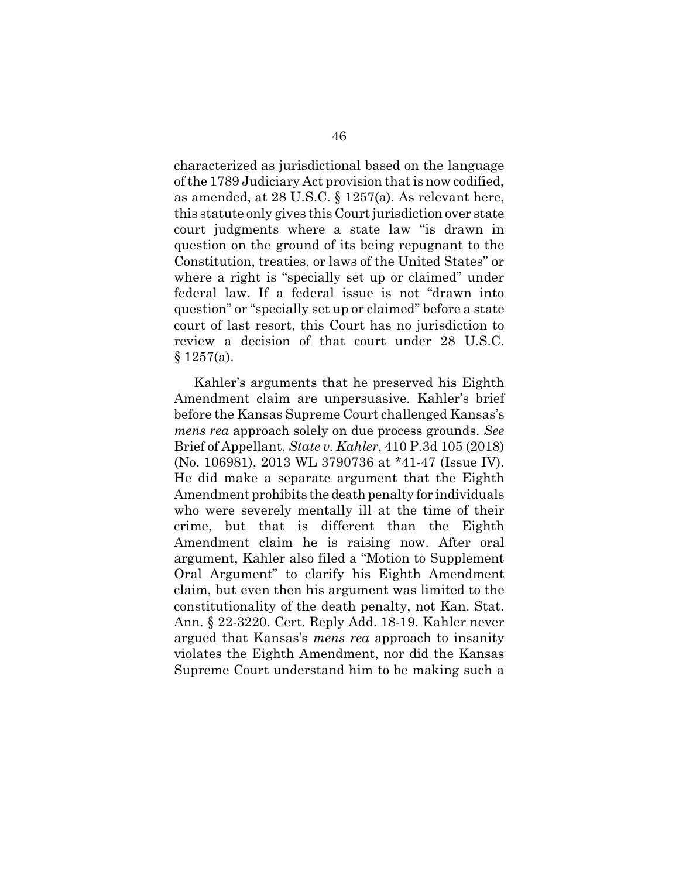characterized as jurisdictional based on the language of the 1789 Judiciary Act provision that is now codified, as amended, at 28 U.S.C. § 1257(a). As relevant here, this statute only gives this Court jurisdiction over state court judgments where a state law "is drawn in question on the ground of its being repugnant to the Constitution, treaties, or laws of the United States" or where a right is "specially set up or claimed" under federal law. If a federal issue is not "drawn into question" or "specially set up or claimed" before a state court of last resort, this Court has no jurisdiction to review a decision of that court under 28 U.S.C.  $$1257(a).$ 

Kahler's arguments that he preserved his Eighth Amendment claim are unpersuasive. Kahler's brief before the Kansas Supreme Court challenged Kansas's *mens rea* approach solely on due process grounds. *See* Brief of Appellant, *State v. Kahler*, 410 P.3d 105 (2018) (No. 106981), 2013 WL 3790736 at \*41-47 (Issue IV). He did make a separate argument that the Eighth Amendment prohibits the death penalty for individuals who were severely mentally ill at the time of their crime, but that is different than the Eighth Amendment claim he is raising now. After oral argument, Kahler also filed a "Motion to Supplement Oral Argument" to clarify his Eighth Amendment claim, but even then his argument was limited to the constitutionality of the death penalty, not Kan. Stat. Ann. § 22-3220. Cert. Reply Add. 18-19. Kahler never argued that Kansas's *mens rea* approach to insanity violates the Eighth Amendment, nor did the Kansas Supreme Court understand him to be making such a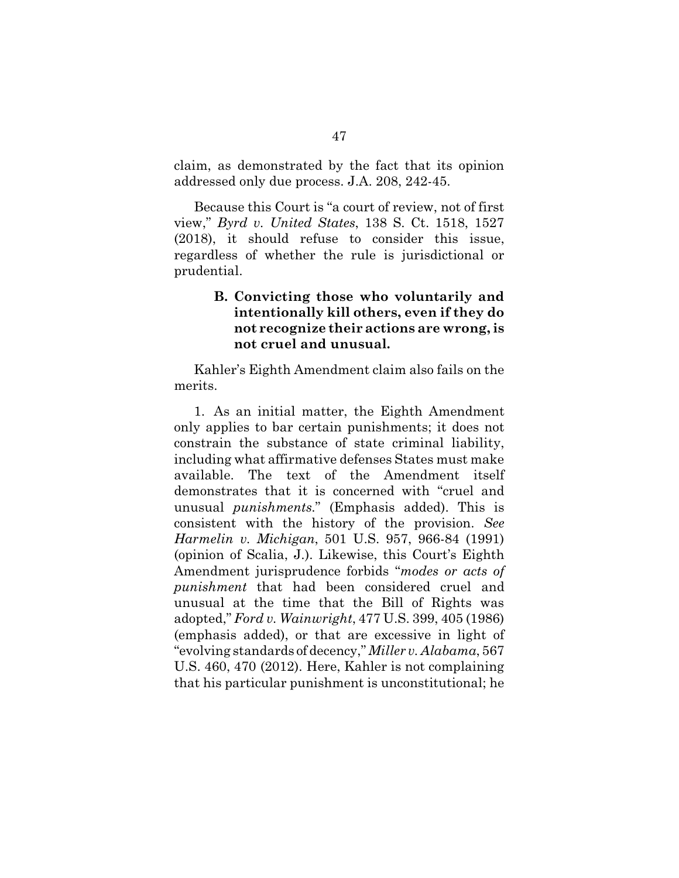claim, as demonstrated by the fact that its opinion addressed only due process. J.A. 208, 242-45.

Because this Court is "a court of review, not of first view," *Byrd v. United States*, 138 S. Ct. 1518, 1527 (2018), it should refuse to consider this issue, regardless of whether the rule is jurisdictional or prudential.

## **B. Convicting those who voluntarily and intentionally kill others, even if they do not recognize their actions are wrong, is not cruel and unusual.**

Kahler's Eighth Amendment claim also fails on the merits.

1. As an initial matter, the Eighth Amendment only applies to bar certain punishments; it does not constrain the substance of state criminal liability, including what affirmative defenses States must make available. The text of the Amendment itself demonstrates that it is concerned with "cruel and unusual *punishments*." (Emphasis added). This is consistent with the history of the provision. *See Harmelin v. Michigan*, 501 U.S. 957, 966-84 (1991) (opinion of Scalia, J.). Likewise, this Court's Eighth Amendment jurisprudence forbids "*modes or acts of punishment* that had been considered cruel and unusual at the time that the Bill of Rights was adopted," *Ford v. Wainwright*, 477 U.S. 399, 405 (1986) (emphasis added), or that are excessive in light of "evolving standards of decency," *Miller v. Alabama*, 567 U.S. 460, 470 (2012). Here, Kahler is not complaining that his particular punishment is unconstitutional; he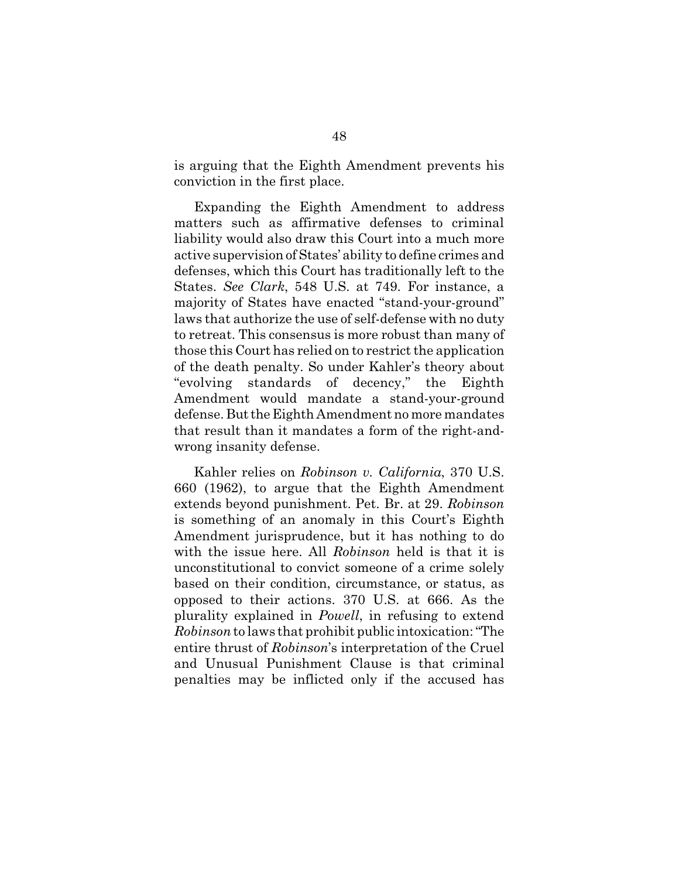is arguing that the Eighth Amendment prevents his conviction in the first place.

Expanding the Eighth Amendment to address matters such as affirmative defenses to criminal liability would also draw this Court into a much more active supervision of States' ability to define crimes and defenses, which this Court has traditionally left to the States. *See Clark*, 548 U.S. at 749. For instance, a majority of States have enacted "stand-your-ground" laws that authorize the use of self-defense with no duty to retreat. This consensus is more robust than many of those this Court has relied on to restrict the application of the death penalty. So under Kahler's theory about "evolving standards of decency," the Eighth Amendment would mandate a stand-your-ground defense. But the Eighth Amendment no more mandates that result than it mandates a form of the right-andwrong insanity defense.

Kahler relies on *Robinson v. California*, 370 U.S. 660 (1962), to argue that the Eighth Amendment extends beyond punishment. Pet. Br. at 29. *Robinson* is something of an anomaly in this Court's Eighth Amendment jurisprudence, but it has nothing to do with the issue here. All *Robinson* held is that it is unconstitutional to convict someone of a crime solely based on their condition, circumstance, or status, as opposed to their actions. 370 U.S. at 666. As the plurality explained in *Powell*, in refusing to extend *Robinson* to laws that prohibit public intoxication: "The entire thrust of *Robinson*'s interpretation of the Cruel and Unusual Punishment Clause is that criminal penalties may be inflicted only if the accused has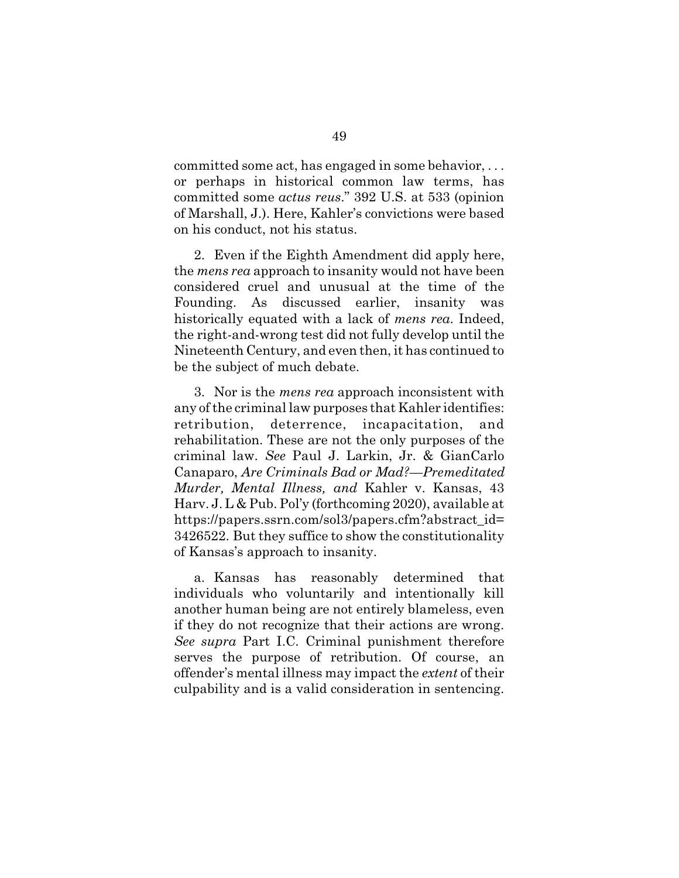committed some act, has engaged in some behavior, . . . or perhaps in historical common law terms, has committed some *actus reus*." 392 U.S. at 533 (opinion of Marshall, J.). Here, Kahler's convictions were based on his conduct, not his status.

2. Even if the Eighth Amendment did apply here, the *mens rea* approach to insanity would not have been considered cruel and unusual at the time of the Founding. As discussed earlier, insanity was historically equated with a lack of *mens rea*. Indeed, the right-and-wrong test did not fully develop until the Nineteenth Century, and even then, it has continued to be the subject of much debate.

3. Nor is the *mens rea* approach inconsistent with any of the criminal law purposes that Kahler identifies: retribution, deterrence, incapacitation, and rehabilitation. These are not the only purposes of the criminal law. *See* Paul J. Larkin, Jr. & GianCarlo Canaparo, *Are Criminals Bad or Mad?—Premeditated Murder, Mental Illness, and* Kahler v. Kansas, 43 Harv. J. L & Pub. Pol'y (forthcoming 2020), available at https://papers.ssrn.com/sol3/papers.cfm?abstract\_id= 3426522. But they suffice to show the constitutionality of Kansas's approach to insanity.

a. Kansas has reasonably determined that individuals who voluntarily and intentionally kill another human being are not entirely blameless, even if they do not recognize that their actions are wrong. *See supra* Part I.C. Criminal punishment therefore serves the purpose of retribution. Of course, an offender's mental illness may impact the *extent* of their culpability and is a valid consideration in sentencing.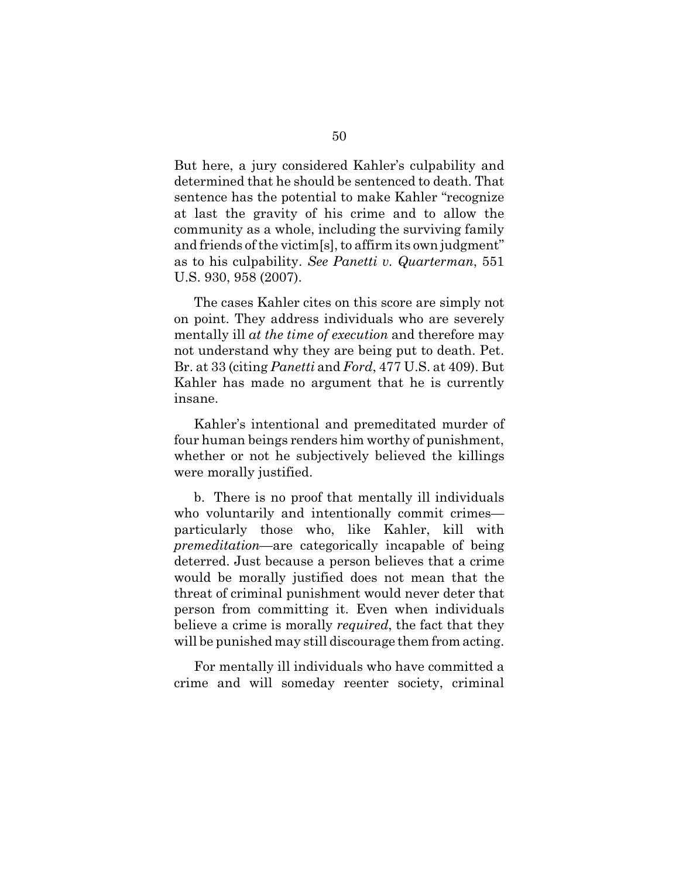But here, a jury considered Kahler's culpability and determined that he should be sentenced to death. That sentence has the potential to make Kahler "recognize at last the gravity of his crime and to allow the community as a whole, including the surviving family and friends of the victim[s], to affirm its own judgment" as to his culpability. *See Panetti v. Quarterman*, 551 U.S. 930, 958 (2007).

The cases Kahler cites on this score are simply not on point. They address individuals who are severely mentally ill *at the time of execution* and therefore may not understand why they are being put to death. Pet. Br. at 33 (citing *Panetti* and *Ford*, 477 U.S. at 409). But Kahler has made no argument that he is currently insane.

Kahler's intentional and premeditated murder of four human beings renders him worthy of punishment, whether or not he subjectively believed the killings were morally justified.

b. There is no proof that mentally ill individuals who voluntarily and intentionally commit crimes particularly those who, like Kahler, kill with *premeditation*—are categorically incapable of being deterred. Just because a person believes that a crime would be morally justified does not mean that the threat of criminal punishment would never deter that person from committing it. Even when individuals believe a crime is morally *required*, the fact that they will be punished may still discourage them from acting.

For mentally ill individuals who have committed a crime and will someday reenter society, criminal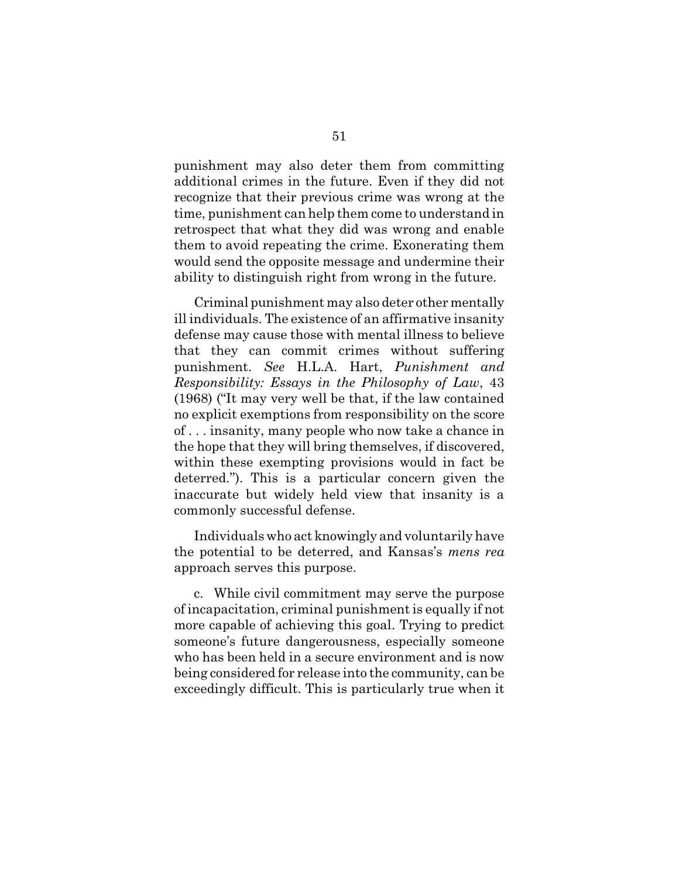punishment may also deter them from committing additional crimes in the future. Even if they did not recognize that their previous crime was wrong at the time, punishment can help them come to understand in retrospect that what they did was wrong and enable them to avoid repeating the crime. Exonerating them would send the opposite message and undermine their ability to distinguish right from wrong in the future.

Criminal punishment may also deter other mentally ill individuals. The existence of an affirmative insanity defense may cause those with mental illness to believe that they can commit crimes without suffering punishment. *See* H.L.A. Hart, *Punishment and Responsibility: Essays in the Philosophy of Law*, 43 (1968) ("It may very well be that, if the law contained no explicit exemptions from responsibility on the score of . . . insanity, many people who now take a chance in the hope that they will bring themselves, if discovered, within these exempting provisions would in fact be deterred."). This is a particular concern given the inaccurate but widely held view that insanity is a commonly successful defense.

Individuals who act knowingly and voluntarily have the potential to be deterred, and Kansas's *mens rea* approach serves this purpose.

c. While civil commitment may serve the purpose of incapacitation, criminal punishment is equally if not more capable of achieving this goal. Trying to predict someone's future dangerousness, especially someone who has been held in a secure environment and is now being considered for release into the community, can be exceedingly difficult. This is particularly true when it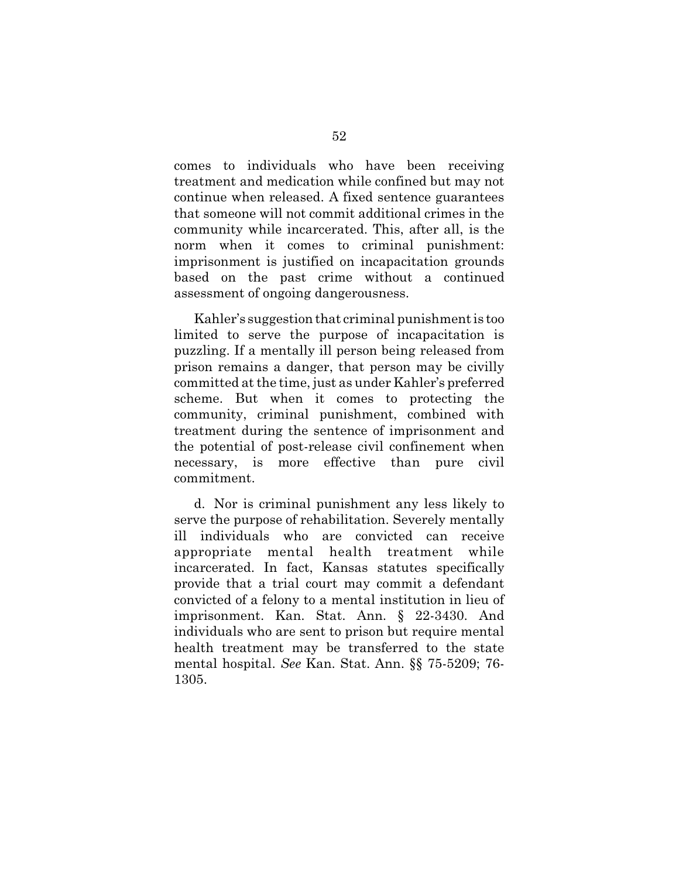comes to individuals who have been receiving treatment and medication while confined but may not continue when released. A fixed sentence guarantees that someone will not commit additional crimes in the community while incarcerated. This, after all, is the norm when it comes to criminal punishment: imprisonment is justified on incapacitation grounds based on the past crime without a continued assessment of ongoing dangerousness.

Kahler's suggestion that criminal punishment is too limited to serve the purpose of incapacitation is puzzling. If a mentally ill person being released from prison remains a danger, that person may be civilly committed at the time, just as under Kahler's preferred scheme. But when it comes to protecting the community, criminal punishment, combined with treatment during the sentence of imprisonment and the potential of post-release civil confinement when necessary, is more effective than pure civil commitment.

d. Nor is criminal punishment any less likely to serve the purpose of rehabilitation. Severely mentally ill individuals who are convicted can receive appropriate mental health treatment while incarcerated. In fact, Kansas statutes specifically provide that a trial court may commit a defendant convicted of a felony to a mental institution in lieu of imprisonment. Kan. Stat. Ann. § 22-3430. And individuals who are sent to prison but require mental health treatment may be transferred to the state mental hospital. *See* Kan. Stat. Ann. §§ 75-5209; 76- 1305.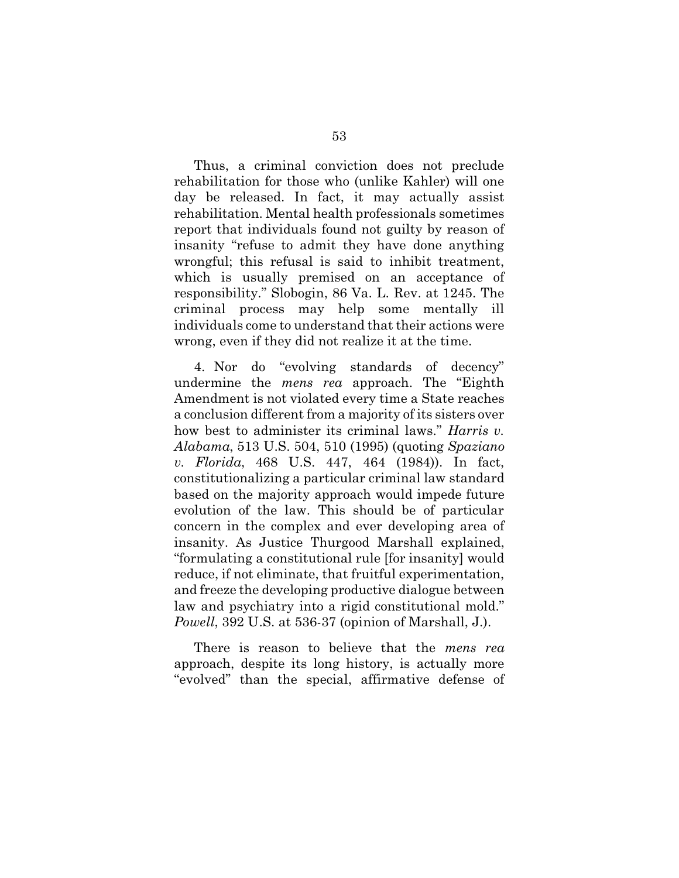Thus, a criminal conviction does not preclude rehabilitation for those who (unlike Kahler) will one day be released. In fact, it may actually assist rehabilitation. Mental health professionals sometimes report that individuals found not guilty by reason of insanity "refuse to admit they have done anything wrongful; this refusal is said to inhibit treatment, which is usually premised on an acceptance of responsibility." Slobogin, 86 Va. L. Rev. at 1245. The criminal process may help some mentally ill individuals come to understand that their actions were wrong, even if they did not realize it at the time.

4. Nor do "evolving standards of decency" undermine the *mens rea* approach. The "Eighth Amendment is not violated every time a State reaches a conclusion different from a majority of its sisters over how best to administer its criminal laws." *Harris v. Alabama*, 513 U.S. 504, 510 (1995) (quoting *Spaziano v. Florida*, 468 U.S. 447, 464 (1984)). In fact, constitutionalizing a particular criminal law standard based on the majority approach would impede future evolution of the law. This should be of particular concern in the complex and ever developing area of insanity. As Justice Thurgood Marshall explained, "formulating a constitutional rule [for insanity] would reduce, if not eliminate, that fruitful experimentation, and freeze the developing productive dialogue between law and psychiatry into a rigid constitutional mold." *Powell*, 392 U.S. at 536-37 (opinion of Marshall, J.).

There is reason to believe that the *mens rea* approach, despite its long history, is actually more "evolved" than the special, affirmative defense of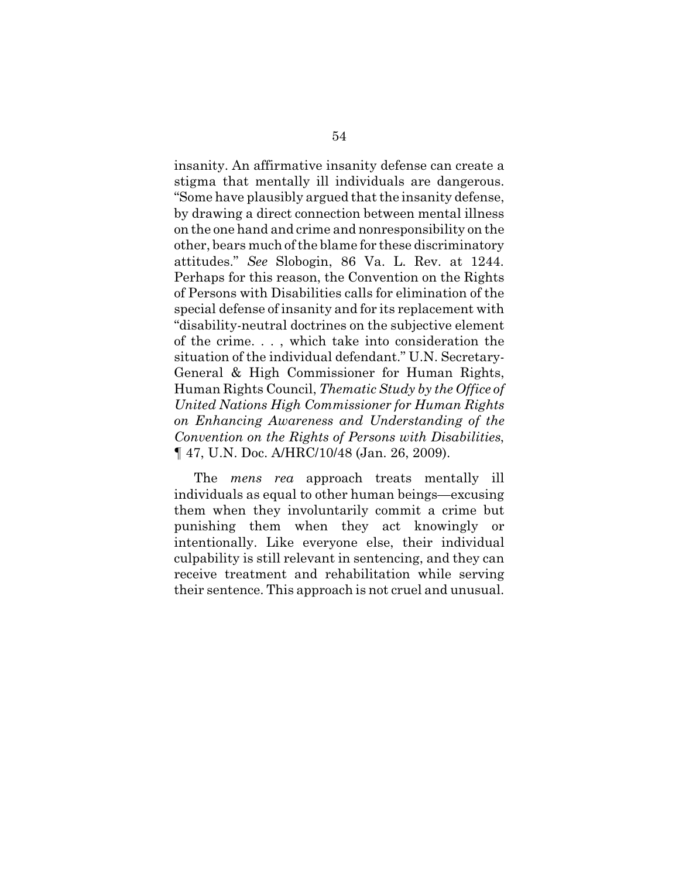insanity. An affirmative insanity defense can create a stigma that mentally ill individuals are dangerous. "Some have plausibly argued that the insanity defense, by drawing a direct connection between mental illness on the one hand and crime and nonresponsibility on the other, bears much of the blame for these discriminatory attitudes." *See* Slobogin, 86 Va. L. Rev. at 1244. Perhaps for this reason, the Convention on the Rights of Persons with Disabilities calls for elimination of the special defense of insanity and for its replacement with "disability-neutral doctrines on the subjective element of the crime. . . , which take into consideration the situation of the individual defendant." U.N. Secretary-General & High Commissioner for Human Rights, Human Rights Council, *Thematic Study by the Office of United Nations High Commissioner for Human Rights on Enhancing Awareness and Understanding of the Convention on the Rights of Persons with Disabilities*, ¶ 47, U.N. Doc. A/HRC/10/48 (Jan. 26, 2009).

The *mens rea* approach treats mentally ill individuals as equal to other human beings—excusing them when they involuntarily commit a crime but punishing them when they act knowingly or intentionally. Like everyone else, their individual culpability is still relevant in sentencing, and they can receive treatment and rehabilitation while serving their sentence. This approach is not cruel and unusual.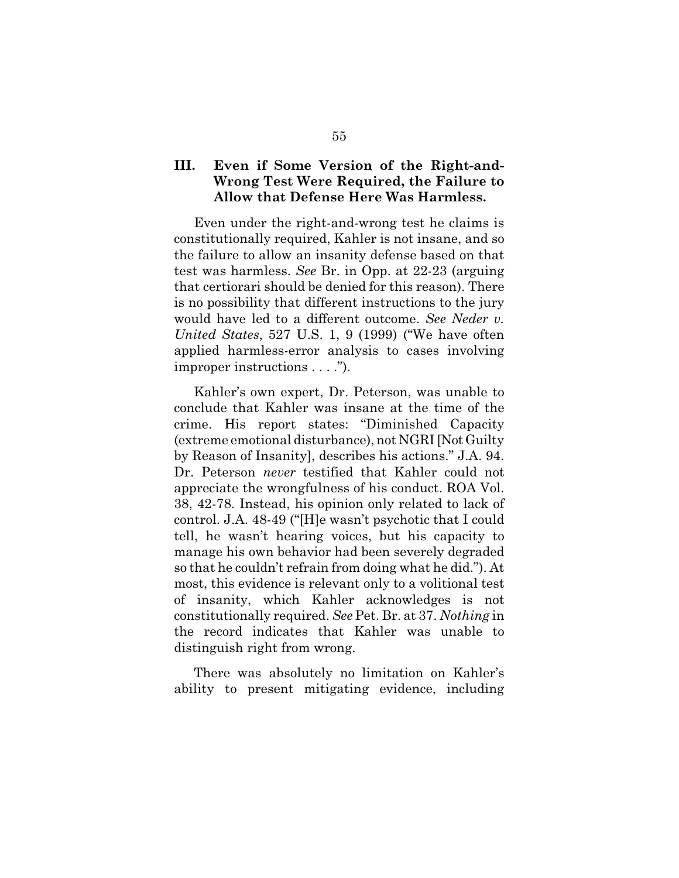## **III. Even if Some Version of the Right-and-Wrong Test Were Required, the Failure to Allow that Defense Here Was Harmless.**

Even under the right-and-wrong test he claims is constitutionally required, Kahler is not insane, and so the failure to allow an insanity defense based on that test was harmless. *See* Br. in Opp. at 22-23 (arguing that certiorari should be denied for this reason). There is no possibility that different instructions to the jury would have led to a different outcome. *See Neder v. United States*, 527 U.S. 1, 9 (1999) ("We have often applied harmless-error analysis to cases involving improper instructions . . . .").

Kahler's own expert, Dr. Peterson, was unable to conclude that Kahler was insane at the time of the crime. His report states: "Diminished Capacity (extreme emotional disturbance), not NGRI [Not Guilty by Reason of Insanity], describes his actions." J.A. 94. Dr. Peterson *never* testified that Kahler could not appreciate the wrongfulness of his conduct. ROA Vol. 38, 42-78. Instead, his opinion only related to lack of control. J.A. 48-49 ("[H]e wasn't psychotic that I could tell, he wasn't hearing voices, but his capacity to manage his own behavior had been severely degraded so that he couldn't refrain from doing what he did."). At most, this evidence is relevant only to a volitional test of insanity, which Kahler acknowledges is not constitutionally required. *See* Pet. Br. at 37. *Nothing* in the record indicates that Kahler was unable to distinguish right from wrong.

There was absolutely no limitation on Kahler's ability to present mitigating evidence, including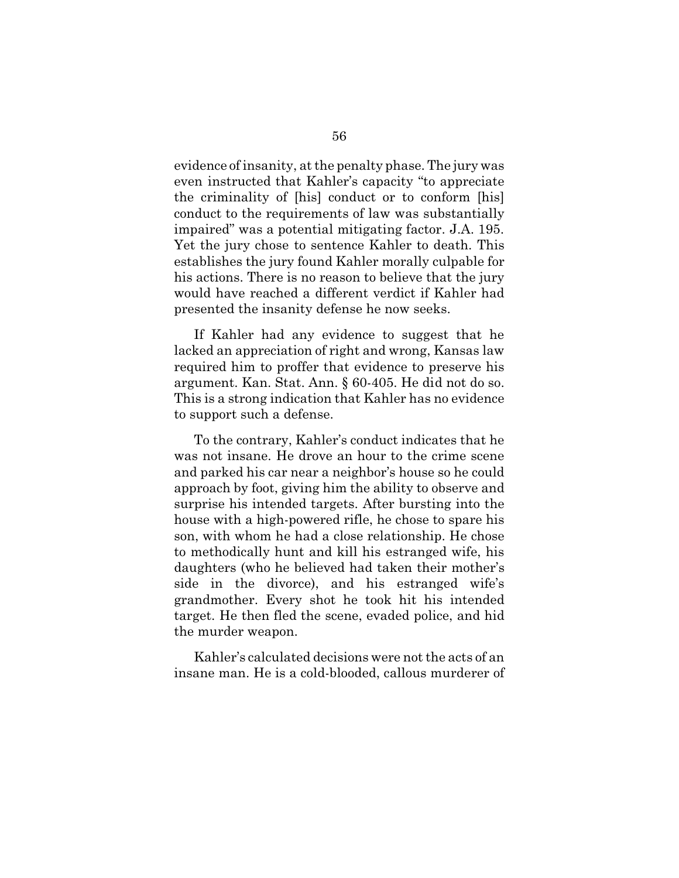evidence of insanity, at the penalty phase. The jury was even instructed that Kahler's capacity "to appreciate the criminality of [his] conduct or to conform [his] conduct to the requirements of law was substantially impaired" was a potential mitigating factor. J.A. 195. Yet the jury chose to sentence Kahler to death. This establishes the jury found Kahler morally culpable for his actions. There is no reason to believe that the jury would have reached a different verdict if Kahler had presented the insanity defense he now seeks.

If Kahler had any evidence to suggest that he lacked an appreciation of right and wrong, Kansas law required him to proffer that evidence to preserve his argument. Kan. Stat. Ann. § 60-405. He did not do so. This is a strong indication that Kahler has no evidence to support such a defense.

To the contrary, Kahler's conduct indicates that he was not insane. He drove an hour to the crime scene and parked his car near a neighbor's house so he could approach by foot, giving him the ability to observe and surprise his intended targets. After bursting into the house with a high-powered rifle, he chose to spare his son, with whom he had a close relationship. He chose to methodically hunt and kill his estranged wife, his daughters (who he believed had taken their mother's side in the divorce), and his estranged wife's grandmother. Every shot he took hit his intended target. He then fled the scene, evaded police, and hid the murder weapon.

Kahler's calculated decisions were not the acts of an insane man. He is a cold-blooded, callous murderer of